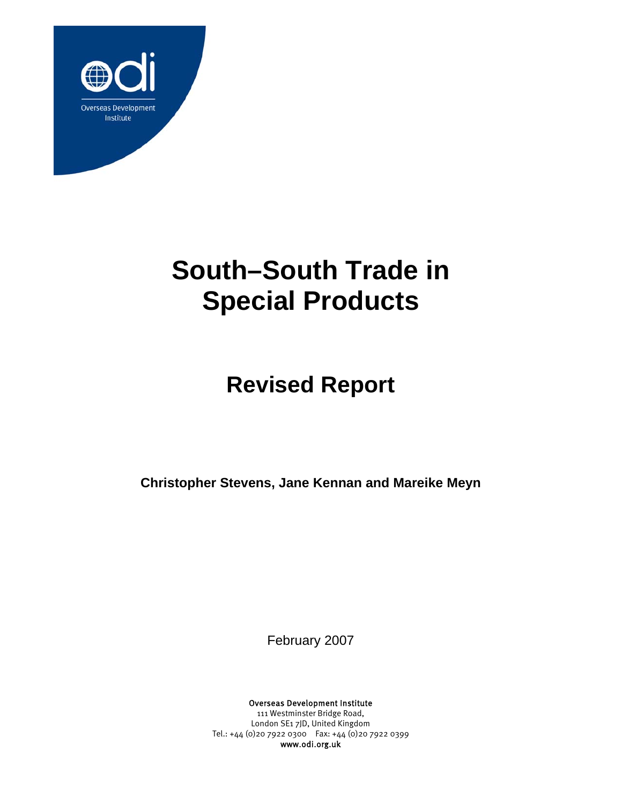

# **South–South Trade in Special Products**

# **Revised Report**

**Christopher Stevens, Jane Kennan and Mareike Meyn** 

February 2007

Overseas Development Institute

111 Westminster Bridge Road, London SE1 7JD, United Kingdom Tel.: +44 (0)20 7922 0300 Fax: +44 (0)20 7922 0399 www.odi.org.uk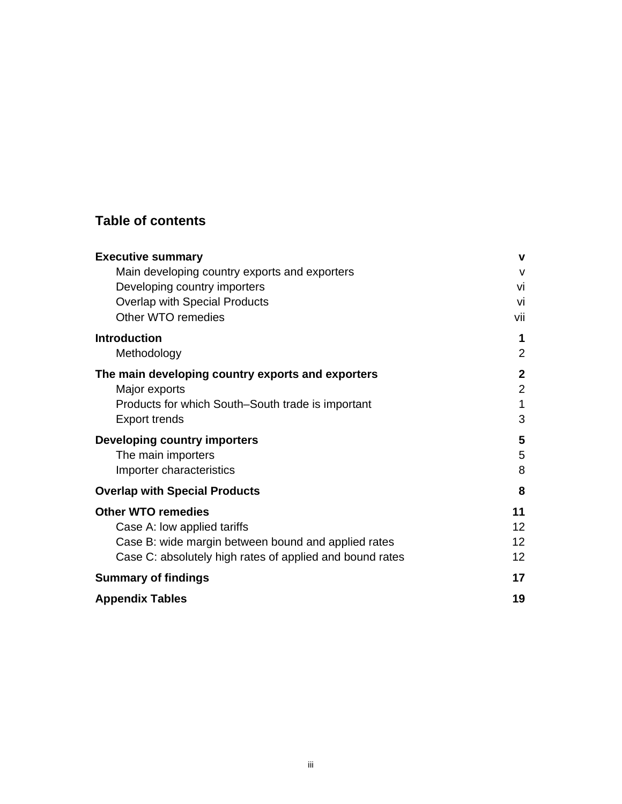# **Table of contents**

| <b>Executive summary</b>                                 | v                 |
|----------------------------------------------------------|-------------------|
| Main developing country exports and exporters            | $\mathsf{V}$      |
| Developing country importers                             | Vİ                |
| <b>Overlap with Special Products</b>                     | vi                |
| Other WTO remedies                                       | vii               |
| <b>Introduction</b>                                      | 1                 |
| Methodology                                              | 2                 |
| The main developing country exports and exporters        | $\mathbf 2$       |
| Major exports                                            | $\overline{2}$    |
| Products for which South–South trade is important        | $\mathbf{1}$      |
| <b>Export trends</b>                                     | 3                 |
| <b>Developing country importers</b>                      | 5                 |
| The main importers                                       | 5                 |
| Importer characteristics                                 | 8                 |
| <b>Overlap with Special Products</b>                     | 8                 |
| <b>Other WTO remedies</b>                                | 11                |
| Case A: low applied tariffs                              | $12 \overline{ }$ |
| Case B: wide margin between bound and applied rates      | 12                |
| Case C: absolutely high rates of applied and bound rates | 12                |
| <b>Summary of findings</b>                               | 17                |
| <b>Appendix Tables</b>                                   | 19                |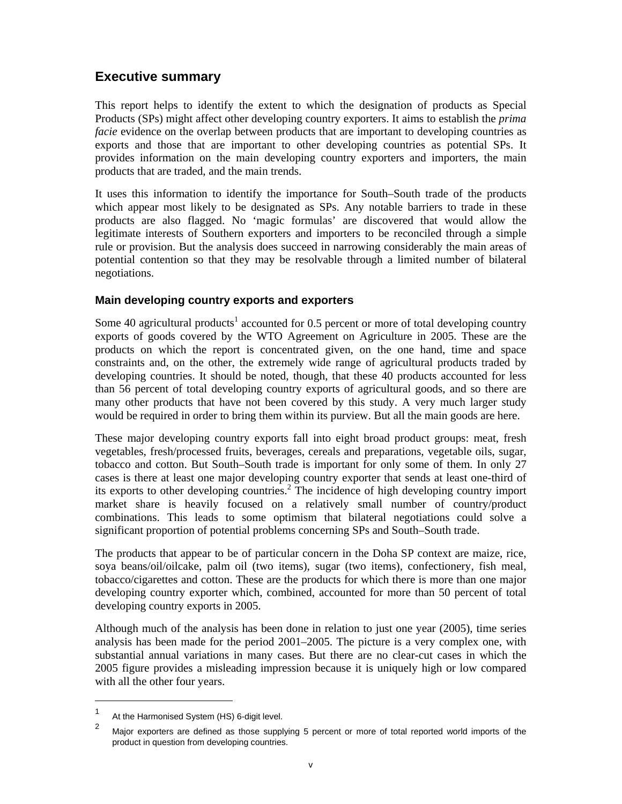# **Executive summary**

This report helps to identify the extent to which the designation of products as Special Products (SPs) might affect other developing country exporters. It aims to establish the *prima facie* evidence on the overlap between products that are important to developing countries as exports and those that are important to other developing countries as potential SPs. It provides information on the main developing country exporters and importers, the main products that are traded, and the main trends.

It uses this information to identify the importance for South–South trade of the products which appear most likely to be designated as SPs. Any notable barriers to trade in these products are also flagged. No 'magic formulas' are discovered that would allow the legitimate interests of Southern exporters and importers to be reconciled through a simple rule or provision. But the analysis does succeed in narrowing considerably the main areas of potential contention so that they may be resolvable through a limited number of bilateral negotiations.

### **Main developing country exports and exporters**

Some 40 agricultural products<sup>1</sup> accounted for 0.5 percent or more of total developing country exports of goods covered by the WTO Agreement on Agriculture in 2005. These are the products on which the report is concentrated given, on the one hand, time and space constraints and, on the other, the extremely wide range of agricultural products traded by developing countries. It should be noted, though, that these 40 products accounted for less than 56 percent of total developing country exports of agricultural goods, and so there are many other products that have not been covered by this study. A very much larger study would be required in order to bring them within its purview. But all the main goods are here.

These major developing country exports fall into eight broad product groups: meat, fresh vegetables, fresh/processed fruits, beverages, cereals and preparations, vegetable oils, sugar, tobacco and cotton. But South–South trade is important for only some of them. In only 27 cases is there at least one major developing country exporter that sends at least one-third of its exports to other developing countries.<sup>2</sup> The incidence of high developing country import market share is heavily focused on a relatively small number of country/product combinations. This leads to some optimism that bilateral negotiations could solve a significant proportion of potential problems concerning SPs and South–South trade.

The products that appear to be of particular concern in the Doha SP context are maize, rice, soya beans/oil/oilcake, palm oil (two items), sugar (two items), confectionery, fish meal, tobacco/cigarettes and cotton. These are the products for which there is more than one major developing country exporter which, combined, accounted for more than 50 percent of total developing country exports in 2005.

Although much of the analysis has been done in relation to just one year (2005), time series analysis has been made for the period 2001–2005. The picture is a very complex one, with substantial annual variations in many cases. But there are no clear-cut cases in which the 2005 figure provides a misleading impression because it is uniquely high or low compared with all the other four years.

 $\overline{a}$ 

<sup>1</sup> At the Harmonised System (HS) 6-digit level.

<sup>2</sup> Major exporters are defined as those supplying 5 percent or more of total reported world imports of the product in question from developing countries.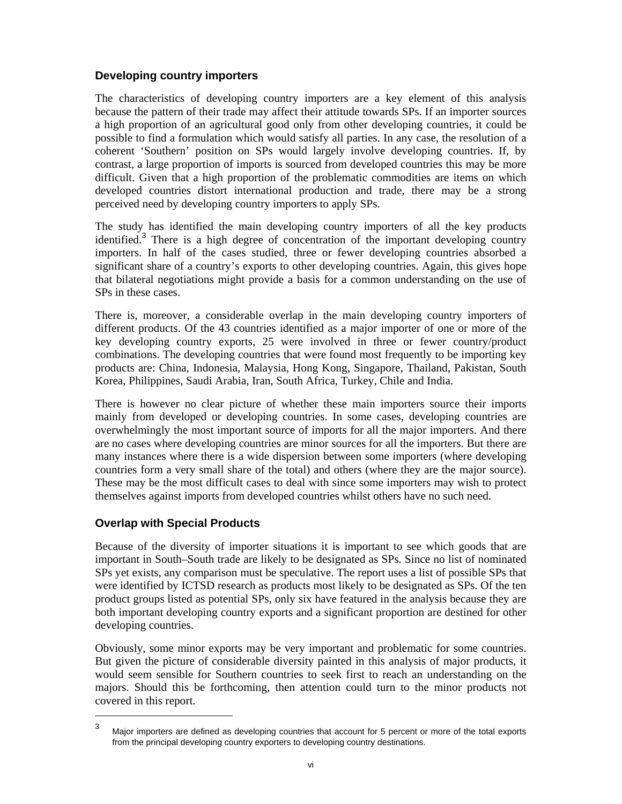#### **Developing country importers**

The characteristics of developing country importers are a key element of this analysis because the pattern of their trade may affect their attitude towards SPs. If an importer sources a high proportion of an agricultural good only from other developing countries, it could be possible to find a formulation which would satisfy all parties. In any case, the resolution of a coherent 'Southern' position on SPs would largely involve developing countries. If, by contrast, a large proportion of imports is sourced from developed countries this may be more difficult. Given that a high proportion of the problematic commodities are items on which developed countries distort international production and trade, there may be a strong perceived need by developing country importers to apply SPs.

The study has identified the main developing country importers of all the key products identified.<sup>3</sup> There is a high degree of concentration of the important developing country importers. In half of the cases studied, three or fewer developing countries absorbed a significant share of a country's exports to other developing countries. Again, this gives hope that bilateral negotiations might provide a basis for a common understanding on the use of SPs in these cases.

There is, moreover, a considerable overlap in the main developing country importers of different products. Of the 43 countries identified as a major importer of one or more of the key developing country exports, 25 were involved in three or fewer country/product combinations. The developing countries that were found most frequently to be importing key products are: China, Indonesia, Malaysia, Hong Kong, Singapore, Thailand, Pakistan, South Korea, Philippines, Saudi Arabia, Iran, South Africa, Turkey, Chile and India.

There is however no clear picture of whether these main importers source their imports mainly from developed or developing countries. In some cases, developing countries are overwhelmingly the most important source of imports for all the major importers. And there are no cases where developing countries are minor sources for all the importers. But there are many instances where there is a wide dispersion between some importers (where developing countries form a very small share of the total) and others (where they are the major source). These may be the most difficult cases to deal with since some importers may wish to protect themselves against imports from developed countries whilst others have no such need.

### **Overlap with Special Products**

 $\overline{a}$ 

Because of the diversity of importer situations it is important to see which goods that are important in South–South trade are likely to be designated as SPs. Since no list of nominated SPs yet exists, any comparison must be speculative. The report uses a list of possible SPs that were identified by ICTSD research as products most likely to be designated as SPs. Of the ten product groups listed as potential SPs, only six have featured in the analysis because they are both important developing country exports and a significant proportion are destined for other developing countries.

Obviously, some minor exports may be very important and problematic for some countries. But given the picture of considerable diversity painted in this analysis of major products, it would seem sensible for Southern countries to seek first to reach an understanding on the majors. Should this be forthcoming, then attention could turn to the minor products not covered in this report.

<sup>3</sup> Major importers are defined as developing countries that account for 5 percent or more of the total exports from the principal developing country exporters to developing country destinations.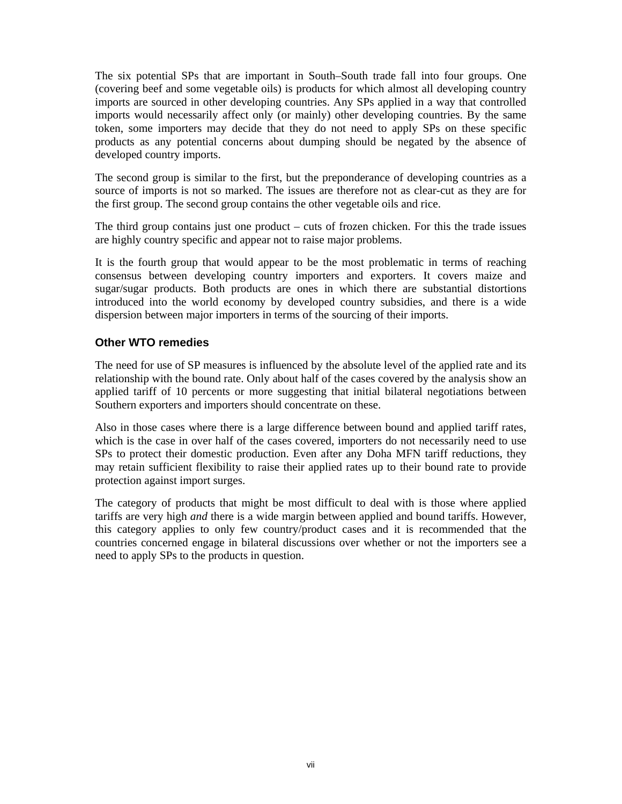The six potential SPs that are important in South–South trade fall into four groups. One (covering beef and some vegetable oils) is products for which almost all developing country imports are sourced in other developing countries. Any SPs applied in a way that controlled imports would necessarily affect only (or mainly) other developing countries. By the same token, some importers may decide that they do not need to apply SPs on these specific products as any potential concerns about dumping should be negated by the absence of developed country imports.

The second group is similar to the first, but the preponderance of developing countries as a source of imports is not so marked. The issues are therefore not as clear-cut as they are for the first group. The second group contains the other vegetable oils and rice.

The third group contains just one product – cuts of frozen chicken. For this the trade issues are highly country specific and appear not to raise major problems.

It is the fourth group that would appear to be the most problematic in terms of reaching consensus between developing country importers and exporters. It covers maize and sugar/sugar products. Both products are ones in which there are substantial distortions introduced into the world economy by developed country subsidies, and there is a wide dispersion between major importers in terms of the sourcing of their imports.

## **Other WTO remedies**

The need for use of SP measures is influenced by the absolute level of the applied rate and its relationship with the bound rate. Only about half of the cases covered by the analysis show an applied tariff of 10 percents or more suggesting that initial bilateral negotiations between Southern exporters and importers should concentrate on these.

Also in those cases where there is a large difference between bound and applied tariff rates, which is the case in over half of the cases covered, importers do not necessarily need to use SPs to protect their domestic production. Even after any Doha MFN tariff reductions, they may retain sufficient flexibility to raise their applied rates up to their bound rate to provide protection against import surges.

The category of products that might be most difficult to deal with is those where applied tariffs are very high *and* there is a wide margin between applied and bound tariffs. However, this category applies to only few country/product cases and it is recommended that the countries concerned engage in bilateral discussions over whether or not the importers see a need to apply SPs to the products in question.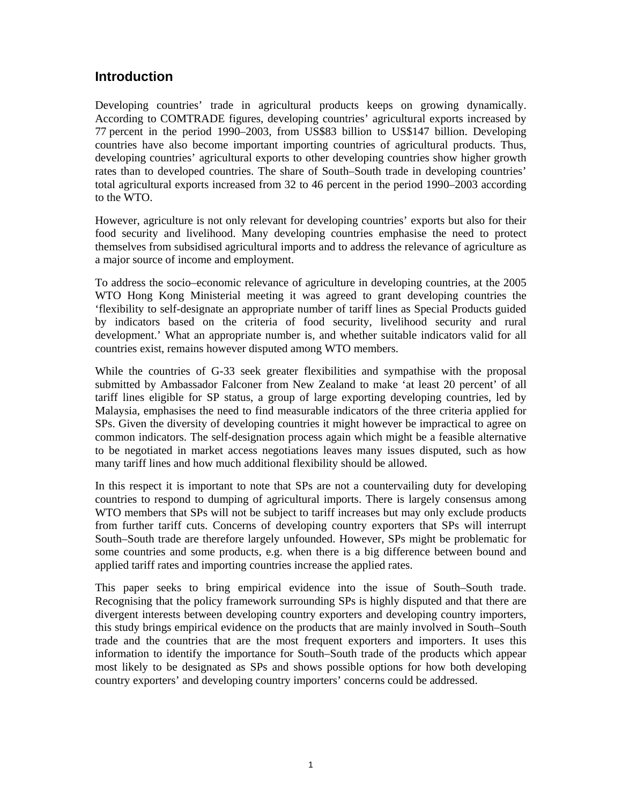# **Introduction**

Developing countries' trade in agricultural products keeps on growing dynamically. According to COMTRADE figures, developing countries' agricultural exports increased by 77 percent in the period 1990–2003, from US\$83 billion to US\$147 billion. Developing countries have also become important importing countries of agricultural products. Thus, developing countries' agricultural exports to other developing countries show higher growth rates than to developed countries. The share of South–South trade in developing countries' total agricultural exports increased from 32 to 46 percent in the period 1990–2003 according to the WTO.

However, agriculture is not only relevant for developing countries' exports but also for their food security and livelihood. Many developing countries emphasise the need to protect themselves from subsidised agricultural imports and to address the relevance of agriculture as a major source of income and employment.

To address the socio–economic relevance of agriculture in developing countries, at the 2005 WTO Hong Kong Ministerial meeting it was agreed to grant developing countries the 'flexibility to self-designate an appropriate number of tariff lines as Special Products guided by indicators based on the criteria of food security, livelihood security and rural development.' What an appropriate number is, and whether suitable indicators valid for all countries exist, remains however disputed among WTO members.

While the countries of G-33 seek greater flexibilities and sympathise with the proposal submitted by Ambassador Falconer from New Zealand to make 'at least 20 percent' of all tariff lines eligible for SP status, a group of large exporting developing countries, led by Malaysia, emphasises the need to find measurable indicators of the three criteria applied for SPs. Given the diversity of developing countries it might however be impractical to agree on common indicators. The self-designation process again which might be a feasible alternative to be negotiated in market access negotiations leaves many issues disputed, such as how many tariff lines and how much additional flexibility should be allowed.

In this respect it is important to note that SPs are not a countervailing duty for developing countries to respond to dumping of agricultural imports. There is largely consensus among WTO members that SPs will not be subject to tariff increases but may only exclude products from further tariff cuts. Concerns of developing country exporters that SPs will interrupt South–South trade are therefore largely unfounded. However, SPs might be problematic for some countries and some products, e.g. when there is a big difference between bound and applied tariff rates and importing countries increase the applied rates.

This paper seeks to bring empirical evidence into the issue of South–South trade. Recognising that the policy framework surrounding SPs is highly disputed and that there are divergent interests between developing country exporters and developing country importers, this study brings empirical evidence on the products that are mainly involved in South–South trade and the countries that are the most frequent exporters and importers. It uses this information to identify the importance for South–South trade of the products which appear most likely to be designated as SPs and shows possible options for how both developing country exporters' and developing country importers' concerns could be addressed.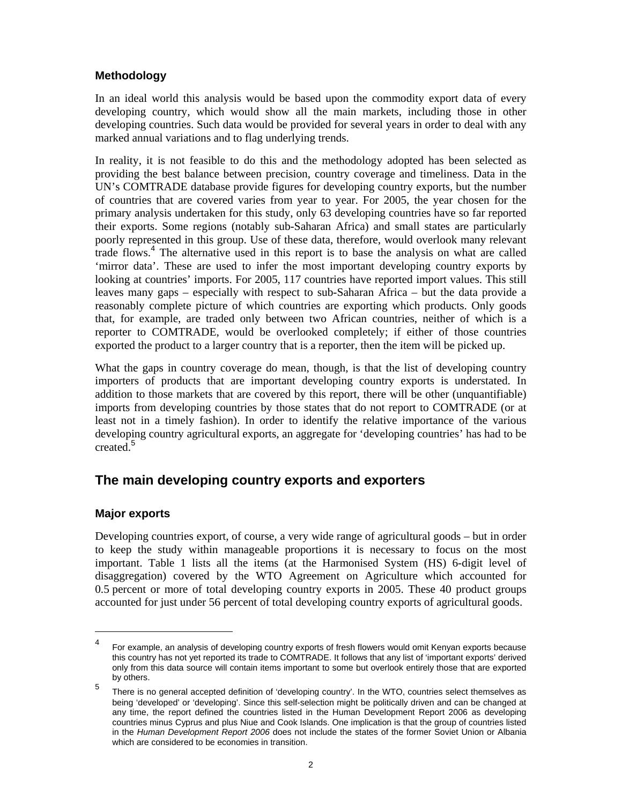# **Methodology**

In an ideal world this analysis would be based upon the commodity export data of every developing country, which would show all the main markets, including those in other developing countries. Such data would be provided for several years in order to deal with any marked annual variations and to flag underlying trends.

In reality, it is not feasible to do this and the methodology adopted has been selected as providing the best balance between precision, country coverage and timeliness. Data in the UN's COMTRADE database provide figures for developing country exports, but the number of countries that are covered varies from year to year. For 2005, the year chosen for the primary analysis undertaken for this study, only 63 developing countries have so far reported their exports. Some regions (notably sub-Saharan Africa) and small states are particularly poorly represented in this group. Use of these data, therefore, would overlook many relevant trade flows.<sup>4</sup> The alternative used in this report is to base the analysis on what are called 'mirror data'. These are used to infer the most important developing country exports by looking at countries' imports. For 2005, 117 countries have reported import values. This still leaves many gaps – especially with respect to sub-Saharan Africa – but the data provide a reasonably complete picture of which countries are exporting which products. Only goods that, for example, are traded only between two African countries, neither of which is a reporter to COMTRADE, would be overlooked completely; if either of those countries exported the product to a larger country that is a reporter, then the item will be picked up.

What the gaps in country coverage do mean, though, is that the list of developing country importers of products that are important developing country exports is understated. In addition to those markets that are covered by this report, there will be other (unquantifiable) imports from developing countries by those states that do not report to COMTRADE (or at least not in a timely fashion). In order to identify the relative importance of the various developing country agricultural exports, an aggregate for 'developing countries' has had to be created.<sup>5</sup>

# **The main developing country exports and exporters**

# **Major exports**

 $\overline{a}$ 

Developing countries export, of course, a very wide range of agricultural goods – but in order to keep the study within manageable proportions it is necessary to focus on the most important. Table 1 lists all the items (at the Harmonised System (HS) 6-digit level of disaggregation) covered by the WTO Agreement on Agriculture which accounted for 0.5 percent or more of total developing country exports in 2005. These 40 product groups accounted for just under 56 percent of total developing country exports of agricultural goods.

<sup>4</sup> For example, an analysis of developing country exports of fresh flowers would omit Kenyan exports because this country has not yet reported its trade to COMTRADE. It follows that any list of 'important exports' derived only from this data source will contain items important to some but overlook entirely those that are exported by others.

<sup>5</sup> There is no general accepted definition of 'developing country'. In the WTO, countries select themselves as being 'developed' or 'developing'. Since this self-selection might be politically driven and can be changed at any time, the report defined the countries listed in the Human Development Report 2006 as developing countries minus Cyprus and plus Niue and Cook Islands. One implication is that the group of countries listed in the *Human Development Report 2006* does not include the states of the former Soviet Union or Albania which are considered to be economies in transition.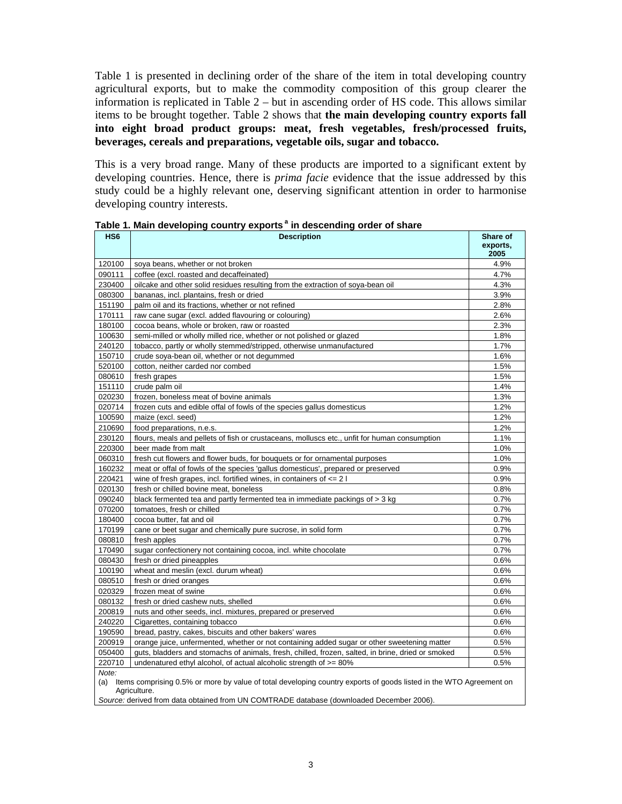Table 1 is presented in declining order of the share of the item in total developing country agricultural exports, but to make the commodity composition of this group clearer the information is replicated in Table 2 – but in ascending order of HS code. This allows similar items to be brought together. Table 2 shows that **the main developing country exports fall into eight broad product groups: meat, fresh vegetables, fresh/processed fruits, beverages, cereals and preparations, vegetable oils, sugar and tobacco.** 

This is a very broad range. Many of these products are imported to a significant extent by developing countries. Hence, there is *prima facie* evidence that the issue addressed by this study could be a highly relevant one, deserving significant attention in order to harmonise developing country interests.

| HS <sub>6</sub> | <b>Description</b>                                                                                                                 | Share of<br>exports,<br>2005 |
|-----------------|------------------------------------------------------------------------------------------------------------------------------------|------------------------------|
| 120100          | soya beans, whether or not broken                                                                                                  | 4.9%                         |
| 090111          | coffee (excl. roasted and decaffeinated)                                                                                           | 4.7%                         |
| 230400          | oilcake and other solid residues resulting from the extraction of soya-bean oil                                                    | 4.3%                         |
| 080300          | bananas, incl. plantains, fresh or dried                                                                                           | 3.9%                         |
| 151190          | palm oil and its fractions, whether or not refined                                                                                 | 2.8%                         |
| 170111          | raw cane sugar (excl. added flavouring or colouring)                                                                               | 2.6%                         |
| 180100          | cocoa beans, whole or broken, raw or roasted                                                                                       | 2.3%                         |
| 100630          | semi-milled or wholly milled rice, whether or not polished or glazed                                                               | 1.8%                         |
| 240120          | tobacco, partly or wholly stemmed/stripped, otherwise unmanufactured                                                               | 1.7%                         |
| 150710          | crude soya-bean oil, whether or not degummed                                                                                       | 1.6%                         |
| 520100          | cotton, neither carded nor combed                                                                                                  | 1.5%                         |
| 080610          | fresh grapes                                                                                                                       | 1.5%                         |
| 151110          | crude palm oil                                                                                                                     | 1.4%                         |
| 020230          | frozen, boneless meat of bovine animals                                                                                            | 1.3%                         |
| 020714          | frozen cuts and edible offal of fowls of the species gallus domesticus                                                             | 1.2%                         |
| 100590          | maize (excl. seed)                                                                                                                 | 1.2%                         |
| 210690          | food preparations, n.e.s.                                                                                                          | 1.2%                         |
| 230120          | flours, meals and pellets of fish or crustaceans, molluscs etc., unfit for human consumption                                       | 1.1%                         |
| 220300          | beer made from malt                                                                                                                | 1.0%                         |
| 060310          | fresh cut flowers and flower buds, for bouquets or for ornamental purposes                                                         | 1.0%                         |
| 160232          | meat or offal of fowls of the species 'gallus domesticus', prepared or preserved                                                   | 0.9%                         |
| 220421          | wine of fresh grapes, incl. fortified wines, in containers of $\leq$ 2 I                                                           | 0.9%                         |
| 020130          | fresh or chilled bovine meat, boneless                                                                                             | 0.8%                         |
| 090240          | black fermented tea and partly fermented tea in immediate packings of > 3 kg                                                       | 0.7%                         |
| 070200          | tomatoes, fresh or chilled                                                                                                         | 0.7%                         |
| 180400          | cocoa butter, fat and oil                                                                                                          | 0.7%                         |
| 170199          | cane or beet sugar and chemically pure sucrose, in solid form                                                                      | 0.7%                         |
| 080810          | fresh apples                                                                                                                       | 0.7%                         |
| 170490          | sugar confectionery not containing cocoa, incl. white chocolate                                                                    | 0.7%                         |
| 080430          | fresh or dried pineapples                                                                                                          | 0.6%                         |
| 100190          | wheat and meslin (excl. durum wheat)                                                                                               | 0.6%                         |
| 080510          | fresh or dried oranges                                                                                                             | 0.6%                         |
| 020329          | frozen meat of swine                                                                                                               | 0.6%                         |
| 080132          | fresh or dried cashew nuts, shelled                                                                                                | 0.6%                         |
| 200819          | nuts and other seeds, incl. mixtures, prepared or preserved                                                                        | 0.6%                         |
| 240220          | Cigarettes, containing tobacco                                                                                                     | 0.6%                         |
| 190590          | bread, pastry, cakes, biscuits and other bakers' wares                                                                             | 0.6%                         |
| 200919          | orange juice, unfermented, whether or not containing added sugar or other sweetening matter                                        | 0.5%                         |
| 050400          | guts, bladders and stomachs of animals, fresh, chilled, frozen, salted, in brine, dried or smoked                                  | 0.5%                         |
| 220710          | undenatured ethyl alcohol, of actual alcoholic strength of $>= 80\%$                                                               | 0.5%                         |
| Note:           |                                                                                                                                    |                              |
| (a)             | Items comprising 0.5% or more by value of total developing country exports of goods listed in the WTO Agreement on<br>Agriculture. |                              |

Table 1. Main developing country exports<sup>a</sup> in descending order of share

*Source:* derived from data obtained from UN COMTRADE database (downloaded December 2006).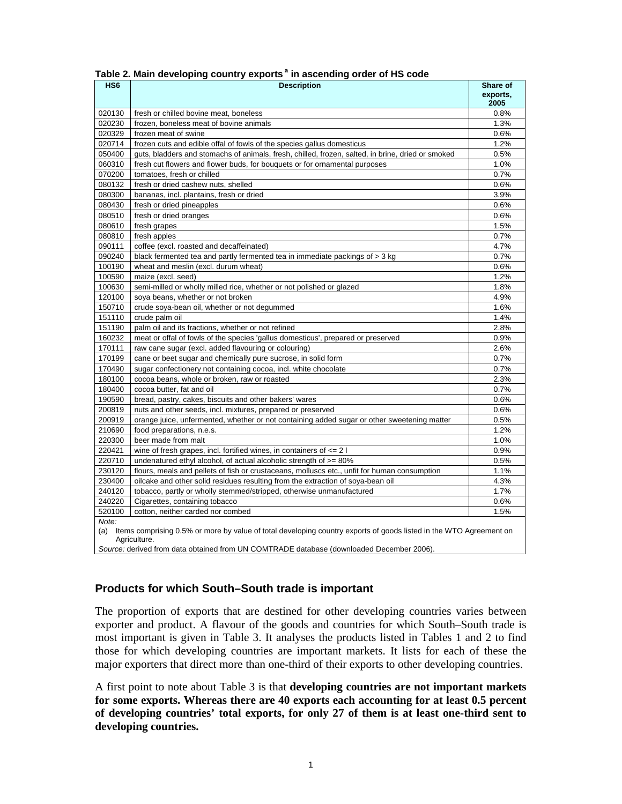| HS <sub>6</sub> | <b>Description</b>                                                                                                     | Share of         |
|-----------------|------------------------------------------------------------------------------------------------------------------------|------------------|
|                 |                                                                                                                        | exports,<br>2005 |
| 020130          | fresh or chilled bovine meat, boneless                                                                                 | 0.8%             |
| 020230          | frozen, boneless meat of bovine animals                                                                                | 1.3%             |
| 020329          | frozen meat of swine                                                                                                   | 0.6%             |
| 020714          | frozen cuts and edible offal of fowls of the species gallus domesticus                                                 | 1.2%             |
| 050400          | guts, bladders and stomachs of animals, fresh, chilled, frozen, salted, in brine, dried or smoked                      | 0.5%             |
| 060310          | fresh cut flowers and flower buds, for bouquets or for ornamental purposes                                             | 1.0%             |
| 070200          | tomatoes, fresh or chilled                                                                                             | 0.7%             |
| 080132          | fresh or dried cashew nuts, shelled                                                                                    | 0.6%             |
| 080300          | bananas, incl. plantains, fresh or dried                                                                               | 3.9%             |
| 080430          | fresh or dried pineapples                                                                                              | 0.6%             |
| 080510          | fresh or dried oranges                                                                                                 | 0.6%             |
| 080610          | fresh grapes                                                                                                           | 1.5%             |
| 080810          | fresh apples                                                                                                           | 0.7%             |
| 090111          | coffee (excl. roasted and decaffeinated)                                                                               | 4.7%             |
| 090240          | black fermented tea and partly fermented tea in immediate packings of > 3 kg                                           | 0.7%             |
| 100190          | wheat and meslin (excl. durum wheat)                                                                                   | 0.6%             |
| 100590          | maize (excl. seed)                                                                                                     | 1.2%             |
| 100630          | semi-milled or wholly milled rice, whether or not polished or glazed                                                   | 1.8%             |
| 120100          | soya beans, whether or not broken                                                                                      | 4.9%             |
| 150710          | crude soya-bean oil, whether or not degummed                                                                           | 1.6%             |
| 151110          | crude palm oil                                                                                                         | 1.4%             |
| 151190          | palm oil and its fractions, whether or not refined                                                                     | 2.8%             |
| 160232          | meat or offal of fowls of the species 'gallus domesticus', prepared or preserved                                       | 0.9%             |
| 170111          | raw cane sugar (excl. added flavouring or colouring)                                                                   | 2.6%             |
| 170199          | cane or beet sugar and chemically pure sucrose, in solid form                                                          | 0.7%             |
| 170490          | sugar confectionery not containing cocoa, incl. white chocolate                                                        | 0.7%             |
| 180100          | cocoa beans, whole or broken, raw or roasted                                                                           | 2.3%             |
| 180400          | cocoa butter, fat and oil                                                                                              | 0.7%             |
| 190590          | bread, pastry, cakes, biscuits and other bakers' wares                                                                 | 0.6%             |
| 200819          | nuts and other seeds, incl. mixtures, prepared or preserved                                                            | 0.6%             |
| 200919          | orange juice, unfermented, whether or not containing added sugar or other sweetening matter                            | 0.5%             |
| 210690          | food preparations, n.e.s.                                                                                              | 1.2%             |
| 220300          | beer made from malt                                                                                                    | 1.0%             |
| 220421          | wine of fresh grapes, incl. fortified wines, in containers of $\leq$ 2 l                                               | 0.9%             |
| 220710          | undenatured ethyl alcohol, of actual alcoholic strength of $>= 80\%$                                                   | 0.5%             |
| 230120          | flours, meals and pellets of fish or crustaceans, molluscs etc., unfit for human consumption                           | 1.1%             |
| 230400          | oilcake and other solid residues resulting from the extraction of soya-bean oil                                        | 4.3%             |
| 240120          | tobacco, partly or wholly stemmed/stripped, otherwise unmanufactured                                                   | 1.7%             |
| 240220          | Cigarettes, containing tobacco                                                                                         | 0.6%             |
| 520100          | cotton, neither carded nor combed                                                                                      | 1.5%             |
| Note:           |                                                                                                                        |                  |
|                 | (a) Items comprising 0.5% or more by value of total developing country exports of goods listed in the WTO Agreement on |                  |
|                 | Agriculture.                                                                                                           |                  |
|                 | Source: derived from data obtained from UN COMTRADE database (downloaded December 2006).                               |                  |

#### Table 2. Main developing country exports<sup>a</sup> in ascending order of HS code

## **Products for which South–South trade is important**

The proportion of exports that are destined for other developing countries varies between exporter and product. A flavour of the goods and countries for which South–South trade is most important is given in Table 3. It analyses the products listed in Tables 1 and 2 to find those for which developing countries are important markets. It lists for each of these the major exporters that direct more than one-third of their exports to other developing countries.

A first point to note about Table 3 is that **developing countries are not important markets for some exports. Whereas there are 40 exports each accounting for at least 0.5 percent of developing countries' total exports, for only 27 of them is at least one-third sent to developing countries.**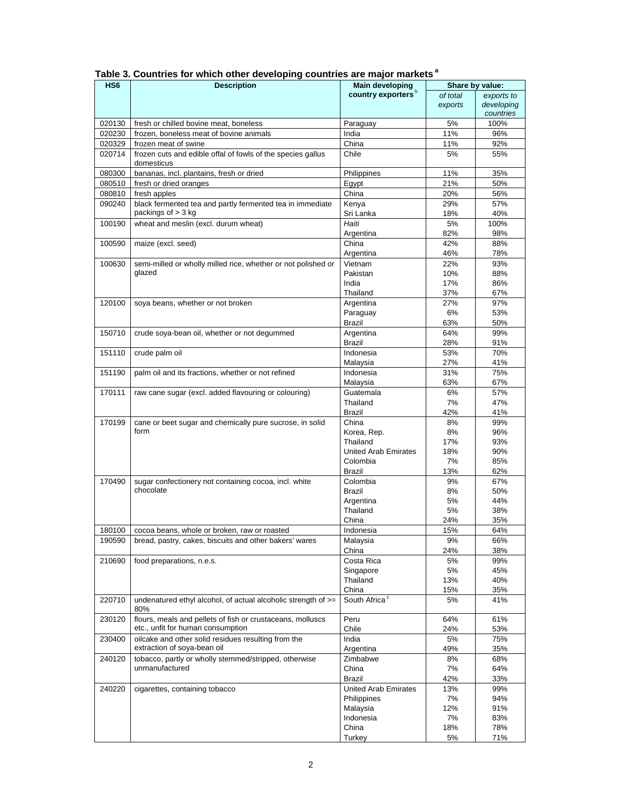| HS <sub>6</sub> | <b>Description</b>                                                   | <b>Main developing</b>         | Share by value: |            |  |  |  |  |  |
|-----------------|----------------------------------------------------------------------|--------------------------------|-----------------|------------|--|--|--|--|--|
|                 |                                                                      | country exporters <sup>b</sup> | of total        | exports to |  |  |  |  |  |
|                 |                                                                      |                                | exports         | developing |  |  |  |  |  |
|                 |                                                                      |                                |                 | countries  |  |  |  |  |  |
|                 |                                                                      |                                |                 |            |  |  |  |  |  |
| 020130          | fresh or chilled bovine meat, boneless                               | Paraguay                       | 5%              | 100%       |  |  |  |  |  |
| 020230          | frozen, boneless meat of bovine animals                              | India                          | 11%             | 96%        |  |  |  |  |  |
| 020329          | frozen meat of swine                                                 | China                          | 11%             | 92%        |  |  |  |  |  |
| 020714          | frozen cuts and edible offal of fowls of the species gallus          | Chile                          | 5%              | 55%        |  |  |  |  |  |
|                 | domesticus                                                           |                                |                 |            |  |  |  |  |  |
| 080300          | bananas, incl. plantains, fresh or dried                             | Philippines                    | 11%             | 35%        |  |  |  |  |  |
|                 |                                                                      |                                |                 |            |  |  |  |  |  |
| 080510          | fresh or dried oranges                                               | Egypt                          | 21%             | 50%        |  |  |  |  |  |
| 080810          | fresh apples                                                         | China                          | 20%             | 56%        |  |  |  |  |  |
| 090240          | black fermented tea and partly fermented tea in immediate            | Kenya                          | 29%             | 57%        |  |  |  |  |  |
|                 | packings of $>$ 3 kg                                                 | Sri Lanka                      | 18%             | 40%        |  |  |  |  |  |
| 100190          | wheat and meslin (excl. durum wheat)                                 | Haiti                          | 5%              | 100%       |  |  |  |  |  |
|                 |                                                                      | Argentina                      | 82%             | 98%        |  |  |  |  |  |
|                 |                                                                      | China                          |                 |            |  |  |  |  |  |
| 100590          | maize (excl. seed)                                                   |                                | 42%             | 88%        |  |  |  |  |  |
|                 |                                                                      | Argentina                      | 46%             | 78%        |  |  |  |  |  |
| 100630          | semi-milled or wholly milled rice, whether or not polished or        | Vietnam                        | 22%             | 93%        |  |  |  |  |  |
|                 | glazed                                                               | Pakistan                       | 10%             | 88%        |  |  |  |  |  |
|                 |                                                                      | India                          | 17%             | 86%        |  |  |  |  |  |
|                 |                                                                      | Thailand                       | 37%             | 67%        |  |  |  |  |  |
| 120100          | soya beans, whether or not broken                                    | Argentina                      | 27%             | 97%        |  |  |  |  |  |
|                 |                                                                      |                                |                 |            |  |  |  |  |  |
|                 |                                                                      | Paraguay                       | 6%              | 53%        |  |  |  |  |  |
|                 |                                                                      | Brazil                         | 63%             | 50%        |  |  |  |  |  |
| 150710          | crude soya-bean oil, whether or not degummed                         | Argentina                      | 64%             | 99%        |  |  |  |  |  |
|                 |                                                                      | Brazil                         | 28%             | 91%        |  |  |  |  |  |
| 151110          | crude palm oil                                                       | Indonesia                      | 53%             | 70%        |  |  |  |  |  |
|                 |                                                                      | Malaysia                       | 27%             | 41%        |  |  |  |  |  |
| 151190          | palm oil and its fractions, whether or not refined                   | Indonesia                      | 31%             | 75%        |  |  |  |  |  |
|                 |                                                                      |                                |                 |            |  |  |  |  |  |
|                 |                                                                      | Malaysia                       | 63%             | 67%        |  |  |  |  |  |
| 170111          | raw cane sugar (excl. added flavouring or colouring)                 | Guatemala                      | 6%              | 57%        |  |  |  |  |  |
|                 |                                                                      | Thailand                       | 7%              | 47%        |  |  |  |  |  |
|                 |                                                                      | Brazil                         | 42%             | 41%        |  |  |  |  |  |
| 170199          | cane or beet sugar and chemically pure sucrose, in solid             | China                          | 8%              | 99%        |  |  |  |  |  |
|                 | form                                                                 | Korea, Rep.                    | 8%              | 96%        |  |  |  |  |  |
|                 |                                                                      | Thailand                       | 17%             | 93%        |  |  |  |  |  |
|                 |                                                                      |                                |                 |            |  |  |  |  |  |
|                 |                                                                      | United Arab Emirates           | 18%             | 90%        |  |  |  |  |  |
|                 |                                                                      | Colombia                       | 7%              | 85%        |  |  |  |  |  |
|                 |                                                                      | Brazil                         | 13%             | 62%        |  |  |  |  |  |
| 170490          | sugar confectionery not containing cocoa, incl. white                | Colombia                       | 9%              | 67%        |  |  |  |  |  |
|                 | chocolate                                                            | Brazil                         | 8%              | 50%        |  |  |  |  |  |
|                 |                                                                      | Argentina                      | 5%              | 44%        |  |  |  |  |  |
|                 |                                                                      | Thailand                       | 5%              | 38%        |  |  |  |  |  |
|                 |                                                                      |                                |                 |            |  |  |  |  |  |
|                 |                                                                      | China                          | 24%             | 35%        |  |  |  |  |  |
| 180100          | cocoa beans, whole or broken, raw or roasted                         | Indonesia                      | 15%             | 64%        |  |  |  |  |  |
| 190590          | bread, pastry, cakes, biscuits and other bakers' wares               | Malaysia                       | 9%              | 66%        |  |  |  |  |  |
|                 |                                                                      | China                          | 24%             | 38%        |  |  |  |  |  |
| 210690          | food preparations, n.e.s.                                            | Costa Rica                     | 5%              | 99%        |  |  |  |  |  |
|                 |                                                                      | Singapore                      | 5%              | 45%        |  |  |  |  |  |
|                 |                                                                      | Thailand                       | 13%             | 40%        |  |  |  |  |  |
|                 |                                                                      |                                |                 |            |  |  |  |  |  |
|                 |                                                                      | China                          | 15%             | 35%        |  |  |  |  |  |
| 220710          | undenatured ethyl alcohol, of actual alcoholic strength of >=<br>80% | South Africa <sup>c</sup>      | 5%              | 41%        |  |  |  |  |  |
| 230120          | flours, meals and pellets of fish or crustaceans, molluscs           | Peru                           | 64%             | 61%        |  |  |  |  |  |
|                 | etc., unfit for human consumption                                    | Chile                          | 24%             | 53%        |  |  |  |  |  |
| 230400          | oilcake and other solid residues resulting from the                  | India                          | 5%              | 75%        |  |  |  |  |  |
|                 | extraction of soya-bean oil                                          |                                |                 |            |  |  |  |  |  |
|                 |                                                                      | Argentina                      | 49%             | 35%        |  |  |  |  |  |
| 240120          | tobacco, partly or wholly stemmed/stripped, otherwise                | Zimbabwe                       | 8%              | 68%        |  |  |  |  |  |
|                 | unmanufactured                                                       | China                          | 7%              | 64%        |  |  |  |  |  |
|                 |                                                                      | Brazil                         | 42%             | 33%        |  |  |  |  |  |
| 240220          | cigarettes, containing tobacco                                       | <b>United Arab Emirates</b>    | 13%             | 99%        |  |  |  |  |  |
|                 |                                                                      | Philippines                    | 7%              | 94%        |  |  |  |  |  |
|                 |                                                                      | Malaysia                       | 12%             | 91%        |  |  |  |  |  |
|                 |                                                                      |                                |                 |            |  |  |  |  |  |
|                 |                                                                      | Indonesia                      | 7%              | 83%        |  |  |  |  |  |
|                 |                                                                      | China                          | 18%             | 78%        |  |  |  |  |  |
|                 |                                                                      | Turkey                         | 5%              | 71%        |  |  |  |  |  |

Table 3. Countries for which other developing countries are major markets<sup>a</sup>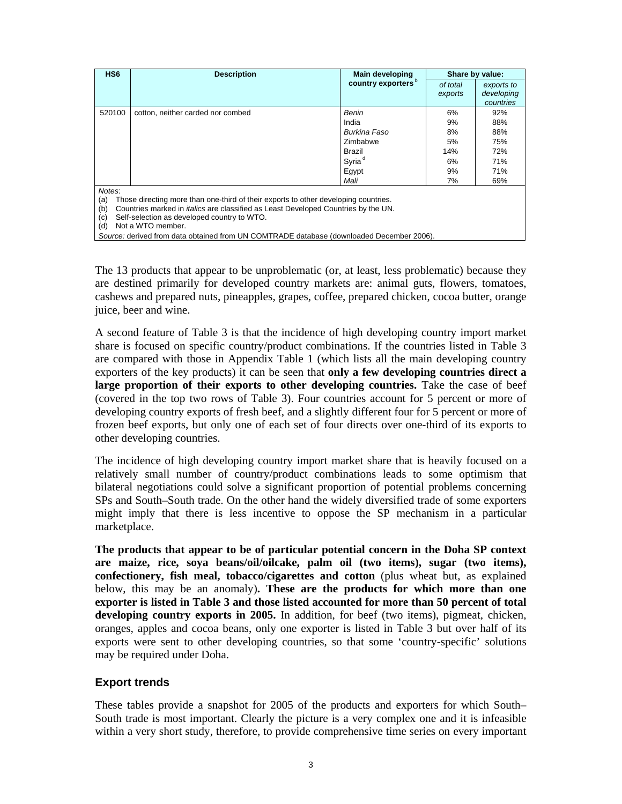| HS <sub>6</sub> | <b>Description</b>                                                                        | <b>Main developing</b>         | Share by value: |            |  |  |  |
|-----------------|-------------------------------------------------------------------------------------------|--------------------------------|-----------------|------------|--|--|--|
|                 |                                                                                           | country exporters <sup>b</sup> | of total        | exports to |  |  |  |
|                 |                                                                                           |                                | exports         | developing |  |  |  |
|                 |                                                                                           |                                |                 | countries  |  |  |  |
| 520100          | cotton, neither carded nor combed                                                         | Benin                          | 6%              | 92%        |  |  |  |
|                 |                                                                                           | India                          | 9%              | 88%        |  |  |  |
|                 |                                                                                           | Burkina Faso                   | 8%              | 88%        |  |  |  |
|                 |                                                                                           | Zimbabwe                       | 5%              | 75%        |  |  |  |
|                 |                                                                                           | Brazil                         | 14%             | 72%        |  |  |  |
|                 |                                                                                           | Syria <sup>d</sup>             | 6%              | 71%        |  |  |  |
|                 |                                                                                           | Egypt                          | 9%              | 71%        |  |  |  |
|                 |                                                                                           | Mali                           | 7%              | 69%        |  |  |  |
| Notes:          |                                                                                           |                                |                 |            |  |  |  |
| (a)             | Those directing more than one-third of their exports to other developing countries.       |                                |                 |            |  |  |  |
| (b)             | Countries marked in <i>italics</i> are classified as Least Developed Countries by the UN. |                                |                 |            |  |  |  |
| (c)             | Self-selection as developed country to WTO.                                               |                                |                 |            |  |  |  |
| (d)             | Not a WTO member.                                                                         |                                |                 |            |  |  |  |
|                 | Source: derived from data obtained from UN COMTRADE database (downloaded December 2006).  |                                |                 |            |  |  |  |

The 13 products that appear to be unproblematic (or, at least, less problematic) because they are destined primarily for developed country markets are: animal guts, flowers, tomatoes, cashews and prepared nuts, pineapples, grapes, coffee, prepared chicken, cocoa butter, orange juice, beer and wine.

A second feature of Table 3 is that the incidence of high developing country import market share is focused on specific country/product combinations. If the countries listed in Table 3 are compared with those in Appendix Table 1 (which lists all the main developing country exporters of the key products) it can be seen that **only a few developing countries direct a large proportion of their exports to other developing countries.** Take the case of beef (covered in the top two rows of Table 3). Four countries account for 5 percent or more of developing country exports of fresh beef, and a slightly different four for 5 percent or more of frozen beef exports, but only one of each set of four directs over one-third of its exports to other developing countries.

The incidence of high developing country import market share that is heavily focused on a relatively small number of country/product combinations leads to some optimism that bilateral negotiations could solve a significant proportion of potential problems concerning SPs and South–South trade. On the other hand the widely diversified trade of some exporters might imply that there is less incentive to oppose the SP mechanism in a particular marketplace.

**The products that appear to be of particular potential concern in the Doha SP context are maize, rice, soya beans/oil/oilcake, palm oil (two items), sugar (two items), confectionery, fish meal, tobacco/cigarettes and cotton** (plus wheat but, as explained below, this may be an anomaly)**. These are the products for which more than one exporter is listed in Table 3 and those listed accounted for more than 50 percent of total developing country exports in 2005.** In addition, for beef (two items), pigmeat, chicken, oranges, apples and cocoa beans, only one exporter is listed in Table 3 but over half of its exports were sent to other developing countries, so that some 'country-specific' solutions may be required under Doha.

### **Export trends**

These tables provide a snapshot for 2005 of the products and exporters for which South– South trade is most important. Clearly the picture is a very complex one and it is infeasible within a very short study, therefore, to provide comprehensive time series on every important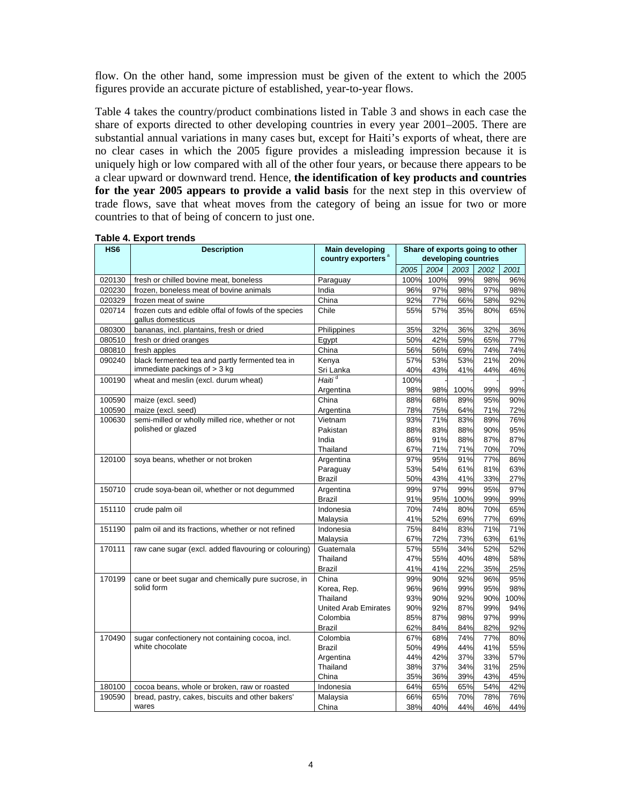flow. On the other hand, some impression must be given of the extent to which the 2005 figures provide an accurate picture of established, year-to-year flows.

Table 4 takes the country/product combinations listed in Table 3 and shows in each case the share of exports directed to other developing countries in every year 2001–2005. There are substantial annual variations in many cases but, except for Haiti's exports of wheat, there are no clear cases in which the 2005 figure provides a misleading impression because it is uniquely high or low compared with all of the other four years, or because there appears to be a clear upward or downward trend. Hence, **the identification of key products and countries for the year 2005 appears to provide a valid basis** for the next step in this overview of trade flows, save that wheat moves from the category of being an issue for two or more countries to that of being of concern to just one.

| HS <sub>6</sub> | <b>Description</b>                                                        | Share of exports going to other<br><b>Main developing</b><br>developing countries |      |      |      |      |      |  |  |  |  |  |
|-----------------|---------------------------------------------------------------------------|-----------------------------------------------------------------------------------|------|------|------|------|------|--|--|--|--|--|
|                 |                                                                           | country exporters <sup>a</sup>                                                    |      |      |      |      |      |  |  |  |  |  |
|                 |                                                                           |                                                                                   | 2005 | 2004 | 2003 | 2002 | 2001 |  |  |  |  |  |
| 020130          | fresh or chilled bovine meat, boneless                                    | Paraguay                                                                          | 100% | 100% | 99%  | 98%  | 96%  |  |  |  |  |  |
| 020230          | frozen, boneless meat of bovine animals                                   | India                                                                             | 96%  | 97%  | 98%  | 97%  | 98%  |  |  |  |  |  |
| 020329          | frozen meat of swine                                                      | China                                                                             | 92%  | 77%  | 66%  | 58%  | 92%  |  |  |  |  |  |
| 020714          | frozen cuts and edible offal of fowls of the species<br>gallus domesticus | Chile                                                                             | 55%  | 57%  | 35%  | 80%  | 65%  |  |  |  |  |  |
| 080300          | bananas, incl. plantains, fresh or dried                                  | Philippines                                                                       | 35%  | 32%  | 36%  | 32%  | 36%  |  |  |  |  |  |
| 080510          | fresh or dried oranges                                                    | Egypt                                                                             | 50%  | 42%  | 59%  | 65%  | 77%  |  |  |  |  |  |
| 080810          | fresh apples                                                              | China                                                                             | 56%  | 56%  | 69%  | 74%  | 74%  |  |  |  |  |  |
| 090240          | black fermented tea and partly fermented tea in                           | Kenya                                                                             | 57%  | 53%  | 53%  | 21%  | 20%  |  |  |  |  |  |
|                 | immediate packings of $>$ 3 kg                                            | Sri Lanka                                                                         | 40%  | 43%  | 41%  | 44%  | 46%  |  |  |  |  |  |
| 100190          | wheat and meslin (excl. durum wheat)                                      | Haiti <sup>d</sup>                                                                | 100% |      |      |      |      |  |  |  |  |  |
|                 |                                                                           | Argentina                                                                         | 98%  | 98%  | 100% | 99%  | 99%  |  |  |  |  |  |
| 100590          | maize (excl. seed)                                                        | China                                                                             | 88%  | 68%  | 89%  | 95%  | 90%  |  |  |  |  |  |
| 100590          | maize (excl. seed)                                                        | Argentina                                                                         | 78%  | 75%  | 64%  | 71%  | 72%  |  |  |  |  |  |
| 100630          | semi-milled or wholly milled rice, whether or not                         | Vietnam                                                                           | 93%  | 71%  | 83%  | 89%  | 76%  |  |  |  |  |  |
|                 | polished or glazed                                                        | Pakistan                                                                          | 88%  | 83%  | 88%  | 90%  | 95%  |  |  |  |  |  |
|                 |                                                                           | India                                                                             | 86%  | 91%  | 88%  | 87%  | 87%  |  |  |  |  |  |
|                 |                                                                           | Thailand                                                                          | 67%  | 71%  | 71%  | 70%  | 70%  |  |  |  |  |  |
| 120100          | soya beans, whether or not broken                                         | Argentina                                                                         | 97%  | 95%  | 91%  | 77%  | 86%  |  |  |  |  |  |
|                 |                                                                           | Paraguay                                                                          | 53%  | 54%  | 61%  | 81%  | 63%  |  |  |  |  |  |
|                 |                                                                           | Brazil                                                                            | 50%  | 43%  | 41%  | 33%  | 27%  |  |  |  |  |  |
| 150710          | crude soya-bean oil, whether or not degummed                              | Argentina                                                                         | 99%  | 97%  | 99%  | 95%  | 97%  |  |  |  |  |  |
|                 |                                                                           | <b>Brazil</b>                                                                     | 91%  | 95%  | 100% | 99%  | 99%  |  |  |  |  |  |
| 151110          | crude palm oil                                                            | Indonesia                                                                         | 70%  | 74%  | 80%  | 70%  | 65%  |  |  |  |  |  |
|                 |                                                                           | Malaysia                                                                          | 41%  | 52%  | 69%  | 77%  | 69%  |  |  |  |  |  |
| 151190          | palm oil and its fractions, whether or not refined                        | Indonesia                                                                         | 75%  | 84%  | 83%  | 71%  | 71%  |  |  |  |  |  |
|                 |                                                                           | Malaysia                                                                          | 67%  | 72%  | 73%  | 63%  | 61%  |  |  |  |  |  |
| 170111          | raw cane sugar (excl. added flavouring or colouring)                      | Guatemala                                                                         | 57%  | 55%  | 34%  | 52%  | 52%  |  |  |  |  |  |
|                 |                                                                           | Thailand                                                                          | 47%  | 55%  | 40%  | 48%  | 58%  |  |  |  |  |  |
|                 |                                                                           | <b>Brazil</b>                                                                     | 41%  | 41%  | 22%  | 35%  | 25%  |  |  |  |  |  |
| 170199          | cane or beet sugar and chemically pure sucrose, in                        | China                                                                             | 99%  | 90%  | 92%  | 96%  | 95%  |  |  |  |  |  |
|                 | solid form                                                                | Korea, Rep.                                                                       | 96%  | 96%  | 99%  | 95%  | 98%  |  |  |  |  |  |
|                 |                                                                           | Thailand                                                                          | 93%  | 90%  | 92%  | 90%  | 100% |  |  |  |  |  |
|                 |                                                                           | <b>United Arab Emirates</b>                                                       | 90%  | 92%  | 87%  | 99%  | 94%  |  |  |  |  |  |
|                 |                                                                           | Colombia                                                                          | 85%  | 87%  | 98%  | 97%  | 99%  |  |  |  |  |  |
|                 |                                                                           | <b>Brazil</b>                                                                     | 62%  | 84%  | 84%  | 82%  | 92%  |  |  |  |  |  |
| 170490          | sugar confectionery not containing cocoa, incl.                           | Colombia                                                                          | 67%  | 68%  | 74%  | 77%  | 80%  |  |  |  |  |  |
|                 | white chocolate                                                           | <b>Brazil</b>                                                                     | 50%  | 49%  | 44%  | 41%  | 55%  |  |  |  |  |  |
|                 |                                                                           | Argentina                                                                         | 44%  | 42%  | 37%  | 33%  | 57%  |  |  |  |  |  |
|                 |                                                                           | Thailand                                                                          | 38%  | 37%  | 34%  | 31%  | 25%  |  |  |  |  |  |
|                 |                                                                           | China                                                                             | 35%  | 36%  | 39%  | 43%  | 45%  |  |  |  |  |  |
| 180100          | cocoa beans, whole or broken, raw or roasted                              | Indonesia                                                                         | 64%  | 65%  | 65%  | 54%  | 42%  |  |  |  |  |  |
| 190590          | bread, pastry, cakes, biscuits and other bakers'                          | Malaysia                                                                          | 66%  | 65%  | 70%  | 78%  | 76%  |  |  |  |  |  |
|                 | wares                                                                     | China                                                                             | 38%  | 40%  | 44%  | 46%  | 44%  |  |  |  |  |  |

#### **Table 4. Export trends**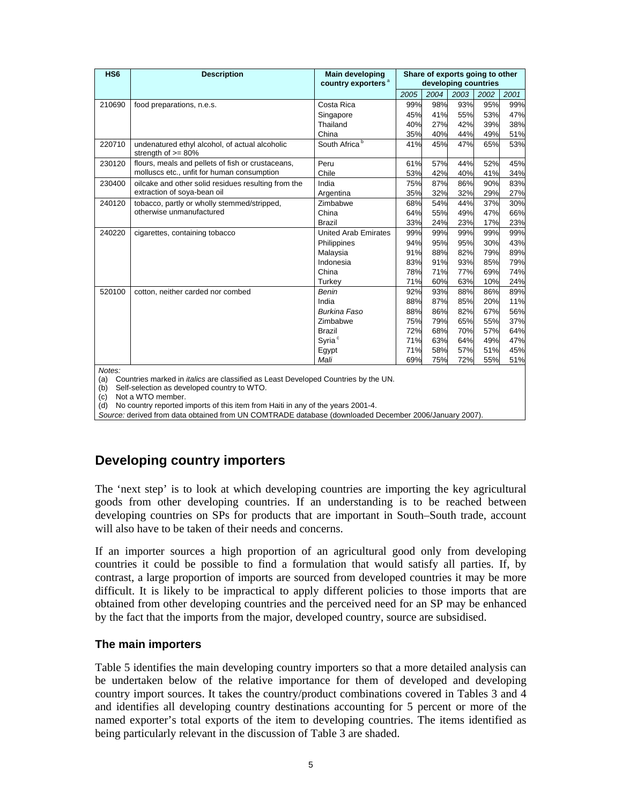| HS <sub>6</sub> | <b>Description</b>                                                      | <b>Main developing</b><br>country exporters <sup>a</sup> | Share of exports going to other<br>developing countries |      |      |      |      |  |  |  |  |  |
|-----------------|-------------------------------------------------------------------------|----------------------------------------------------------|---------------------------------------------------------|------|------|------|------|--|--|--|--|--|
|                 |                                                                         |                                                          | 2005                                                    | 2004 | 2003 | 2002 | 2001 |  |  |  |  |  |
| 210690          | food preparations, n.e.s.                                               | Costa Rica                                               | 99%                                                     | 98%  | 93%  | 95%  | 99%  |  |  |  |  |  |
|                 |                                                                         | Singapore                                                | 45%                                                     | 41%  | 55%  | 53%  | 47%  |  |  |  |  |  |
|                 |                                                                         | Thailand                                                 | 40%                                                     | 27%  | 42%  | 39%  | 38%  |  |  |  |  |  |
|                 |                                                                         | China                                                    | 35%                                                     | 40%  | 44%  | 49%  | 51%  |  |  |  |  |  |
| 220710          | undenatured ethyl alcohol, of actual alcoholic<br>strength of $>= 80\%$ | South Africa <sup>b</sup>                                | 41%                                                     | 45%  | 47%  | 65%  | 53%  |  |  |  |  |  |
| 230120          | flours, meals and pellets of fish or crustaceans,                       | Peru                                                     | 61%                                                     | 57%  | 44%  | 52%  | 45%  |  |  |  |  |  |
|                 | molluscs etc., unfit for human consumption                              | Chile                                                    | 53%                                                     | 42%  | 40%  | 41%  | 34%  |  |  |  |  |  |
| 230400          | oilcake and other solid residues resulting from the                     | India                                                    | 75%                                                     | 87%  | 86%  | 90%  | 83%  |  |  |  |  |  |
|                 | extraction of soya-bean oil                                             | Argentina                                                | 35%                                                     | 32%  | 32%  | 29%  | 27%  |  |  |  |  |  |
| 240120          | tobacco, partly or wholly stemmed/stripped,                             | Zimbabwe                                                 | 68%                                                     | 54%  | 44%  | 37%  | 30%  |  |  |  |  |  |
|                 | otherwise unmanufactured                                                | China                                                    | 64%                                                     | 55%  | 49%  | 47%  | 66%  |  |  |  |  |  |
|                 |                                                                         | <b>Brazil</b>                                            | 33%                                                     | 24%  | 23%  | 17%  | 23%  |  |  |  |  |  |
| 240220          | cigarettes, containing tobacco                                          | <b>United Arab Emirates</b>                              | 99%                                                     | 99%  | 99%  | 99%  | 99%  |  |  |  |  |  |
|                 |                                                                         | Philippines                                              | 94%                                                     | 95%  | 95%  | 30%  | 43%  |  |  |  |  |  |
|                 |                                                                         | Malaysia                                                 | 91%                                                     | 88%  | 82%  | 79%  | 89%  |  |  |  |  |  |
|                 |                                                                         | Indonesia                                                | 83%                                                     | 91%  | 93%  | 85%  | 79%  |  |  |  |  |  |
|                 |                                                                         | China                                                    | 78%                                                     | 71%  | 77%  | 69%  | 74%  |  |  |  |  |  |
|                 |                                                                         | Turkey                                                   | 71%                                                     | 60%  | 63%  | 10%  | 24%  |  |  |  |  |  |
| 520100          | cotton, neither carded nor combed                                       | Benin                                                    | 92%                                                     | 93%  | 88%  | 86%  | 89%  |  |  |  |  |  |
|                 |                                                                         | India                                                    | 88%                                                     | 87%  | 85%  | 20%  | 11%  |  |  |  |  |  |
|                 |                                                                         | Burkina Faso                                             | 88%                                                     | 86%  | 82%  | 67%  | 56%  |  |  |  |  |  |
|                 |                                                                         | Zimbabwe                                                 | 75%                                                     | 79%  | 65%  | 55%  | 37%  |  |  |  |  |  |
|                 |                                                                         | <b>Brazil</b>                                            | 72%                                                     | 68%  | 70%  | 57%  | 64%  |  |  |  |  |  |
|                 |                                                                         | Syria <sup>c</sup>                                       | 71%                                                     | 63%  | 64%  | 49%  | 47%  |  |  |  |  |  |
|                 |                                                                         | Egypt                                                    | 71%                                                     | 58%  | 57%  | 51%  | 45%  |  |  |  |  |  |
|                 |                                                                         | Mali                                                     | 69%                                                     | 75%  | 72%  | 55%  | 51%  |  |  |  |  |  |
| Notes:          |                                                                         |                                                          |                                                         |      |      |      |      |  |  |  |  |  |

(a) Countries marked in *italics* are classified as Least Developed Countries by the UN.

(b) Self-selection as developed country to WTO.

(c) Not a WTO member.

(d) No country reported imports of this item from Haiti in any of the years 2001-4.

*Source:* derived from data obtained from UN COMTRADE database (downloaded December 2006/January 2007).

# **Developing country importers**

The 'next step' is to look at which developing countries are importing the key agricultural goods from other developing countries. If an understanding is to be reached between developing countries on SPs for products that are important in South–South trade, account will also have to be taken of their needs and concerns.

If an importer sources a high proportion of an agricultural good only from developing countries it could be possible to find a formulation that would satisfy all parties. If, by contrast, a large proportion of imports are sourced from developed countries it may be more difficult. It is likely to be impractical to apply different policies to those imports that are obtained from other developing countries and the perceived need for an SP may be enhanced by the fact that the imports from the major, developed country, source are subsidised.

### **The main importers**

Table 5 identifies the main developing country importers so that a more detailed analysis can be undertaken below of the relative importance for them of developed and developing country import sources. It takes the country/product combinations covered in Tables 3 and 4 and identifies all developing country destinations accounting for 5 percent or more of the named exporter's total exports of the item to developing countries. The items identified as being particularly relevant in the discussion of Table 3 are shaded.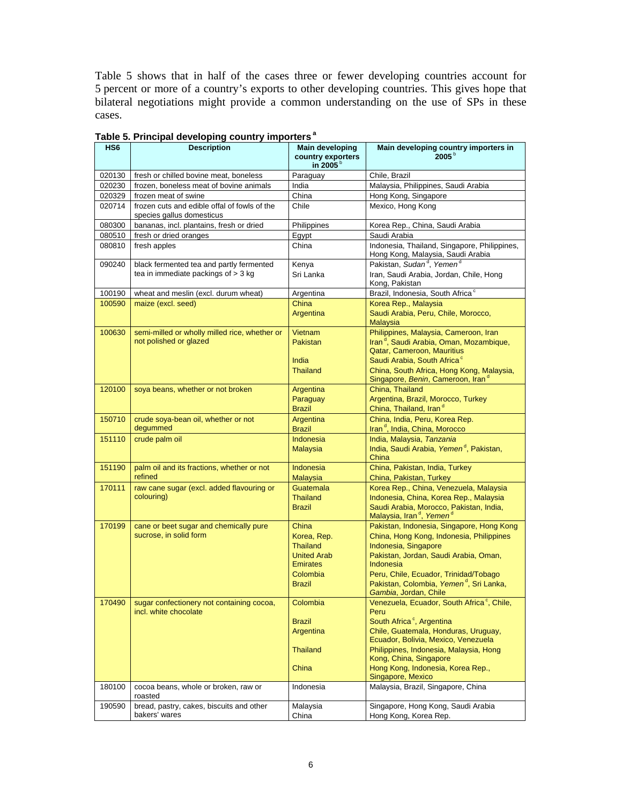Table 5 shows that in half of the cases three or fewer developing countries account for 5 percent or more of a country's exports to other developing countries. This gives hope that bilateral negotiations might provide a common understanding on the use of SPs in these cases.

| HS <sub>6</sub> | <b>Description</b>                                                        | <b>Main developing</b><br>country exporters<br>in 2005 <sup>b</sup> | Main developing country importers in<br>$2005^{\circ}$                                      |  |  |  |  |  |  |
|-----------------|---------------------------------------------------------------------------|---------------------------------------------------------------------|---------------------------------------------------------------------------------------------|--|--|--|--|--|--|
| 020130          | fresh or chilled bovine meat, boneless                                    | Paraguay                                                            | Chile, Brazil                                                                               |  |  |  |  |  |  |
| 020230          | frozen, boneless meat of bovine animals                                   | India                                                               | Malaysia, Philippines, Saudi Arabia                                                         |  |  |  |  |  |  |
| 020329          | frozen meat of swine                                                      | China                                                               | Hong Kong, Singapore                                                                        |  |  |  |  |  |  |
| 020714          | frozen cuts and edible offal of fowls of the<br>species gallus domesticus | Chile                                                               | Mexico, Hong Kong                                                                           |  |  |  |  |  |  |
| 080300          | bananas, incl. plantains, fresh or dried                                  | Philippines                                                         | Korea Rep., China, Saudi Arabia                                                             |  |  |  |  |  |  |
| 080510          | fresh or dried oranges                                                    | Egypt                                                               | Saudi Arabia                                                                                |  |  |  |  |  |  |
| 080810          | fresh apples                                                              | China                                                               | Indonesia, Thailand, Singapore, Philippines,<br>Hong Kong, Malaysia, Saudi Arabia           |  |  |  |  |  |  |
| 090240          | black fermented tea and partly fermented                                  | Kenya                                                               | Pakistan, Sudan <sup>d</sup> , Yemen <sup>d</sup>                                           |  |  |  |  |  |  |
|                 | tea in immediate packings of $>$ 3 kg                                     | Sri Lanka                                                           | Iran, Saudi Arabia, Jordan, Chile, Hong<br>Kong, Pakistan                                   |  |  |  |  |  |  |
| 100190          | wheat and meslin (excl. durum wheat)                                      | Argentina                                                           | Brazil, Indonesia, South Africa <sup>c</sup>                                                |  |  |  |  |  |  |
| 100590          | maize (excl. seed)                                                        | China<br>Argentina                                                  | Korea Rep., Malaysia<br>Saudi Arabia, Peru, Chile, Morocco,<br><b>Malaysia</b>              |  |  |  |  |  |  |
| 100630          | semi-milled or wholly milled rice, whether or                             | Vietnam                                                             | Philippines, Malaysia, Cameroon, Iran                                                       |  |  |  |  |  |  |
|                 | not polished or glazed                                                    | Pakistan                                                            | Iran <sup>d</sup> , Saudi Arabia, Oman, Mozambique,<br>Qatar, Cameroon, Mauritius           |  |  |  |  |  |  |
|                 |                                                                           | India                                                               | Saudi Arabia, South Africa <sup>c</sup>                                                     |  |  |  |  |  |  |
|                 |                                                                           | <b>Thailand</b>                                                     | China, South Africa, Hong Kong, Malaysia,<br>Singapore, Benin, Cameroon, Iran <sup>d</sup>  |  |  |  |  |  |  |
| 120100          | soya beans, whether or not broken                                         | Argentina                                                           | China, Thailand                                                                             |  |  |  |  |  |  |
|                 |                                                                           | Paraguay                                                            | Argentina, Brazil, Morocco, Turkey<br>China, Thailand, Iran <sup>d</sup>                    |  |  |  |  |  |  |
| 150710          | crude soya-bean oil, whether or not                                       | <b>Brazil</b><br>Argentina                                          | China, India, Peru, Korea Rep.                                                              |  |  |  |  |  |  |
|                 | degummed                                                                  | <b>Brazil</b>                                                       | Iran <sup>d</sup> , India, China, Morocco                                                   |  |  |  |  |  |  |
| 151110          | crude palm oil                                                            | Indonesia                                                           | India, Malaysia, Tanzania                                                                   |  |  |  |  |  |  |
|                 |                                                                           | <b>Malaysia</b>                                                     | India, Saudi Arabia, Yemen <sup>d</sup> , Pakistan,<br>China                                |  |  |  |  |  |  |
| 151190          | palm oil and its fractions, whether or not<br>refined                     | Indonesia<br><b>Malaysia</b>                                        | China, Pakistan, India, Turkey<br>China, Pakistan, Turkey                                   |  |  |  |  |  |  |
| 170111          | raw cane sugar (excl. added flavouring or                                 | Guatemala                                                           | Korea Rep., China, Venezuela, Malaysia                                                      |  |  |  |  |  |  |
|                 | colouring)                                                                | <b>Thailand</b>                                                     | Indonesia, China, Korea Rep., Malaysia                                                      |  |  |  |  |  |  |
|                 |                                                                           | <b>Brazil</b>                                                       | Saudi Arabia, Morocco, Pakistan, India,<br>Malaysia, Iran <sup>d</sup> , Yemen <sup>d</sup> |  |  |  |  |  |  |
| 170199          | cane or beet sugar and chemically pure                                    | China                                                               | Pakistan, Indonesia, Singapore, Hong Kong                                                   |  |  |  |  |  |  |
|                 | sucrose, in solid form                                                    | Korea, Rep.<br><b>Thailand</b>                                      | China, Hong Kong, Indonesia, Philippines<br>Indonesia, Singapore                            |  |  |  |  |  |  |
|                 |                                                                           | <b>United Arab</b>                                                  | Pakistan, Jordan, Saudi Arabia, Oman,                                                       |  |  |  |  |  |  |
|                 |                                                                           | <b>Emirates</b>                                                     | Indonesia                                                                                   |  |  |  |  |  |  |
|                 |                                                                           | Colombia                                                            | Peru, Chile, Ecuador, Trinidad/Tobago                                                       |  |  |  |  |  |  |
|                 |                                                                           | <b>Brazil</b>                                                       | Pakistan, Colombia, Yemen <sup>d</sup> , Sri Lanka,<br>Gambia, Jordan, Chile                |  |  |  |  |  |  |
| 170490          | sugar confectionery not containing cocoa,<br>incl. white chocolate        | Colombia                                                            | Venezuela, Ecuador, South Africa <sup>c</sup> , Chile,<br>Peru                              |  |  |  |  |  |  |
|                 |                                                                           | <b>Brazil</b>                                                       | South Africa <sup>c</sup> , Argentina                                                       |  |  |  |  |  |  |
|                 |                                                                           | Argentina                                                           | Chile, Guatemala, Honduras, Uruguay,<br>Ecuador, Bolivia, Mexico, Venezuela                 |  |  |  |  |  |  |
|                 |                                                                           | <b>Thailand</b>                                                     | Philippines, Indonesia, Malaysia, Hong<br>Kong, China, Singapore                            |  |  |  |  |  |  |
|                 |                                                                           | China                                                               | Hong Kong, Indonesia, Korea Rep.,<br>Singapore, Mexico                                      |  |  |  |  |  |  |
| 180100          | cocoa beans, whole or broken, raw or<br>roasted                           | Indonesia                                                           | Malaysia, Brazil, Singapore, China                                                          |  |  |  |  |  |  |
| 190590          | bread, pastry, cakes, biscuits and other                                  | Malaysia                                                            | Singapore, Hong Kong, Saudi Arabia                                                          |  |  |  |  |  |  |
|                 | bakers' wares                                                             | China                                                               | Hong Kong, Korea Rep.                                                                       |  |  |  |  |  |  |

# **Table 5. Principal developing country importers a**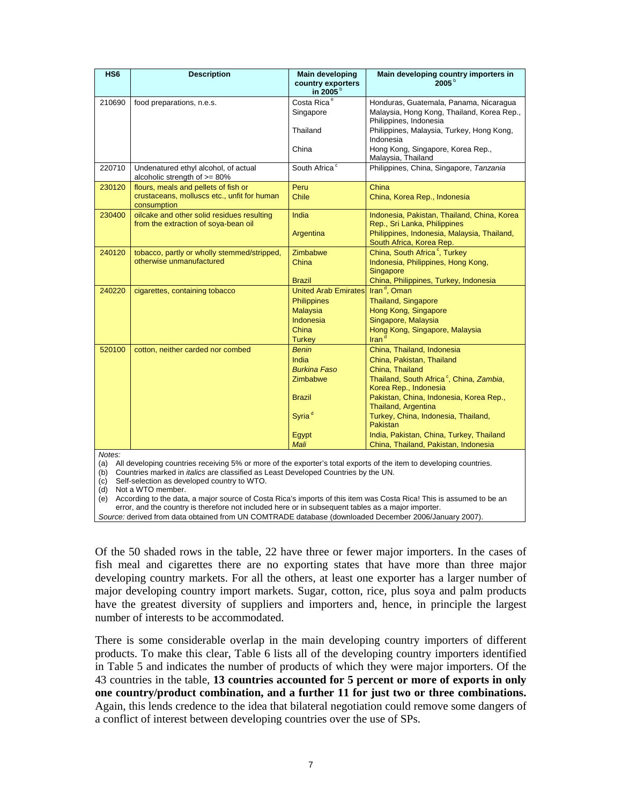| HS <sub>6</sub> | <b>Description</b>                                                                 | <b>Main developing</b><br>country exporters<br>in 2005 <sup>b</sup> | Main developing country importers in<br>$2005^{b}$                                                             |
|-----------------|------------------------------------------------------------------------------------|---------------------------------------------------------------------|----------------------------------------------------------------------------------------------------------------|
| 210690          | food preparations, n.e.s.                                                          | Costa Rica <sup>e</sup><br>Singapore                                | Honduras, Guatemala, Panama, Nicaragua<br>Malaysia, Hong Kong, Thailand, Korea Rep.,<br>Philippines, Indonesia |
|                 |                                                                                    | Thailand                                                            | Philippines, Malaysia, Turkey, Hong Kong,<br>Indonesia                                                         |
|                 |                                                                                    | China                                                               | Hong Kong, Singapore, Korea Rep.,<br>Malaysia, Thailand                                                        |
| 220710          | Undenatured ethyl alcohol, of actual<br>alcoholic strength of >= 80%               | South Africa <sup>c</sup>                                           | Philippines, China, Singapore, Tanzania                                                                        |
| 230120          | flours, meals and pellets of fish or                                               | Peru                                                                | China                                                                                                          |
|                 | crustaceans, molluscs etc., unfit for human<br>consumption                         | <b>Chile</b>                                                        | China, Korea Rep., Indonesia                                                                                   |
| 230400          | oilcake and other solid residues resulting<br>from the extraction of soya-bean oil | India                                                               | Indonesia, Pakistan, Thailand, China, Korea<br>Rep., Sri Lanka, Philippines                                    |
|                 |                                                                                    | Argentina                                                           | Philippines, Indonesia, Malaysia, Thailand,<br>South Africa, Korea Rep.                                        |
| 240120          | tobacco, partly or wholly stemmed/stripped,                                        | Zimbabwe                                                            | China, South Africa <sup>c</sup> , Turkey                                                                      |
|                 | otherwise unmanufactured                                                           | China                                                               | Indonesia, Philippines, Hong Kong,<br>Singapore                                                                |
|                 |                                                                                    | <b>Brazil</b>                                                       | China, Philippines, Turkey, Indonesia                                                                          |
| 240220          | cigarettes, containing tobacco                                                     | <b>United Arab Emirates</b>                                         | Iran <sup>d</sup> , Oman                                                                                       |
|                 |                                                                                    | <b>Philippines</b>                                                  | <b>Thailand, Singapore</b>                                                                                     |
|                 |                                                                                    | <b>Malaysia</b>                                                     | Hong Kong, Singapore                                                                                           |
|                 |                                                                                    | <b>Indonesia</b>                                                    | Singapore, Malaysia                                                                                            |
|                 |                                                                                    | China                                                               | Hong Kong, Singapore, Malaysia                                                                                 |
|                 |                                                                                    | <b>Turkey</b>                                                       | Iran <sup>'</sup>                                                                                              |
| 520100          | cotton, neither carded nor combed                                                  | <b>Benin</b>                                                        | China, Thailand, Indonesia                                                                                     |
|                 |                                                                                    | India                                                               | China, Pakistan, Thailand                                                                                      |
|                 |                                                                                    | <b>Burkina Faso</b>                                                 | China, Thailand                                                                                                |
|                 |                                                                                    | Zimbabwe                                                            | Thailand, South Africa <sup>c</sup> , China, Zambia,<br>Korea Rep., Indonesia                                  |
|                 |                                                                                    | <b>Brazil</b>                                                       | Pakistan, China, Indonesia, Korea Rep.,<br>Thailand, Argentina                                                 |
|                 |                                                                                    | Syria <sup>d</sup>                                                  | Turkey, China, Indonesia, Thailand,<br>Pakistan                                                                |
|                 |                                                                                    | Egypt                                                               | India, Pakistan, China, Turkey, Thailand                                                                       |
|                 |                                                                                    | Mali                                                                | China, Thailand, Pakistan, Indonesia                                                                           |

*Notes:*

(a) All developing countries receiving 5% or more of the exporter's total exports of the item to developing countries.

(b) Countries marked in *italics* are classified as Least Developed Countries by the UN.

(c) Self-selection as developed country to WTO.

(d) Not a WTO member.

(e) According to the data, a major source of Costa Rica's imports of this item was Costa Rica! This is assumed to be an error, and the country is therefore not included here or in subsequent tables as a major importer.

*Source:* derived from data obtained from UN COMTRADE database (downloaded December 2006/January 2007).

Of the 50 shaded rows in the table, 22 have three or fewer major importers. In the cases of fish meal and cigarettes there are no exporting states that have more than three major developing country markets. For all the others, at least one exporter has a larger number of major developing country import markets. Sugar, cotton, rice, plus soya and palm products have the greatest diversity of suppliers and importers and, hence, in principle the largest number of interests to be accommodated.

There is some considerable overlap in the main developing country importers of different products. To make this clear, Table 6 lists all of the developing country importers identified in Table 5 and indicates the number of products of which they were major importers. Of the 43 countries in the table, **13 countries accounted for 5 percent or more of exports in only one country/product combination, and a further 11 for just two or three combinations.**  Again, this lends credence to the idea that bilateral negotiation could remove some dangers of a conflict of interest between developing countries over the use of SPs.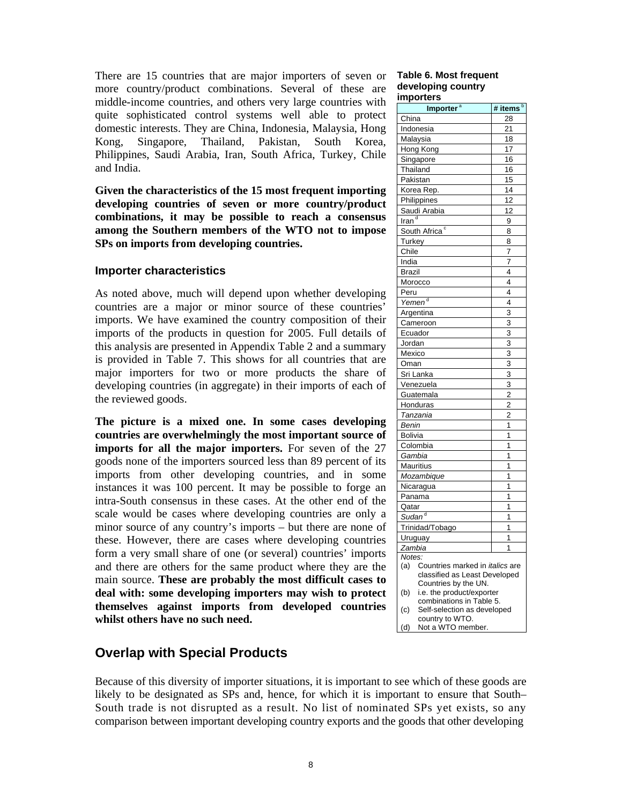There are 15 countries that are major importers of seven or more country/product combinations. Several of these are middle-income countries, and others very large countries with quite sophisticated control systems well able to protect domestic interests. They are China, Indonesia, Malaysia, Hong Kong, Singapore, Thailand, Pakistan, South Korea, Philippines, Saudi Arabia, Iran, South Africa, Turkey, Chile and India.

**Given the characteristics of the 15 most frequent importing developing countries of seven or more country/product combinations, it may be possible to reach a consensus among the Southern members of the WTO not to impose SPs on imports from developing countries.** 

#### **Importer characteristics**

As noted above, much will depend upon whether developing countries are a major or minor source of these countries' imports. We have examined the country composition of their imports of the products in question for 2005. Full details of this analysis are presented in Appendix Table 2 and a summary is provided in Table 7. This shows for all countries that are major importers for two or more products the share of developing countries (in aggregate) in their imports of each of the reviewed goods.

**The picture is a mixed one. In some cases developing countries are overwhelmingly the most important source of imports for all the major importers.** For seven of the 27 goods none of the importers sourced less than 89 percent of its imports from other developing countries, and in some instances it was 100 percent. It may be possible to forge an intra-South consensus in these cases. At the other end of the scale would be cases where developing countries are only a minor source of any country's imports – but there are none of these. However, there are cases where developing countries form a very small share of one (or several) countries' imports and there are others for the same product where they are the main source. **These are probably the most difficult cases to deal with: some developing importers may wish to protect themselves against imports from developed countries whilst others have no such need.** 

# **Overlap with Special Products**

Because of this diversity of importer situations, it is important to see which of these goods are likely to be designated as SPs and, hence, for which it is important to ensure that South– South trade is not disrupted as a result. No list of nominated SPs yet exists, so any comparison between important developing country exports and the goods that other developing

#### **Table 6. Most frequent developing country importers**

| ilipulters                                            |                  |  |  |  |  |
|-------------------------------------------------------|------------------|--|--|--|--|
| Importer <sup>a</sup>                                 | # items <b>b</b> |  |  |  |  |
| China                                                 | 28               |  |  |  |  |
| Indonesia                                             | 21               |  |  |  |  |
| Malaysia                                              | 18               |  |  |  |  |
| Hong Kong                                             | 17               |  |  |  |  |
| Singapore                                             | 16               |  |  |  |  |
| Thailand                                              | 16               |  |  |  |  |
| Pakistan                                              | 15               |  |  |  |  |
| Korea Rep.                                            | 14               |  |  |  |  |
| Philippines                                           | 12               |  |  |  |  |
| Saudi Arabia                                          | $\overline{1}2$  |  |  |  |  |
| $\overline{\text{tran}^d}$                            | 9                |  |  |  |  |
| South Africa <sup>c</sup>                             | 8                |  |  |  |  |
|                                                       |                  |  |  |  |  |
| Turkey                                                | 8                |  |  |  |  |
| Chile                                                 | 7                |  |  |  |  |
| India                                                 | 7                |  |  |  |  |
| <b>Brazil</b>                                         | 4                |  |  |  |  |
| Morocco                                               | 4                |  |  |  |  |
| Peru                                                  | 4                |  |  |  |  |
| Yemen <sup>d</sup>                                    | $\overline{4}$   |  |  |  |  |
| Argentina                                             | $\overline{3}$   |  |  |  |  |
| Cameroon                                              | 3                |  |  |  |  |
| Ecuador                                               | $\overline{3}$   |  |  |  |  |
| Jordan                                                | $\overline{3}$   |  |  |  |  |
| Mexico                                                | 3                |  |  |  |  |
| Oman                                                  | $\overline{3}$   |  |  |  |  |
| Sri Lanka                                             | 3                |  |  |  |  |
| Venezuela                                             | 3                |  |  |  |  |
| Guatemala                                             | $\overline{c}$   |  |  |  |  |
| Honduras                                              | $\overline{2}$   |  |  |  |  |
| Tanzania                                              | $\overline{2}$   |  |  |  |  |
| Benin                                                 | 1                |  |  |  |  |
| Bolivia                                               | 1                |  |  |  |  |
| Colombia                                              | 1                |  |  |  |  |
| Gambia                                                | 1                |  |  |  |  |
| <b>Mauritius</b>                                      | 1                |  |  |  |  |
| Mozambique                                            | 1                |  |  |  |  |
| Nicaragua                                             | 1                |  |  |  |  |
| Panama                                                | 1                |  |  |  |  |
| Qatar                                                 | 1                |  |  |  |  |
| Sudan <sup>d</sup>                                    | 1                |  |  |  |  |
| Trinidad/Tobago                                       | 1                |  |  |  |  |
| Uruguay                                               | 1                |  |  |  |  |
| Zambia                                                | 1                |  |  |  |  |
| Notes:                                                |                  |  |  |  |  |
| (a)<br>Countries marked in <i>italics</i> are         |                  |  |  |  |  |
| classified as Least Developed                         |                  |  |  |  |  |
| Countries by the UN.                                  |                  |  |  |  |  |
| i.e. the product/exporter<br>(b)                      |                  |  |  |  |  |
| combinations in Table 5.                              |                  |  |  |  |  |
| Self-selection as developed<br>(c)<br>country to WTO. |                  |  |  |  |  |
| (d)<br>Not a WTO member.                              |                  |  |  |  |  |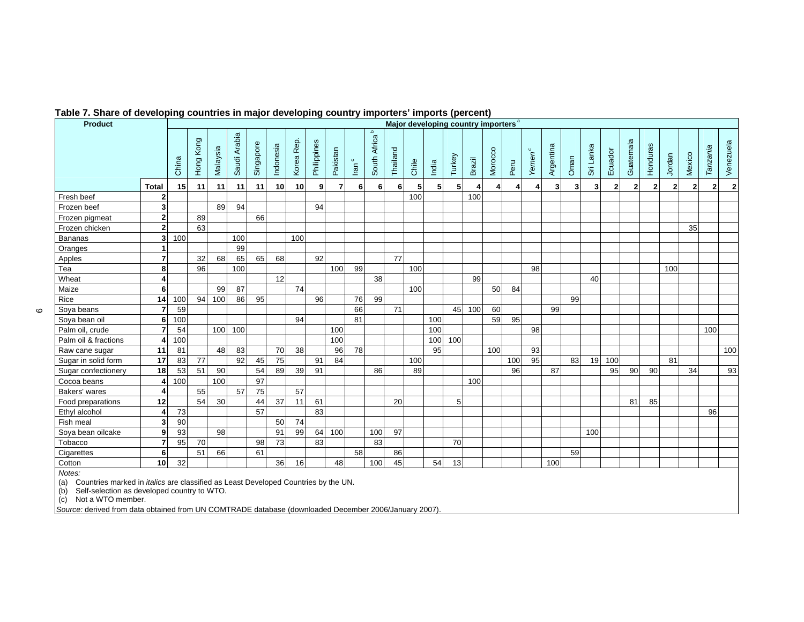| <b>Product</b>              |                                                                                                                                                               |                 |           |          |              |           |           |               |             |          |                 |                                 |          |       |                |        | Major developing country importers <sup>a</sup> |         |                |                    |           |                |           |              |              |          |              |                |              |              |
|-----------------------------|---------------------------------------------------------------------------------------------------------------------------------------------------------------|-----------------|-----------|----------|--------------|-----------|-----------|---------------|-------------|----------|-----------------|---------------------------------|----------|-------|----------------|--------|-------------------------------------------------|---------|----------------|--------------------|-----------|----------------|-----------|--------------|--------------|----------|--------------|----------------|--------------|--------------|
|                             |                                                                                                                                                               | China           | Hong Kong | Malaysia | Saudi Arabia | Singapore | Indonesia | Rep.<br>Korea | Philippines | Pakistan | $\circ$<br>lran | $\mathbf{D}$<br>Africa<br>South | Thailand | Chile | India          | Turkey | <b>Brazil</b>                                   | Morocco | Peru           | Yemen <sup>c</sup> | Argentina | Oman           | Sri Lanka | Ecuador      | Guatemala    | Honduras | Jordan       | Mexico         | Tanzania     | Venezuela    |
|                             | <b>Total</b>                                                                                                                                                  | 15 <sup>1</sup> | 11        | 11       | 11           | 11        | 10        | 10            | 9           | 7        | 6               | 6                               | 6        | 5     | 5 <sub>l</sub> | 5      |                                                 | 4       | $\overline{4}$ | 4                  |           | 3 <sup>1</sup> | 3         | $\mathbf{2}$ | $\mathbf{2}$ | 2        | $\mathbf{2}$ | $\overline{2}$ | $\mathbf{2}$ | $\mathbf{2}$ |
| Fresh beef                  | $\mathbf 2$                                                                                                                                                   |                 |           |          |              |           |           |               |             |          |                 |                                 |          | 100   |                |        | 100                                             |         |                |                    |           |                |           |              |              |          |              |                |              |              |
| Frozen beef                 | 3                                                                                                                                                             |                 |           | 89       | 94           |           |           |               | 94          |          |                 |                                 |          |       |                |        |                                                 |         |                |                    |           |                |           |              |              |          |              |                |              |              |
| Frozen pigmeat              | $\overline{\mathbf{2}}$                                                                                                                                       |                 | 89        |          |              | 66        |           |               |             |          |                 |                                 |          |       |                |        |                                                 |         |                |                    |           |                |           |              |              |          |              |                |              |              |
| Frozen chicken              | $\overline{2}$                                                                                                                                                |                 | 63        |          |              |           |           |               |             |          |                 |                                 |          |       |                |        |                                                 |         |                |                    |           |                |           |              |              |          |              | 35             |              |              |
| <b>Bananas</b>              | $\overline{\mathbf{3}}$                                                                                                                                       | 100             |           |          | 100          |           |           | 100           |             |          |                 |                                 |          |       |                |        |                                                 |         |                |                    |           |                |           |              |              |          |              |                |              |              |
| Oranges                     | 1                                                                                                                                                             |                 |           |          | 99           |           |           |               |             |          |                 |                                 |          |       |                |        |                                                 |         |                |                    |           |                |           |              |              |          |              |                |              |              |
| Apples                      | $\overline{7}$                                                                                                                                                |                 | 32        | 68       | 65           | 65        | 68        |               | 92          |          |                 |                                 | 77       |       |                |        |                                                 |         |                |                    |           |                |           |              |              |          |              |                |              |              |
| Tea                         | 8                                                                                                                                                             |                 | 96        |          | 100          |           |           |               |             | 100      | 99              |                                 |          | 100   |                |        |                                                 |         |                | 98                 |           |                |           |              |              |          | 100          |                |              |              |
| Wheat                       | 4                                                                                                                                                             |                 |           |          |              |           | 12        |               |             |          |                 | 38                              |          |       |                |        | 99                                              |         |                |                    |           |                | 40        |              |              |          |              |                |              |              |
| Maize                       | 6                                                                                                                                                             |                 |           | 99       | 87           |           |           | 74            |             |          |                 |                                 |          | 100   |                |        |                                                 | 50      | 84             |                    |           |                |           |              |              |          |              |                |              |              |
| Rice                        | 14                                                                                                                                                            | 100             | 94        | 100      | 86           | 95        |           |               | 96          |          | 76              | 99                              |          |       |                |        |                                                 |         |                |                    |           | 99             |           |              |              |          |              |                |              |              |
| Soya beans                  | $\overline{7}$                                                                                                                                                | 59              |           |          |              |           |           |               |             |          | 66              |                                 | 71       |       |                | 45     | 100                                             | 60      |                |                    | 99        |                |           |              |              |          |              |                |              |              |
| Soya bean oil               | 6                                                                                                                                                             | 100             |           |          |              |           |           | 94            |             |          | 81              |                                 |          |       | 100            |        |                                                 | 59      | 95             |                    |           |                |           |              |              |          |              |                |              |              |
| Palm oil, crude             | $\overline{7}$                                                                                                                                                | 54              |           | 100      | 100          |           |           |               |             | 100      |                 |                                 |          |       | 100            |        |                                                 |         |                | 98                 |           |                |           |              |              |          |              |                | 100          |              |
| Palm oil & fractions        | 4                                                                                                                                                             | 100             |           |          |              |           |           |               |             | 100      |                 |                                 |          |       | 100            | 100    |                                                 |         |                |                    |           |                |           |              |              |          |              |                |              |              |
| Raw cane sugar              | 11                                                                                                                                                            | 81              |           | 48       | 83           |           | 70        | 38            |             | 96       | 78              |                                 |          |       | 95             |        |                                                 | 100     |                | 93                 |           |                |           |              |              |          |              |                |              | 100          |
| Sugar in solid form         | 17                                                                                                                                                            | 83              | 77        |          | 92           | 45        | 75        |               | 91          | 84       |                 |                                 |          | 100   |                |        |                                                 |         | 100            | 95                 |           | 83             | 19        | 100          |              |          | 81           |                |              |              |
| Sugar confectionery         | 18                                                                                                                                                            | 53              | 51        | 90       |              | 54        | 89        | 39            | 91          |          |                 | 86                              |          | 89    |                |        |                                                 |         | 96             |                    | 87        |                |           | 95           | 90           | 90       |              | 34             |              | 93           |
| Cocoa beans                 | 4                                                                                                                                                             | 100             |           | 100      |              | 97        |           |               |             |          |                 |                                 |          |       |                |        | 100                                             |         |                |                    |           |                |           |              |              |          |              |                |              |              |
| Bakers' wares               | 4                                                                                                                                                             |                 | 55        |          | 57           | 75        |           | 57            |             |          |                 |                                 |          |       |                |        |                                                 |         |                |                    |           |                |           |              |              |          |              |                |              |              |
| Food preparations           | 12                                                                                                                                                            |                 | 54        | 30       |              | 44        | 37        | 11            | 61          |          |                 |                                 | 20       |       |                | 5      |                                                 |         |                |                    |           |                |           |              | 81           | 85       |              |                |              |              |
| Ethyl alcohol               | 4                                                                                                                                                             | 73              |           |          |              | 57        |           |               | 83          |          |                 |                                 |          |       |                |        |                                                 |         |                |                    |           |                |           |              |              |          |              |                | 96           |              |
| Fish meal                   | $\overline{\mathbf{3}}$                                                                                                                                       | 90              |           |          |              |           | 50        | 74            |             |          |                 |                                 |          |       |                |        |                                                 |         |                |                    |           |                |           |              |              |          |              |                |              |              |
| Soya bean oilcake           | 9                                                                                                                                                             | 93              |           | 98       |              |           | 91        | 99            |             | 64 100   |                 | 100                             | 97       |       |                |        |                                                 |         |                |                    |           |                | 100       |              |              |          |              |                |              |              |
| Tobacco                     | $\overline{7}$                                                                                                                                                | 95              | 70        |          |              | 98        | 73        |               | 83          |          |                 | 83                              |          |       |                | 70     |                                                 |         |                |                    |           |                |           |              |              |          |              |                |              |              |
| Cigarettes                  | 6                                                                                                                                                             |                 | 51        | 66       |              | 61        |           |               |             |          | 58              |                                 | 86       |       |                |        |                                                 |         |                |                    |           | 59             |           |              |              |          |              |                |              |              |
| Cotton                      | 10                                                                                                                                                            | 32              |           |          |              |           | 36        | 16            |             | 48       |                 | 100                             | 45       |       | 54             | 13     |                                                 |         |                |                    | 100       |                |           |              |              |          |              |                |              |              |
| Notes:<br>(a)<br>(b)<br>(c) | Countries marked in <i>italics</i> are classified as Least Developed Countries by the UN.<br>Self-selection as developed country to WTO.<br>Not a WTO member. |                 |           |          |              |           |           |               |             |          |                 |                                 |          |       |                |        |                                                 |         |                |                    |           |                |           |              |              |          |              |                |              |              |

#### **Table 7. Share of developing countries in major developing country importers' imports (percent)**

*Source:* derived from data obtained from UN COMTRADE database (downloaded December 2006/January 2007).

 $\, \circ \,$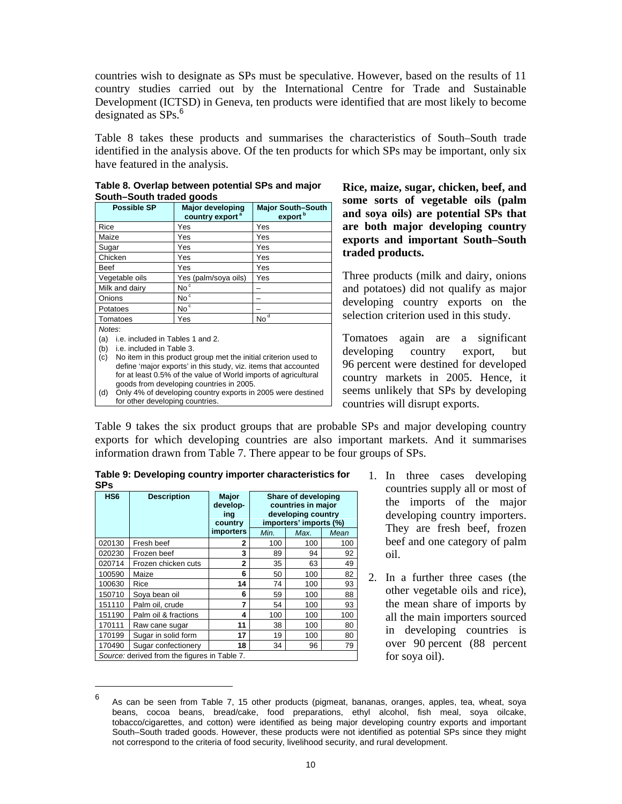countries wish to designate as SPs must be speculative. However, based on the results of 11 country studies carried out by the International Centre for Trade and Sustainable Development (ICTSD) in Geneva, ten products were identified that are most likely to become designated as SPs.<sup>6</sup>

Table 8 takes these products and summarises the characteristics of South–South trade identified in the analysis above. Of the ten products for which SPs may be important, only six have featured in the analysis.

| South–South traded goods                |                                                                 |                                                 |  |  |  |  |  |  |  |  |
|-----------------------------------------|-----------------------------------------------------------------|-------------------------------------------------|--|--|--|--|--|--|--|--|
| <b>Possible SP</b>                      | <b>Major developing</b><br>country export <sup>a</sup>          | <b>Major South-South</b><br>export <sup>b</sup> |  |  |  |  |  |  |  |  |
| Rice                                    | Yes                                                             | Yes                                             |  |  |  |  |  |  |  |  |
| Maize                                   | Yes                                                             | Yes                                             |  |  |  |  |  |  |  |  |
| Sugar                                   | Yes                                                             | Yes                                             |  |  |  |  |  |  |  |  |
| Chicken                                 | Yes                                                             | Yes                                             |  |  |  |  |  |  |  |  |
| Beef                                    | Yes                                                             | Yes                                             |  |  |  |  |  |  |  |  |
| Vegetable oils                          | Yes<br>Yes (palm/soya oils)                                     |                                                 |  |  |  |  |  |  |  |  |
| Milk and dairy                          | No <sup>c</sup>                                                 |                                                 |  |  |  |  |  |  |  |  |
| Onions                                  | No <sup>c</sup>                                                 |                                                 |  |  |  |  |  |  |  |  |
| Potatoes                                | No <sup>c</sup>                                                 |                                                 |  |  |  |  |  |  |  |  |
| Tomatoes                                | Yes                                                             | $No^{\overline{d}}$                             |  |  |  |  |  |  |  |  |
| Notes:                                  |                                                                 |                                                 |  |  |  |  |  |  |  |  |
| i.e. included in Tables 1 and 2.<br>(a) |                                                                 |                                                 |  |  |  |  |  |  |  |  |
| i.e. included in Table 3.<br>(b)        |                                                                 |                                                 |  |  |  |  |  |  |  |  |
| (c)                                     | No item in this product group met the initial criterion used to |                                                 |  |  |  |  |  |  |  |  |
|                                         | define 'major exports' in this study, viz. items that accounted |                                                 |  |  |  |  |  |  |  |  |
|                                         | for at least 0.5% of the value of World imports of agricultural |                                                 |  |  |  |  |  |  |  |  |
|                                         | goods from developing countries in 2005.                        |                                                 |  |  |  |  |  |  |  |  |
|                                         |                                                                 |                                                 |  |  |  |  |  |  |  |  |

**Table 8. Overlap between potential SPs and major South–South traded goods**

(d) Only 4% of developing country exports in 2005 were destined for other developing countries.

**Rice, maize, sugar, chicken, beef, and some sorts of vegetable oils (palm and soya oils) are potential SPs that are both major developing country exports and important South–South traded products.** 

Three products (milk and dairy, onions and potatoes) did not qualify as major developing country exports on the selection criterion used in this study.

Tomatoes again are a significant developing country export, but 96 percent were destined for developed country markets in 2005. Hence, it seems unlikely that SPs by developing countries will disrupt exports.

Table 9 takes the six product groups that are probable SPs and major developing country exports for which developing countries are also important markets. And it summarises information drawn from Table 7. There appear to be four groups of SPs.

| HS <sub>6</sub> | <b>Description</b>                           | <b>Major</b><br>develop-<br>ing<br>country | Share of developing<br>countries in major<br>developing country<br>importers' imports (%) |      |      |  |  |
|-----------------|----------------------------------------------|--------------------------------------------|-------------------------------------------------------------------------------------------|------|------|--|--|
|                 |                                              | <b>importers</b>                           | Min.                                                                                      | Max. | Mean |  |  |
| 020130          | Fresh beef                                   | $\mathbf{2}$                               | 100                                                                                       | 100  | 100  |  |  |
| 020230          | Frozen beef                                  | 3                                          | 89                                                                                        | 94   | 92   |  |  |
| 020714          | Frozen chicken cuts                          | $\overline{2}$                             | 35                                                                                        | 63   | 49   |  |  |
| 100590          | Maize                                        | 6                                          | 50                                                                                        | 100  | 82   |  |  |
| 100630          | Rice                                         | 14                                         | 74                                                                                        | 100  | 93   |  |  |
| 150710          | Soya bean oil                                | 6                                          | 59                                                                                        | 100  | 88   |  |  |
| 151110          | Palm oil, crude                              | 7                                          | 54                                                                                        | 100  | 93   |  |  |
| 151190          | Palm oil & fractions                         | 4                                          | 100                                                                                       | 100  | 100  |  |  |
| 170111          | Raw cane sugar                               | 11                                         | 38                                                                                        | 100  | 80   |  |  |
| 170199          | Sugar in solid form                          | 17                                         | 19                                                                                        | 100  | 80   |  |  |
| 170490          | Sugar confectionery                          | 18                                         | 34                                                                                        | 96   | 79   |  |  |
|                 | Source: derived from the figures in Table 7. |                                            |                                                                                           |      |      |  |  |

 $\overline{a}$ 

**Table 9: Developing country importer characteristics for SPs** 

- 1. In three cases developing countries supply all or most of the imports of the major developing country importers. They are fresh beef, frozen beef and one category of palm oil.
- 2. In a further three cases (the other vegetable oils and rice), the mean share of imports by all the main importers sourced in developing countries is over 90 percent (88 percent for soya oil).

<sup>6</sup> As can be seen from Table 7, 15 other products (pigmeat, bananas, oranges, apples, tea, wheat, soya beans, cocoa beans, bread/cake, food preparations, ethyl alcohol, fish meal, soya oilcake, tobacco/cigarettes, and cotton) were identified as being major developing country exports and important South–South traded goods. However, these products were not identified as potential SPs since they might not correspond to the criteria of food security, livelihood security, and rural development.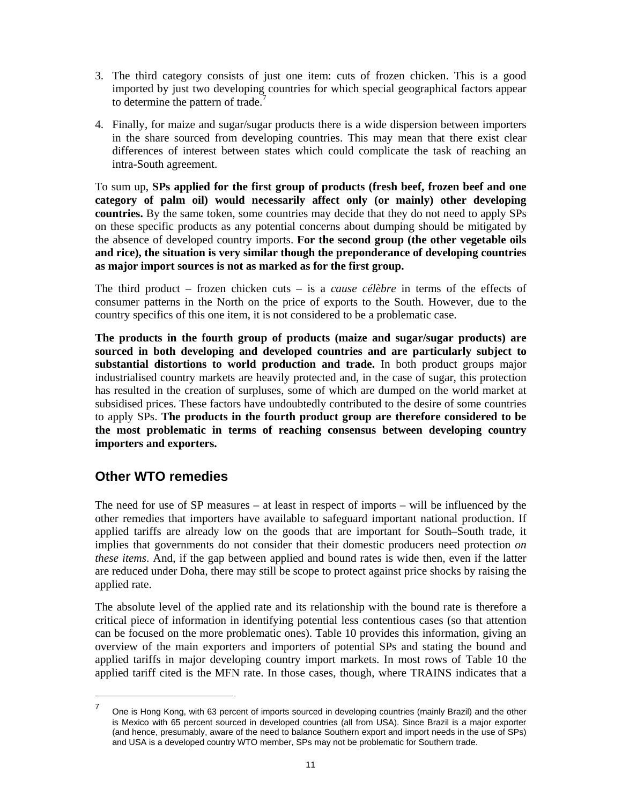- 3. The third category consists of just one item: cuts of frozen chicken. This is a good imported by just two developing countries for which special geographical factors appear to determine the pattern of trade.<sup>7</sup>
- 4. Finally, for maize and sugar/sugar products there is a wide dispersion between importers in the share sourced from developing countries. This may mean that there exist clear differences of interest between states which could complicate the task of reaching an intra-South agreement.

To sum up, **SPs applied for the first group of products (fresh beef, frozen beef and one category of palm oil) would necessarily affect only (or mainly) other developing countries.** By the same token, some countries may decide that they do not need to apply SPs on these specific products as any potential concerns about dumping should be mitigated by the absence of developed country imports. **For the second group (the other vegetable oils and rice), the situation is very similar though the preponderance of developing countries as major import sources is not as marked as for the first group.** 

The third product – frozen chicken cuts – is a *cause célèbre* in terms of the effects of consumer patterns in the North on the price of exports to the South. However, due to the country specifics of this one item, it is not considered to be a problematic case.

**The products in the fourth group of products (maize and sugar/sugar products) are sourced in both developing and developed countries and are particularly subject to substantial distortions to world production and trade.** In both product groups major industrialised country markets are heavily protected and, in the case of sugar, this protection has resulted in the creation of surpluses, some of which are dumped on the world market at subsidised prices. These factors have undoubtedly contributed to the desire of some countries to apply SPs. **The products in the fourth product group are therefore considered to be the most problematic in terms of reaching consensus between developing country importers and exporters.** 

# **Other WTO remedies**

 $\overline{a}$ 

The need for use of SP measures – at least in respect of imports – will be influenced by the other remedies that importers have available to safeguard important national production. If applied tariffs are already low on the goods that are important for South–South trade, it implies that governments do not consider that their domestic producers need protection *on these items*. And, if the gap between applied and bound rates is wide then, even if the latter are reduced under Doha, there may still be scope to protect against price shocks by raising the applied rate.

The absolute level of the applied rate and its relationship with the bound rate is therefore a critical piece of information in identifying potential less contentious cases (so that attention can be focused on the more problematic ones). Table 10 provides this information, giving an overview of the main exporters and importers of potential SPs and stating the bound and applied tariffs in major developing country import markets. In most rows of Table 10 the applied tariff cited is the MFN rate. In those cases, though, where TRAINS indicates that a

<sup>7</sup> One is Hong Kong, with 63 percent of imports sourced in developing countries (mainly Brazil) and the other is Mexico with 65 percent sourced in developed countries (all from USA). Since Brazil is a major exporter (and hence, presumably, aware of the need to balance Southern export and import needs in the use of SPs) and USA is a developed country WTO member, SPs may not be problematic for Southern trade.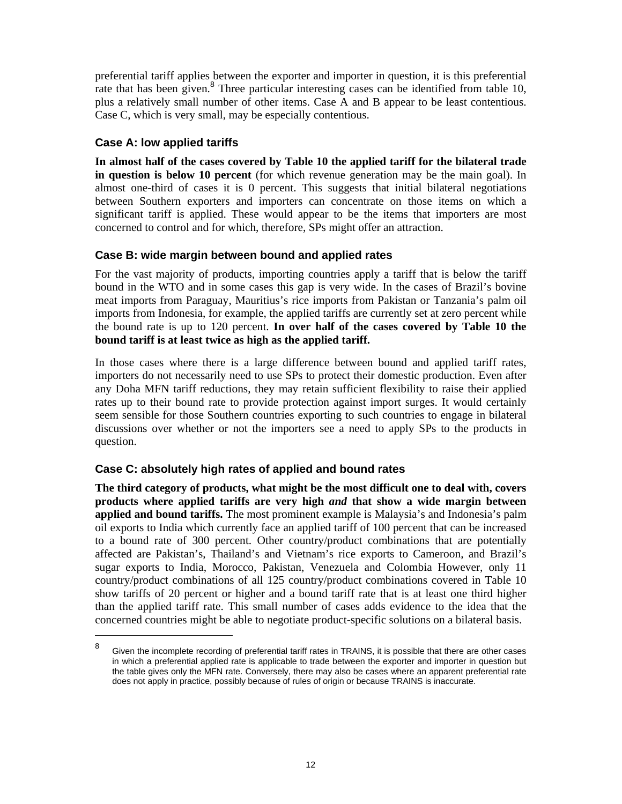preferential tariff applies between the exporter and importer in question, it is this preferential rate that has been given.<sup>8</sup> Three particular interesting cases can be identified from table 10, plus a relatively small number of other items. Case A and B appear to be least contentious. Case C, which is very small, may be especially contentious.

## **Case A: low applied tariffs**

 $\overline{a}$ 

**In almost half of the cases covered by Table 10 the applied tariff for the bilateral trade in question is below 10 percent** (for which revenue generation may be the main goal). In almost one-third of cases it is 0 percent. This suggests that initial bilateral negotiations between Southern exporters and importers can concentrate on those items on which a significant tariff is applied. These would appear to be the items that importers are most concerned to control and for which, therefore, SPs might offer an attraction.

## **Case B: wide margin between bound and applied rates**

For the vast majority of products, importing countries apply a tariff that is below the tariff bound in the WTO and in some cases this gap is very wide. In the cases of Brazil's bovine meat imports from Paraguay, Mauritius's rice imports from Pakistan or Tanzania's palm oil imports from Indonesia, for example, the applied tariffs are currently set at zero percent while the bound rate is up to 120 percent. **In over half of the cases covered by Table 10 the bound tariff is at least twice as high as the applied tariff.** 

In those cases where there is a large difference between bound and applied tariff rates, importers do not necessarily need to use SPs to protect their domestic production. Even after any Doha MFN tariff reductions, they may retain sufficient flexibility to raise their applied rates up to their bound rate to provide protection against import surges. It would certainly seem sensible for those Southern countries exporting to such countries to engage in bilateral discussions over whether or not the importers see a need to apply SPs to the products in question.

# **Case C: absolutely high rates of applied and bound rates**

**The third category of products, what might be the most difficult one to deal with, covers products where applied tariffs are very high** *and* **that show a wide margin between applied and bound tariffs.** The most prominent example is Malaysia's and Indonesia's palm oil exports to India which currently face an applied tariff of 100 percent that can be increased to a bound rate of 300 percent. Other country/product combinations that are potentially affected are Pakistan's, Thailand's and Vietnam's rice exports to Cameroon, and Brazil's sugar exports to India, Morocco, Pakistan, Venezuela and Colombia However, only 11 country/product combinations of all 125 country/product combinations covered in Table 10 show tariffs of 20 percent or higher and a bound tariff rate that is at least one third higher than the applied tariff rate. This small number of cases adds evidence to the idea that the concerned countries might be able to negotiate product-specific solutions on a bilateral basis.

<sup>8</sup> Given the incomplete recording of preferential tariff rates in TRAINS, it is possible that there are other cases in which a preferential applied rate is applicable to trade between the exporter and importer in question but the table gives only the MFN rate. Conversely, there may also be cases where an apparent preferential rate does not apply in practice, possibly because of rules of origin or because TRAINS is inaccurate.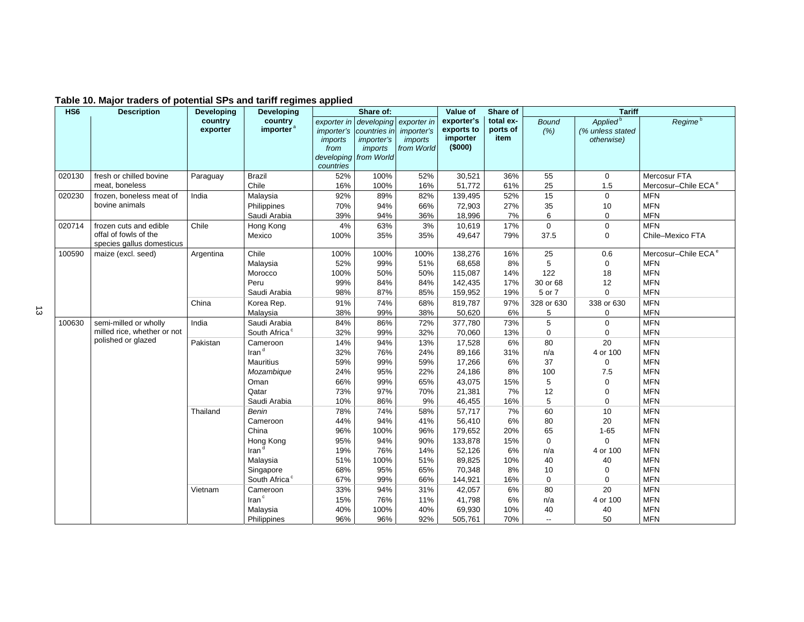| HS <sub>6</sub> | <b>Description</b>                                 | <b>Developing</b>   | <b>Developing</b>                |                                                           | Share of:                                                                           |                                                           | Value of                                        | Share of                      |                          | <b>Tariff</b>                                          |                                 |
|-----------------|----------------------------------------------------|---------------------|----------------------------------|-----------------------------------------------------------|-------------------------------------------------------------------------------------|-----------------------------------------------------------|-------------------------------------------------|-------------------------------|--------------------------|--------------------------------------------------------|---------------------------------|
|                 |                                                    | country<br>exporter | country<br>importer <sup>a</sup> | exporter in<br>imports<br>from<br>developing<br>countries | developing<br>importer's countries in<br><i>importer's</i><br>imports<br>from World | exporter in<br><i>importer's</i><br>imports<br>from World | exporter's<br>exports to<br>importer<br>(\$000) | total ex-<br>ports of<br>item | <b>Bound</b><br>(% )     | Applied <sup>b</sup><br>(% unless stated<br>otherwise) | Regime <sup>b</sup>             |
| 020130          | fresh or chilled bovine                            | Paraguay            | <b>Brazil</b>                    | 52%                                                       | 100%                                                                                | 52%                                                       | 30,521                                          | 36%                           | 55                       | $\mathbf 0$                                            | Mercosur FTA                    |
|                 | meat, boneless                                     |                     | Chile                            | 16%                                                       | 100%                                                                                | 16%                                                       | 51,772                                          | 61%                           | 25                       | 1.5                                                    | Mercosur-Chile ECA <sup>e</sup> |
| 020230          | frozen, boneless meat of                           | India               | Malaysia                         | 92%                                                       | 89%                                                                                 | 82%                                                       | 139,495                                         | 52%                           | 15                       | $\mathbf 0$                                            | <b>MFN</b>                      |
|                 | bovine animals                                     |                     | Philippines                      | 70%                                                       | 94%                                                                                 | 66%                                                       | 72,903                                          | 27%                           | 35                       | 10                                                     | <b>MFN</b>                      |
|                 |                                                    |                     | Saudi Arabia                     | 39%                                                       | 94%                                                                                 | 36%                                                       | 18,996                                          | 7%                            | $6\phantom{1}6$          | $\boldsymbol{0}$                                       | <b>MFN</b>                      |
| 020714          | frozen cuts and edible                             | Chile               | Hong Kong                        | 4%                                                        | 63%                                                                                 | 3%                                                        | 10,619                                          | 17%                           | $\mathbf 0$              | $\pmb{0}$                                              | <b>MFN</b>                      |
|                 | offal of fowls of the<br>species gallus domesticus |                     | Mexico                           | 100%                                                      | 35%                                                                                 | 35%                                                       | 49,647                                          | 79%                           | 37.5                     | $\mathbf 0$                                            | Chile-Mexico FTA                |
| 100590          | maize (excl. seed)                                 | Argentina           | Chile                            | 100%                                                      | 100%                                                                                | 100%                                                      | 138,276                                         | 16%                           | $\overline{25}$          | 0.6                                                    | Mercosur-Chile ECA <sup>e</sup> |
|                 |                                                    |                     | Malaysia                         | 52%                                                       | 99%                                                                                 | 51%                                                       | 68,658                                          | 8%                            | 5                        | $\mathbf 0$                                            | <b>MFN</b>                      |
|                 |                                                    |                     | Morocco                          | 100%                                                      | 50%                                                                                 | 50%                                                       | 115,087                                         | 14%                           | 122                      | 18                                                     | <b>MFN</b>                      |
|                 |                                                    |                     | Peru                             | 99%                                                       | 84%                                                                                 | 84%                                                       | 142,435                                         | 17%                           | 30 or 68                 | 12                                                     | <b>MFN</b>                      |
|                 |                                                    |                     | Saudi Arabia                     | 98%                                                       | 87%                                                                                 | 85%                                                       | 159,952                                         | 19%                           | 5 or 7                   | $\Omega$                                               | <b>MFN</b>                      |
|                 |                                                    | China               | Korea Rep.                       | 91%                                                       | 74%                                                                                 | 68%                                                       | 819,787                                         | 97%                           | 328 or 630               | 338 or 630                                             | <b>MFN</b>                      |
|                 |                                                    |                     | Malaysia                         | 38%                                                       | 99%                                                                                 | 38%                                                       | 50,620                                          | 6%                            | 5                        | $\mathbf 0$                                            | <b>MFN</b>                      |
| 100630          | semi-milled or wholly                              | India               | Saudi Arabia                     | 84%                                                       | 86%                                                                                 | 72%                                                       | 377,780                                         | 73%                           | $\overline{5}$           | $\pmb{0}$                                              | <b>MFN</b>                      |
|                 | milled rice, whether or not                        |                     | South Africa <sup>c</sup>        | 32%                                                       | 99%                                                                                 | 32%                                                       | 70,060                                          | 13%                           | $\mathbf 0$              | $\mathbf 0$                                            | <b>MFN</b>                      |
|                 | polished or glazed                                 | Pakistan            | Cameroon                         | 14%                                                       | 94%                                                                                 | 13%                                                       | 17,528                                          | 6%                            | 80                       | 20                                                     | <b>MFN</b>                      |
|                 |                                                    |                     | Iran <sup>d</sup>                | 32%                                                       | 76%                                                                                 | 24%                                                       | 89,166                                          | 31%                           | n/a                      | 4 or 100                                               | <b>MFN</b>                      |
|                 |                                                    |                     | <b>Mauritius</b>                 | 59%                                                       | 99%                                                                                 | 59%                                                       | 17,266                                          | 6%                            | 37                       | 0                                                      | <b>MFN</b>                      |
|                 |                                                    |                     | Mozambique                       | 24%                                                       | 95%                                                                                 | 22%                                                       | 24,186                                          | 8%                            | 100                      | 7.5                                                    | <b>MFN</b>                      |
|                 |                                                    |                     | Oman                             | 66%                                                       | 99%                                                                                 | 65%                                                       | 43,075                                          | 15%                           | 5                        | $\mathbf 0$                                            | <b>MFN</b>                      |
|                 |                                                    |                     | Qatar                            | 73%                                                       | 97%                                                                                 | 70%                                                       | 21,381                                          | 7%                            | 12                       | 0                                                      | <b>MFN</b>                      |
|                 |                                                    |                     | Saudi Arabia                     | 10%                                                       | 86%                                                                                 | 9%                                                        | 46,455                                          | 16%                           | $\mathbf 5$              | $\mathbf 0$                                            | <b>MFN</b>                      |
|                 |                                                    | Thailand            | Benin                            | 78%                                                       | 74%                                                                                 | 58%                                                       | 57,717                                          | 7%                            | 60                       | 10                                                     | <b>MFN</b>                      |
|                 |                                                    |                     | Cameroon                         | 44%                                                       | 94%                                                                                 | 41%                                                       | 56,410                                          | 6%                            | 80                       | 20                                                     | <b>MFN</b>                      |
|                 |                                                    |                     | China                            | 96%                                                       | 100%                                                                                | 96%                                                       | 179,652                                         | 20%                           | 65                       | $1 - 65$                                               | <b>MFN</b>                      |
|                 |                                                    |                     | Hong Kong                        | 95%                                                       | 94%                                                                                 | 90%                                                       | 133,878                                         | 15%                           | $\boldsymbol{0}$         | $\mathbf 0$                                            | <b>MFN</b>                      |
|                 |                                                    |                     | Iran <sup>d</sup>                | 19%                                                       | 76%                                                                                 | 14%                                                       | 52,126                                          | 6%                            | n/a                      | 4 or 100                                               | <b>MFN</b>                      |
|                 |                                                    |                     | Malaysia                         | 51%                                                       | 100%                                                                                | 51%                                                       | 89,825                                          | 10%                           | 40                       | 40                                                     | <b>MFN</b>                      |
|                 |                                                    |                     | Singapore                        | 68%                                                       | 95%                                                                                 | 65%                                                       | 70,348                                          | 8%                            | 10                       | 0                                                      | <b>MFN</b>                      |
|                 |                                                    |                     | South Africa <sup>c</sup>        | 67%                                                       | 99%                                                                                 | 66%                                                       | 144,921                                         | 16%                           | $\mathbf 0$              | $\mathbf 0$                                            | <b>MFN</b>                      |
|                 |                                                    | Vietnam             | Cameroon<br>Iran <sup>c</sup>    | 33%                                                       | 94%                                                                                 | 31%                                                       | 42,057                                          | $6\%$                         | 80                       | 20                                                     | <b>MFN</b><br><b>MFN</b>        |
|                 |                                                    |                     |                                  | 15%<br>40%                                                | 76%<br>100%                                                                         | 11%<br>40%                                                | 41,798                                          | 6%<br>10%                     | n/a<br>40                | 4 or 100                                               | <b>MFN</b>                      |
|                 |                                                    |                     | Malaysia                         | 96%                                                       | 96%                                                                                 | 92%                                                       | 69,930<br>505,761                               | 70%                           | $\overline{\phantom{a}}$ | 40<br>50                                               | <b>MFN</b>                      |
|                 |                                                    |                     | Philippines                      |                                                           |                                                                                     |                                                           |                                                 |                               |                          |                                                        |                                 |

#### **Table 10. Major traders of potential SPs and tariff regimes applied**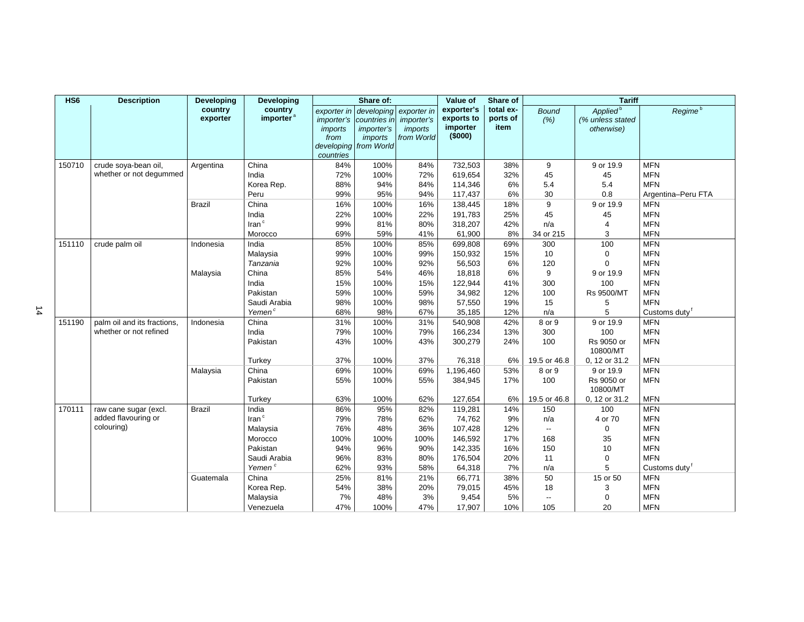| HS <sub>6</sub> | <b>Description</b>          | <b>Developing</b>   | <b>Developing</b>                |                                                                 | Share of:                                                                            |                                                           | Value of                                        | Share of                      |                          | <b>Tariff</b>                                          |                     |
|-----------------|-----------------------------|---------------------|----------------------------------|-----------------------------------------------------------------|--------------------------------------------------------------------------------------|-----------------------------------------------------------|-------------------------------------------------|-------------------------------|--------------------------|--------------------------------------------------------|---------------------|
|                 |                             | country<br>exporter | country<br>importer <sup>a</sup> | <i>importer's</i><br>imports<br>from<br>developing<br>countries | exporter in developing<br>countries in<br><i>importer's</i><br>imports<br>from World | exporter in<br><i>importer's</i><br>imports<br>from World | exporter's<br>exports to<br>importer<br>(\$000) | total ex-<br>ports of<br>item | <b>Bound</b><br>(% )     | Applied <sup>b</sup><br>(% unless stated<br>otherwise) | Regime <sup>b</sup> |
| 150710          | crude soya-bean oil,        | Argentina           | China                            | 84%                                                             | 100%                                                                                 | 84%                                                       | 732,503                                         | 38%                           | 9                        | 9 or 19.9                                              | <b>MFN</b>          |
|                 | whether or not degummed     |                     | India                            | 72%                                                             | 100%                                                                                 | 72%                                                       | 619,654                                         | 32%                           | 45                       | 45                                                     | <b>MFN</b>          |
|                 |                             |                     | Korea Rep.                       | 88%                                                             | 94%                                                                                  | 84%                                                       | 114,346                                         | 6%                            | 5.4                      | 5.4                                                    | <b>MFN</b>          |
|                 |                             |                     | Peru                             | 99%                                                             | 95%                                                                                  | 94%                                                       | 117,437                                         | 6%                            | 30                       | 0.8                                                    | Argentina-Peru FTA  |
|                 |                             | <b>Brazil</b>       | China                            | 16%                                                             | 100%                                                                                 | 16%                                                       | 138,445                                         | 18%                           | 9                        | 9 or 19.9                                              | <b>MFN</b>          |
|                 |                             |                     | India                            | 22%                                                             | 100%                                                                                 | 22%                                                       | 191,783                                         | 25%                           | 45                       | 45                                                     | <b>MFN</b>          |
|                 |                             |                     | $\text{Iran}^{\circ}$            | 99%                                                             | 81%                                                                                  | 80%                                                       | 318,207                                         | 42%                           | n/a                      | $\overline{4}$                                         | <b>MFN</b>          |
|                 |                             |                     | Morocco                          | 69%                                                             | 59%                                                                                  | 41%                                                       | 61,900                                          | 8%                            | 34 or 215                | 3                                                      | <b>MFN</b>          |
| 151110          | crude palm oil              | Indonesia           | India                            | 85%                                                             | 100%                                                                                 | 85%                                                       | 699,808                                         | 69%                           | 300                      | 100                                                    | <b>MFN</b>          |
|                 |                             |                     | Malaysia                         | 99%                                                             | 100%                                                                                 | 99%                                                       | 150,932                                         | 15%                           | 10                       | $\mathbf 0$                                            | <b>MFN</b>          |
|                 |                             |                     | Tanzania                         | 92%                                                             | 100%                                                                                 | 92%                                                       | 56,503                                          | 6%                            | 120                      | $\Omega$                                               | <b>MFN</b>          |
|                 |                             | Malaysia            | China                            | 85%                                                             | 54%                                                                                  | 46%                                                       | 18,818                                          | 6%                            | 9                        | 9 or 19.9                                              | <b>MFN</b>          |
|                 |                             |                     | India                            | 15%                                                             | 100%                                                                                 | 15%                                                       | 122,944                                         | 41%                           | 300                      | 100                                                    | <b>MFN</b>          |
|                 |                             |                     | Pakistan                         | 59%                                                             | 100%                                                                                 | 59%                                                       | 34,982                                          | 12%                           | 100                      | <b>Rs 9500/MT</b>                                      | <b>MFN</b>          |
|                 |                             |                     | Saudi Arabia                     | 98%                                                             | 100%                                                                                 | 98%                                                       | 57,550                                          | 19%                           | 15                       | 5                                                      | <b>MFN</b>          |
|                 |                             |                     | Yemen <sup>c</sup>               | 68%                                                             | 98%                                                                                  | 67%                                                       | 35,185                                          | 12%                           | n/a                      | 5                                                      | Customs duty        |
| 151190          | palm oil and its fractions. | Indonesia           | China                            | 31%                                                             | 100%                                                                                 | 31%                                                       | 540,908                                         | 42%                           | 8 or 9                   | 9 or 19.9                                              | <b>MFN</b>          |
|                 | whether or not refined      |                     | India                            | 79%                                                             | 100%                                                                                 | 79%                                                       | 166,234                                         | 13%                           | 300                      | 100                                                    | <b>MFN</b>          |
|                 |                             |                     | Pakistan                         | 43%                                                             | 100%                                                                                 | 43%                                                       | 300,279                                         | 24%                           | 100                      | Rs 9050 or<br>10800/MT                                 | <b>MFN</b>          |
|                 |                             |                     | Turkey                           | 37%                                                             | 100%                                                                                 | 37%                                                       | 76,318                                          | 6%                            | 19.5 or 46.8             | 0, 12 or 31.2                                          | <b>MFN</b>          |
|                 |                             | Malaysia            | China                            | 69%                                                             | 100%                                                                                 | 69%                                                       | 1,196,460                                       | 53%                           | 8 or 9                   | 9 or 19.9                                              | <b>MFN</b>          |
|                 |                             |                     | Pakistan                         | 55%                                                             | 100%                                                                                 | 55%                                                       | 384,945                                         | 17%                           | 100                      | Rs 9050 or<br>10800/MT                                 | <b>MFN</b>          |
|                 |                             |                     | Turkey                           | 63%                                                             | 100%                                                                                 | 62%                                                       | 127,654                                         | 6%                            | 19.5 or 46.8             | 0, 12 or 31.2                                          | <b>MFN</b>          |
| 170111          | raw cane sugar (excl.       | <b>Brazil</b>       | India                            | 86%                                                             | 95%                                                                                  | 82%                                                       | 119,281                                         | 14%                           | 150                      | 100                                                    | <b>MFN</b>          |
|                 | added flavouring or         |                     | Iran <sup>c</sup>                | 79%                                                             | 78%                                                                                  | 62%                                                       | 74,762                                          | 9%                            | n/a                      | 4 or 70                                                | <b>MFN</b>          |
|                 | colouring)                  |                     | Malaysia                         | 76%                                                             | 48%                                                                                  | 36%                                                       | 107,428                                         | 12%                           | $\overline{\phantom{a}}$ | 0                                                      | <b>MFN</b>          |
|                 |                             |                     | Morocco                          | 100%                                                            | 100%                                                                                 | 100%                                                      | 146,592                                         | 17%                           | 168                      | 35                                                     | <b>MFN</b>          |
|                 |                             |                     | Pakistan                         | 94%                                                             | 96%                                                                                  | 90%                                                       | 142,335                                         | 16%                           | 150                      | 10                                                     | <b>MFN</b>          |
|                 |                             |                     | Saudi Arabia                     | 96%                                                             | 83%                                                                                  | 80%                                                       | 176,504                                         | 20%                           | 11                       | $\mathbf 0$                                            | <b>MFN</b>          |
|                 |                             |                     | Yemen <sup>c</sup>               | 62%                                                             | 93%                                                                                  | 58%                                                       | 64,318                                          | 7%                            | n/a                      | 5                                                      | Customs duty        |
|                 |                             | Guatemala           | China                            | 25%                                                             | 81%                                                                                  | 21%                                                       | 66,771                                          | 38%                           | 50                       | 15 or 50                                               | <b>MFN</b>          |
|                 |                             |                     | Korea Rep.                       | 54%                                                             | 38%                                                                                  | 20%                                                       | 79,015                                          | 45%                           | 18                       | 3                                                      | <b>MFN</b>          |
|                 |                             |                     | Malaysia                         | 7%                                                              | 48%                                                                                  | 3%                                                        | 9,454                                           | 5%                            | $\overline{\phantom{a}}$ | $\mathbf 0$                                            | <b>MFN</b>          |
|                 |                             |                     | Venezuela                        | 47%                                                             | 100%                                                                                 | 47%                                                       | 17,907                                          | 10%                           | 105                      | 20                                                     | <b>MFN</b>          |

14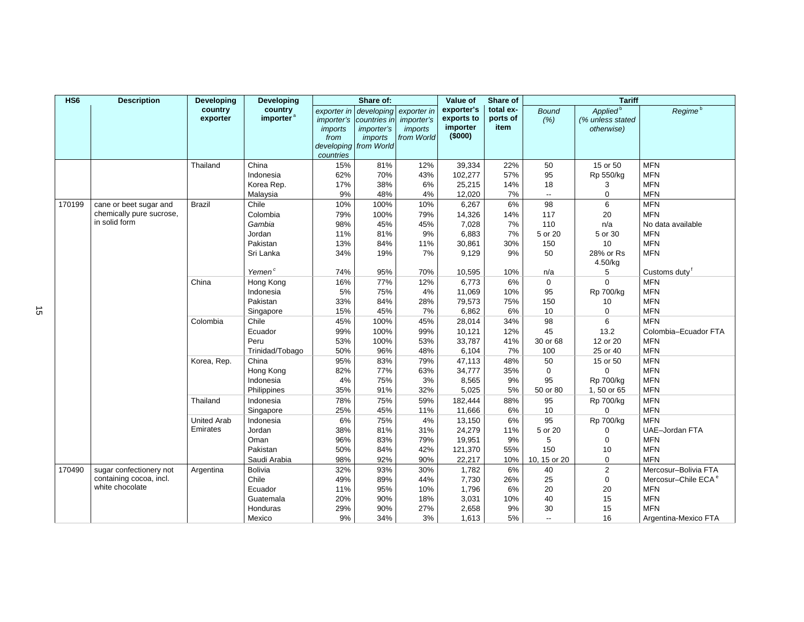| HS <sub>6</sub> | <b>Description</b>                                                    | <b>Developing</b>              | <b>Developing</b>                                                                    |                                                                  | Share of:                                                                           |                                                                  | Value of                                                       | Share of                                  |                                                        | <b>Tariff</b>                                                |                                                                                                                           |
|-----------------|-----------------------------------------------------------------------|--------------------------------|--------------------------------------------------------------------------------------|------------------------------------------------------------------|-------------------------------------------------------------------------------------|------------------------------------------------------------------|----------------------------------------------------------------|-------------------------------------------|--------------------------------------------------------|--------------------------------------------------------------|---------------------------------------------------------------------------------------------------------------------------|
|                 |                                                                       | country<br>exporter            | country<br>importer <sup>a</sup>                                                     | exporter in<br><i>importer's</i><br>imports<br>from<br>countries | developing<br>countries in<br><i>importer's</i><br>imports<br>developing from World | exporter in<br><i>importer's</i><br><i>imports</i><br>from World | exporter's<br>exports to<br>importer<br>(\$000)                | total ex-<br>ports of<br>item             | <b>Bound</b><br>(% )                                   | Applied <sup>b</sup><br>(% unless stated<br>otherwise)       | Regime <sup>b</sup>                                                                                                       |
|                 |                                                                       | Thailand                       | China<br>Indonesia<br>Korea Rep.<br>Malaysia                                         | 15%<br>62%<br>17%<br>9%                                          | 81%<br>70%<br>38%<br>48%                                                            | 12%<br>43%<br>6%<br>4%                                           | 39,334<br>102,277<br>25,215<br>12,020                          | 22%<br>57%<br>14%<br>7%                   | 50<br>95<br>18<br>$\overline{\phantom{a}}$             | 15 or 50<br>Rp 550/kg<br>3<br>$\boldsymbol{0}$               | <b>MFN</b><br><b>MFN</b><br><b>MFN</b><br><b>MFN</b>                                                                      |
| 170199          | cane or beet sugar and<br>chemically pure sucrose,<br>in solid form   | <b>Brazil</b>                  | Chile<br>Colombia<br>Gambia<br>Jordan<br>Pakistan<br>Sri Lanka<br>Yemen <sup>c</sup> | 10%<br>79%<br>98%<br>11%<br>13%<br>34%<br>74%                    | 100%<br>100%<br>45%<br>81%<br>84%<br>19%<br>95%                                     | 10%<br>79%<br>45%<br>9%<br>11%<br>7%<br>70%                      | 6,267<br>14,326<br>7,028<br>6,883<br>30,861<br>9,129<br>10,595 | 6%<br>14%<br>7%<br>7%<br>30%<br>9%<br>10% | 98<br>117<br>110<br>5 or 20<br>150<br>50<br>n/a        | 6<br>20<br>n/a<br>5 or 30<br>10<br>28% or Rs<br>4.50/kg<br>5 | <b>MFN</b><br><b>MFN</b><br>No data available<br><b>MFN</b><br><b>MFN</b><br><b>MFN</b><br>Customs duty <sup>f</sup>      |
|                 |                                                                       | China                          | Hong Kong<br>Indonesia<br>Pakistan<br>Singapore                                      | 16%<br>5%<br>33%<br>15%                                          | 77%<br>75%<br>84%<br>45%                                                            | 12%<br>4%<br>28%<br>7%                                           | 6,773<br>11,069<br>79,573<br>6,862                             | 6%<br>10%<br>75%<br>6%                    | $\mathbf 0$<br>95<br>150<br>10                         | $\mathbf 0$<br><b>Rp 700/kg</b><br>10<br>$\mathbf 0$         | <b>MFN</b><br><b>MFN</b><br><b>MFN</b><br><b>MFN</b>                                                                      |
|                 |                                                                       | Colombia                       | Chile<br>Ecuador<br>Peru<br>Trinidad/Tobago                                          | 45%<br>99%<br>53%<br>50%                                         | 100%<br>100%<br>100%<br>96%                                                         | 45%<br>99%<br>53%<br>48%                                         | 28,014<br>10,121<br>33,787<br>6,104                            | 34%<br>12%<br>41%<br>7%                   | 98<br>45<br>30 or 68<br>100                            | 6<br>13.2<br>12 or 20<br>25 or 40                            | <b>MFN</b><br>Colombia-Ecuador FTA<br><b>MFN</b><br><b>MFN</b>                                                            |
|                 |                                                                       | Korea, Rep.                    | China<br>Hong Kong<br>Indonesia<br>Philippines                                       | 95%<br>82%<br>4%<br>35%                                          | 83%<br>77%<br>75%<br>91%                                                            | 79%<br>63%<br>3%<br>32%                                          | 47,113<br>34,777<br>8,565<br>5,025                             | 48%<br>35%<br>9%<br>5%                    | 50<br>$\mathbf 0$<br>95<br>50 or 80                    | 15 or 50<br>$\mathbf 0$<br><b>Rp 700/kg</b><br>1,50 or 65    | <b>MFN</b><br><b>MFN</b><br><b>MFN</b><br><b>MFN</b>                                                                      |
|                 |                                                                       | Thailand                       | Indonesia<br>Singapore                                                               | 78%<br>25%                                                       | 75%<br>45%                                                                          | 59%<br>11%                                                       | 182,444<br>11,666                                              | 88%<br>6%                                 | 95<br>10                                               | Rp 700/kg<br>$\mathbf 0$                                     | <b>MFN</b><br><b>MFN</b>                                                                                                  |
|                 |                                                                       | <b>United Arab</b><br>Emirates | Indonesia<br>Jordan<br>Oman<br>Pakistan<br>Saudi Arabia                              | 6%<br>38%<br>96%<br>50%<br>98%                                   | 75%<br>81%<br>83%<br>84%<br>92%                                                     | 4%<br>31%<br>79%<br>42%<br>90%                                   | 13,150<br>24,279<br>19,951<br>121,370<br>22,217                | 6%<br>11%<br>9%<br>55%<br>10%             | 95<br>5 or 20<br>5<br>150<br>10, 15 or 20              | Rp 700/kg<br>$\Omega$<br>0<br>10<br>0                        | <b>MFN</b><br><b>UAE-Jordan FTA</b><br><b>MFN</b><br><b>MFN</b><br><b>MFN</b>                                             |
| 170490          | sugar confectionery not<br>containing cocoa, incl.<br>white chocolate | Argentina                      | <b>Bolivia</b><br>Chile<br>Ecuador<br>Guatemala<br>Honduras<br>Mexico                | 32%<br>49%<br>11%<br>20%<br>29%<br>9%                            | 93%<br>89%<br>95%<br>90%<br>90%<br>34%                                              | 30%<br>44%<br>10%<br>18%<br>27%<br>3%                            | 1,782<br>7,730<br>1,796<br>3,031<br>2,658<br>1,613             | 6%<br>26%<br>6%<br>10%<br>9%<br>5%        | 40<br>25<br>20<br>40<br>30<br>$\overline{\phantom{a}}$ | $\mathbf 2$<br>$\boldsymbol{0}$<br>20<br>15<br>15<br>16      | Mercosur-Bolivia FTA<br>Mercosur-Chile ECA <sup>e</sup><br><b>MFN</b><br><b>MFN</b><br><b>MFN</b><br>Argentina-Mexico FTA |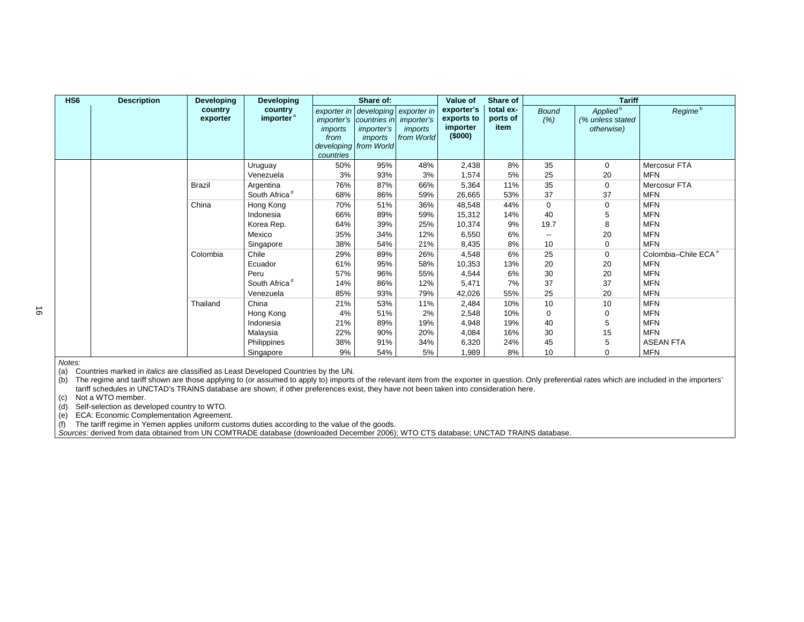| HS <sub>6</sub> | <b>Description</b> | <b>Developing</b>   | <b>Developing</b>                |                              | Share of:                                                                                                                                       |                       | Value of                                       | Share of                      |                          | <b>Tariff</b>                                          |                                 |
|-----------------|--------------------|---------------------|----------------------------------|------------------------------|-------------------------------------------------------------------------------------------------------------------------------------------------|-----------------------|------------------------------------------------|-------------------------------|--------------------------|--------------------------------------------------------|---------------------------------|
|                 |                    | country<br>exporter | country<br>importer <sup>a</sup> | imports<br>from<br>countries | exporter in developing exporter in<br><i>importer's</i> countries in <i>importer's</i><br><i>importer's</i><br>imports<br>developing from World | imports<br>from World | exporter's<br>exports to<br>importer<br>(5000) | total ex-<br>ports of<br>item | <b>Bound</b><br>(% )     | Applied <sup>b</sup><br>(% unless stated<br>otherwise) | Regime <sup>b</sup>             |
|                 |                    |                     | Uruguay                          | 50%                          | 95%                                                                                                                                             | 48%                   | 2,438                                          | 8%                            | 35                       | $\mathbf 0$                                            | Mercosur FTA                    |
|                 |                    |                     | Venezuela                        | 3%                           | 93%                                                                                                                                             | 3%                    | 1,574                                          | 5%                            | 25                       | 20                                                     | <b>MFN</b>                      |
|                 |                    | Brazil              | Argentina                        | 76%                          | 87%                                                                                                                                             | 66%                   | 5,364                                          | 11%                           | 35                       | 0                                                      | Mercosur FTA                    |
|                 |                    |                     | South Africa <sup>d</sup>        | 68%                          | 86%                                                                                                                                             | 59%                   | 26,665                                         | 53%                           | 37                       | 37                                                     | <b>MFN</b>                      |
|                 |                    | China               | Hong Kong                        | 70%                          | 51%                                                                                                                                             | 36%                   | 48,548                                         | 44%                           | $\mathbf 0$              | $\mathbf 0$                                            | <b>MFN</b>                      |
|                 |                    |                     | Indonesia                        | 66%                          | 89%                                                                                                                                             | 59%                   | 15,312                                         | 14%                           | 40                       | 5                                                      | <b>MFN</b>                      |
|                 |                    |                     | Korea Rep.                       | 64%                          | 39%                                                                                                                                             | 25%                   | 10,374                                         | 9%                            | 19.7                     | 8                                                      | <b>MFN</b>                      |
|                 |                    |                     | Mexico                           | 35%                          | 34%                                                                                                                                             | 12%                   | 6,550                                          | 6%                            | $\overline{\phantom{a}}$ | 20                                                     | <b>MFN</b>                      |
|                 |                    |                     | Singapore                        | 38%                          | 54%                                                                                                                                             | 21%                   | 8,435                                          | 8%                            | 10                       | 0                                                      | <b>MFN</b>                      |
|                 |                    | Colombia            | Chile                            | 29%                          | 89%                                                                                                                                             | 26%                   | 4,548                                          | 6%                            | 25                       | $\mathbf 0$                                            | Colombia-Chile ECA <sup>e</sup> |
|                 |                    |                     | Ecuador                          | 61%                          | 95%                                                                                                                                             | 58%                   | 10,353                                         | 13%                           | 20                       | 20                                                     | <b>MFN</b>                      |
|                 |                    |                     | Peru                             | 57%                          | 96%                                                                                                                                             | 55%                   | 4,544                                          | 6%                            | 30                       | 20                                                     | <b>MFN</b>                      |
|                 |                    |                     | South Africa <sup>d</sup>        | 14%                          | 86%                                                                                                                                             | 12%                   | 5,471                                          | 7%                            | 37                       | 37                                                     | <b>MFN</b>                      |
|                 |                    |                     | Venezuela                        | 85%                          | 93%                                                                                                                                             | 79%                   | 42,026                                         | 55%                           | 25                       | 20                                                     | <b>MFN</b>                      |
|                 |                    | Thailand            | China                            | 21%                          | 53%                                                                                                                                             | 11%                   | 2,484                                          | 10%                           | 10                       | 10                                                     | <b>MFN</b>                      |
|                 |                    |                     | Hong Kong                        | 4%                           | 51%                                                                                                                                             | 2%                    | 2,548                                          | 10%                           | 0                        | 0                                                      | <b>MFN</b>                      |
|                 |                    |                     | Indonesia                        | 21%                          | 89%                                                                                                                                             | 19%                   | 4,948                                          | 19%                           | 40                       | 5                                                      | <b>MFN</b>                      |
|                 |                    |                     | Malaysia                         | 22%                          | 90%                                                                                                                                             | 20%                   | 4,084                                          | 16%                           | 30                       | 15                                                     | <b>MFN</b>                      |
|                 |                    |                     | Philippines                      | 38%                          | 91%                                                                                                                                             | 34%                   | 6,320                                          | 24%                           | 45                       | 5                                                      | <b>ASEAN FTA</b>                |
|                 |                    |                     | Singapore                        | 9%                           | 54%                                                                                                                                             | 5%                    | 1,989                                          | 8%                            | 10                       | 0                                                      | <b>MFN</b>                      |

*Notes:* 

(a) Countries marked in *italics* are classified as Least Developed Countries by the UN.

(b) The regime and tariff shown are those applying to (or assumed to apply to) imports of the relevant item from the exporter in question. Only preferential rates which are included in the importers' tariff schedules in UNCTAD's TRAINS database are shown; if other preferences exist, they have not been taken into consideration here.

(c) Not a WTO member.

(d) Self-selection as developed country to WTO.

(e) ECA: Economic Complementation Agreement.

(f) The tariff regime in Yemen applies uniform customs duties according to the value of the goods.

*Sources:* derived from data obtained from UN COMTRADE database (downloaded December 2006); WTO CTS database; UNCTAD TRAINS database.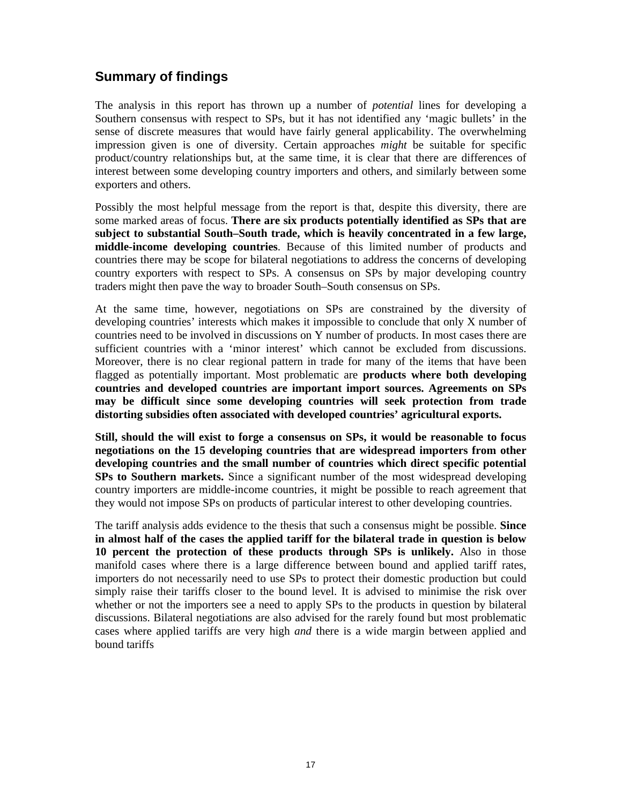# **Summary of findings**

The analysis in this report has thrown up a number of *potential* lines for developing a Southern consensus with respect to SPs, but it has not identified any 'magic bullets' in the sense of discrete measures that would have fairly general applicability. The overwhelming impression given is one of diversity. Certain approaches *might* be suitable for specific product/country relationships but, at the same time, it is clear that there are differences of interest between some developing country importers and others, and similarly between some exporters and others.

Possibly the most helpful message from the report is that, despite this diversity, there are some marked areas of focus. **There are six products potentially identified as SPs that are subject to substantial South–South trade, which is heavily concentrated in a few large, middle-income developing countries**. Because of this limited number of products and countries there may be scope for bilateral negotiations to address the concerns of developing country exporters with respect to SPs. A consensus on SPs by major developing country traders might then pave the way to broader South–South consensus on SPs.

At the same time, however, negotiations on SPs are constrained by the diversity of developing countries' interests which makes it impossible to conclude that only X number of countries need to be involved in discussions on Y number of products. In most cases there are sufficient countries with a 'minor interest' which cannot be excluded from discussions. Moreover, there is no clear regional pattern in trade for many of the items that have been flagged as potentially important. Most problematic are **products where both developing countries and developed countries are important import sources. Agreements on SPs may be difficult since some developing countries will seek protection from trade distorting subsidies often associated with developed countries' agricultural exports.** 

**Still, should the will exist to forge a consensus on SPs, it would be reasonable to focus negotiations on the 15 developing countries that are widespread importers from other developing countries and the small number of countries which direct specific potential SPs to Southern markets.** Since a significant number of the most widespread developing country importers are middle-income countries, it might be possible to reach agreement that they would not impose SPs on products of particular interest to other developing countries.

The tariff analysis adds evidence to the thesis that such a consensus might be possible. **Since in almost half of the cases the applied tariff for the bilateral trade in question is below 10 percent the protection of these products through SPs is unlikely.** Also in those manifold cases where there is a large difference between bound and applied tariff rates, importers do not necessarily need to use SPs to protect their domestic production but could simply raise their tariffs closer to the bound level. It is advised to minimise the risk over whether or not the importers see a need to apply SPs to the products in question by bilateral discussions. Bilateral negotiations are also advised for the rarely found but most problematic cases where applied tariffs are very high *and* there is a wide margin between applied and bound tariffs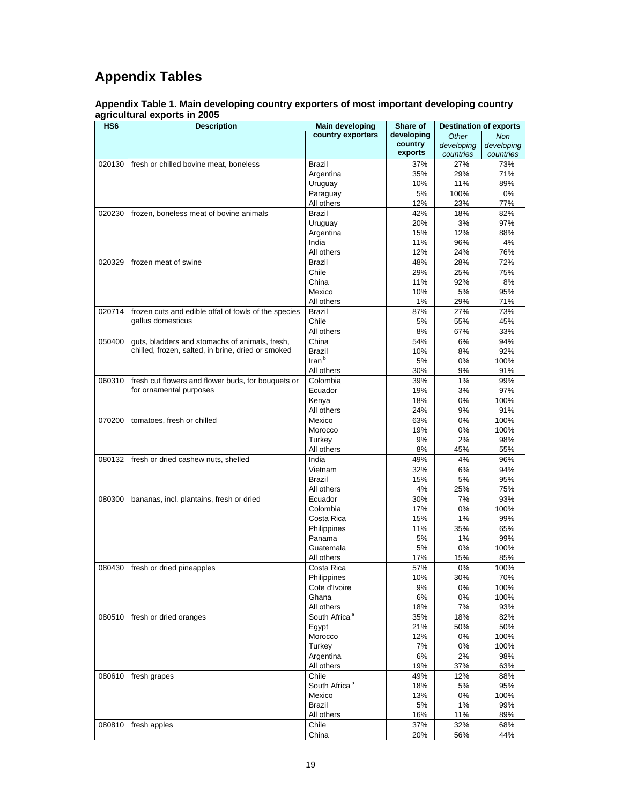# **Appendix Tables**

**Appendix Table 1. Main developing country exporters of most important developing country agricultural exports in 2005** 

| HS <sub>6</sub> | <b>Description</b>                                                            | <b>Main developing</b>       | Share of   | <b>Destination of exports</b> |            |
|-----------------|-------------------------------------------------------------------------------|------------------------------|------------|-------------------------------|------------|
|                 |                                                                               | country exporters            | developing | Other                         | <b>Non</b> |
|                 |                                                                               |                              | country    | developing                    | developing |
|                 |                                                                               |                              | exports    | countries                     | countries  |
| 020130          | fresh or chilled bovine meat, boneless                                        | <b>Brazil</b>                | 37%        | 27%                           | 73%        |
|                 |                                                                               | Argentina                    | 35%        | 29%                           | 71%        |
|                 |                                                                               | Uruguay                      | 10%        | 11%                           | 89%        |
|                 |                                                                               | Paraguay                     | 5%         | 100%                          | 0%         |
|                 |                                                                               | All others                   | 12%        | 23%                           | 77%        |
| 020230          | frozen, boneless meat of bovine animals                                       | <b>Brazil</b>                | 42%        | 18%                           | 82%        |
|                 |                                                                               | Uruguay                      | 20%        | 3%                            | 97%        |
|                 |                                                                               | Argentina                    | 15%        | 12%                           | 88%        |
|                 |                                                                               | India                        | 11%        | 96%                           | 4%         |
|                 |                                                                               | All others                   | 12%        | 24%                           | 76%        |
| 020329          | frozen meat of swine                                                          | <b>Brazil</b>                | 48%        | 28%                           | 72%        |
|                 |                                                                               | Chile                        | 29%        | 25%                           | 75%        |
|                 |                                                                               | China                        | 11%        | 92%                           | 8%         |
|                 |                                                                               | Mexico                       | 10%        | 5%                            | 95%        |
|                 |                                                                               | All others                   | 1%         | 29%                           | 71%        |
| 020714          | frozen cuts and edible offal of fowls of the species                          | Brazil                       | 87%        | 27%                           | 73%        |
|                 | gallus domesticus                                                             | Chile                        | 5%         | 55%                           | 45%        |
|                 |                                                                               | All others                   | 8%         | 67%                           | 33%        |
| 050400          | guts, bladders and stomachs of animals, fresh,                                | China                        | 54%        | 6%                            | 94%        |
|                 | chilled, frozen, salted, in brine, dried or smoked                            | Brazil                       | 10%        | 8%                            | 92%        |
|                 |                                                                               | $\mathsf{Iran}^{\mathsf{b}}$ | 5%         | 0%                            | 100%       |
|                 |                                                                               | All others                   | 30%        | 9%                            | 91%        |
|                 |                                                                               | Colombia                     |            |                               |            |
| 060310          | fresh cut flowers and flower buds, for bouquets or<br>for ornamental purposes |                              | 39%        | 1%                            | 99%        |
|                 |                                                                               | Ecuador                      | 19%        | 3%                            | 97%        |
|                 |                                                                               | Kenya                        | 18%        | 0%                            | 100%       |
|                 |                                                                               | All others                   | 24%        | 9%                            | 91%        |
| 070200          | tomatoes, fresh or chilled                                                    | Mexico                       | 63%        | 0%                            | 100%       |
|                 |                                                                               | Morocco                      | 19%        | 0%                            | 100%       |
|                 |                                                                               | Turkey                       | 9%         | 2%                            | 98%        |
|                 |                                                                               | All others                   | 8%         | 45%                           | 55%        |
| 080132          | fresh or dried cashew nuts, shelled                                           | India                        | 49%        | 4%                            | 96%        |
|                 |                                                                               | Vietnam                      | 32%        | 6%                            | 94%        |
|                 |                                                                               | <b>Brazil</b>                | 15%        | 5%                            | 95%        |
|                 |                                                                               | All others                   | 4%         | 25%                           | 75%        |
| 080300          | bananas, incl. plantains, fresh or dried                                      | Ecuador                      | 30%        | 7%                            | 93%        |
|                 |                                                                               | Colombia                     | 17%        | $0\%$                         | 100%       |
|                 |                                                                               | Costa Rica                   | 15%        | 1%                            | 99%        |
|                 |                                                                               | Philippines                  | 11%        | 35%                           | 65%        |
|                 |                                                                               | Panama                       | 5%         | 1%                            | 99%        |
|                 |                                                                               | Guatemala                    | 5%         | 0%                            | 100%       |
|                 |                                                                               | All others                   | 17%        | 15%                           | 85%        |
| 080430          | fresh or dried pineapples                                                     | Costa Rica                   | 57%        | 0%                            | 100%       |
|                 |                                                                               | Philippines                  | 10%        | 30%                           | 70%        |
|                 |                                                                               | Cote d'Ivoire                | 9%         | 0%                            | 100%       |
|                 |                                                                               | Ghana                        | 6%         | $0\%$                         | 100%       |
|                 |                                                                               | All others                   | 18%        | 7%                            | 93%        |
| 080510          | fresh or dried oranges                                                        | South Africa <sup>a</sup>    | 35%        | 18%                           | 82%        |
|                 |                                                                               | Egypt                        | 21%        | 50%                           | 50%        |
|                 |                                                                               | Morocco                      | 12%        | 0%                            | 100%       |
|                 |                                                                               | Turkey                       | 7%         | 0%                            | 100%       |
|                 |                                                                               | Argentina                    | 6%         | 2%                            | 98%        |
|                 |                                                                               | All others                   | 19%        | 37%                           | 63%        |
| 080610          | fresh grapes                                                                  | Chile                        | 49%        | 12%                           | 88%        |
|                 |                                                                               | South Africa <sup>a</sup>    | 18%        | 5%                            | 95%        |
|                 |                                                                               | Mexico                       | 13%        | 0%                            | 100%       |
|                 |                                                                               | Brazil                       | 5%         | 1%                            | 99%        |
|                 |                                                                               | All others                   | 16%        | 11%                           | 89%        |
| 080810          | fresh apples                                                                  | Chile                        | 37%        | 32%                           | 68%        |
|                 |                                                                               | China                        | 20%        | 56%                           | 44%        |
|                 |                                                                               |                              |            |                               |            |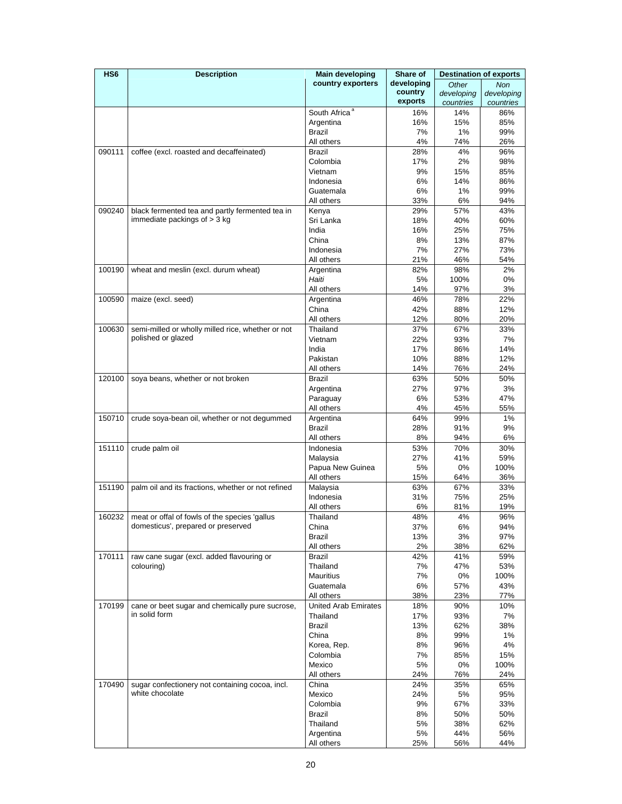| HS <sub>6</sub> | <b>Description</b>                                 | <b>Main developing</b>      | Share of   |            | <b>Destination of exports</b> |
|-----------------|----------------------------------------------------|-----------------------------|------------|------------|-------------------------------|
|                 |                                                    | country exporters           | developing | Other      | <b>Non</b>                    |
|                 |                                                    |                             | country    | developing | developing                    |
|                 |                                                    |                             | exports    | countries  | countries                     |
|                 |                                                    | South Africa <sup>a</sup>   | 16%        | 14%        | 86%                           |
|                 |                                                    | Argentina                   | 16%        | 15%        | 85%                           |
|                 |                                                    | <b>Brazil</b>               | 7%         | 1%         | 99%                           |
| 090111          | coffee (excl. roasted and decaffeinated)           | All others<br><b>Brazil</b> | 4%<br>28%  | 74%<br>4%  | 26%<br>96%                    |
|                 |                                                    | Colombia                    | 17%        | 2%         | 98%                           |
|                 |                                                    | Vietnam                     | 9%         | 15%        | 85%                           |
|                 |                                                    | Indonesia                   | 6%         | 14%        | 86%                           |
|                 |                                                    | Guatemala                   | 6%         | 1%         | 99%                           |
|                 |                                                    | All others                  | 33%        | 6%         | 94%                           |
| 090240          | black fermented tea and partly fermented tea in    | Kenya                       | 29%        | 57%        | 43%                           |
|                 | immediate packings of $>$ 3 kg                     | Sri Lanka                   | 18%        | 40%        | 60%                           |
|                 |                                                    | India                       | 16%        | 25%        | 75%                           |
|                 |                                                    | China                       | 8%         | 13%        | 87%                           |
|                 |                                                    | Indonesia                   | 7%         | 27%        | 73%                           |
|                 |                                                    | All others                  | 21%        | 46%        | 54%                           |
| 100190          | wheat and meslin (excl. durum wheat)               | Argentina                   | 82%        | 98%        | 2%                            |
|                 |                                                    | Haiti                       | 5%         | 100%       | 0%                            |
|                 |                                                    | All others                  | 14%        | 97%        | 3%                            |
| 100590          | maize (excl. seed)                                 | Argentina                   | 46%        | 78%        | 22%                           |
|                 |                                                    | China                       | 42%        | 88%        | 12%                           |
|                 |                                                    | All others                  | 12%        | 80%        | 20%                           |
| 100630          | semi-milled or wholly milled rice, whether or not  | Thailand                    | 37%        | 67%        | 33%                           |
|                 | polished or glazed                                 | Vietnam                     | 22%        | 93%        | 7%                            |
|                 |                                                    | India                       | 17%        | 86%        | 14%                           |
|                 |                                                    | Pakistan                    | 10%        | 88%        | 12%                           |
|                 |                                                    | All others                  | 14%        | 76%        | 24%                           |
| 120100          | soya beans, whether or not broken                  | Brazil                      | 63%        | 50%        | 50%                           |
|                 |                                                    | Argentina                   | 27%<br>6%  | 97%<br>53% | 3%<br>47%                     |
|                 |                                                    | Paraguay<br>All others      | 4%         | 45%        | 55%                           |
| 150710          | crude soya-bean oil, whether or not degummed       | Argentina                   | 64%        | 99%        | 1%                            |
|                 |                                                    | Brazil                      | 28%        | 91%        | 9%                            |
|                 |                                                    | All others                  | 8%         | 94%        | 6%                            |
| 151110          | crude palm oil                                     | Indonesia                   | 53%        | 70%        | 30%                           |
|                 |                                                    | Malaysia                    | 27%        | 41%        | 59%                           |
|                 |                                                    | Papua New Guinea            | 5%         | 0%         | 100%                          |
|                 |                                                    | All others                  | 15%        | 64%        | 36%                           |
| 151190          | palm oil and its fractions, whether or not refined | Malaysia                    | 63%        | 67%        | 33%                           |
|                 |                                                    | Indonesia                   | 31%        | 75%        | 25%                           |
|                 |                                                    | All others                  | 6%         | 81%        | 19%                           |
| 160232          | meat or offal of fowls of the species 'gallus      | Thailand                    | 48%        | 4%         | 96%                           |
|                 | domesticus', prepared or preserved                 | China                       | 37%        | 6%         | 94%                           |
|                 |                                                    | Brazil                      | 13%        | 3%         | 97%                           |
|                 |                                                    | All others                  | 2%         | 38%        | 62%                           |
| 170111          | raw cane sugar (excl. added flavouring or          | Brazil                      | 42%        | 41%        | 59%                           |
|                 | colouring)                                         | Thailand                    | 7%         | 47%        | 53%                           |
|                 |                                                    | Mauritius                   | 7%         | 0%         | 100%                          |
|                 |                                                    | Guatemala<br>All others     | 6%<br>38%  | 57%<br>23% | 43%<br>77%                    |
| 170199          | cane or beet sugar and chemically pure sucrose,    | <b>United Arab Emirates</b> | 18%        | 90%        | 10%                           |
|                 | in solid form                                      | Thailand                    | 17%        | 93%        | 7%                            |
|                 |                                                    | Brazil                      | 13%        | 62%        | 38%                           |
|                 |                                                    | China                       | 8%         | 99%        | 1%                            |
|                 |                                                    | Korea, Rep.                 | 8%         | 96%        | 4%                            |
|                 |                                                    | Colombia                    | 7%         | 85%        | 15%                           |
|                 |                                                    | Mexico                      | 5%         | 0%         | 100%                          |
|                 |                                                    | All others                  | 24%        | 76%        | 24%                           |
| 170490          | sugar confectionery not containing cocoa, incl.    | China                       | 24%        | 35%        | 65%                           |
|                 | white chocolate                                    | Mexico                      | 24%        | 5%         | 95%                           |
|                 |                                                    | Colombia                    | 9%         | 67%        | 33%                           |
|                 |                                                    | Brazil                      | 8%         | 50%        | 50%                           |
|                 |                                                    | Thailand                    | 5%         | 38%        | 62%                           |
|                 |                                                    | Argentina                   | 5%         | 44%        | 56%                           |
|                 |                                                    | All others                  | 25%        | 56%        | 44%                           |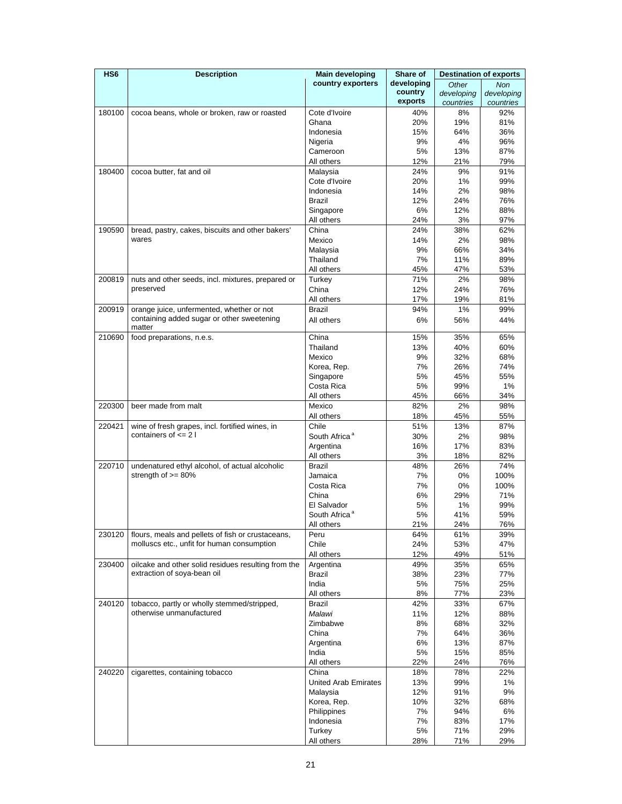| HS <sub>6</sub> | <b>Description</b>                                                                      | <b>Main developing</b>    | Share of   |            | <b>Destination of exports</b> |
|-----------------|-----------------------------------------------------------------------------------------|---------------------------|------------|------------|-------------------------------|
|                 |                                                                                         | country exporters         | developing | Other      | <b>Non</b>                    |
|                 |                                                                                         |                           | country    | developing | developing                    |
|                 |                                                                                         |                           | exports    | countries  | countries                     |
| 180100          | cocoa beans, whole or broken, raw or roasted                                            | Cote d'Ivoire             | 40%        | 8%         | 92%                           |
|                 |                                                                                         | Ghana                     | 20%        | 19%        | 81%                           |
|                 |                                                                                         | Indonesia                 | 15%        | 64%        | 36%                           |
|                 |                                                                                         | Nigeria                   | 9%         | 4%         | 96%                           |
|                 |                                                                                         | Cameroon                  | 5%         | 13%        | 87%                           |
|                 |                                                                                         | All others                | 12%        | 21%        | 79%                           |
| 180400          | cocoa butter, fat and oil                                                               | Malaysia                  | 24%        | 9%         | 91%                           |
|                 |                                                                                         | Cote d'Ivoire             | 20%        | 1%         | 99%                           |
|                 |                                                                                         | Indonesia                 | 14%        | 2%         | 98%                           |
|                 |                                                                                         | <b>Brazil</b>             | 12%        | 24%        | 76%                           |
|                 |                                                                                         | Singapore                 | 6%         | 12%        | 88%                           |
|                 |                                                                                         | All others                | 24%        | 3%         | 97%                           |
| 190590          | bread, pastry, cakes, biscuits and other bakers'                                        | China                     | 24%        | 38%        | 62%                           |
|                 | wares                                                                                   | Mexico                    | 14%        | 2%         | 98%                           |
|                 |                                                                                         | Malaysia                  | 9%         | 66%        | 34%                           |
|                 |                                                                                         | Thailand                  | 7%         | 11%        | 89%                           |
|                 |                                                                                         | All others                | 45%        | 47%        | 53%                           |
| 200819          | nuts and other seeds, incl. mixtures, prepared or<br>preserved                          | Turkey                    | 71%        | 2%         | 98%                           |
|                 |                                                                                         | China                     | 12%        | 24%        | 76%                           |
|                 |                                                                                         | All others                | 17%        | 19%        | 81%                           |
| 200919          | orange juice, unfermented, whether or not<br>containing added sugar or other sweetening | <b>Brazil</b>             | 94%        | 1%         | 99%                           |
|                 | matter                                                                                  | All others                | 6%         | 56%        | 44%                           |
| 210690          | food preparations, n.e.s.                                                               | China                     | 15%        | 35%        | 65%                           |
|                 |                                                                                         | Thailand                  | 13%        | 40%        | 60%                           |
|                 |                                                                                         | Mexico                    | 9%         | 32%        | 68%                           |
|                 |                                                                                         | Korea, Rep.               | 7%         | 26%        | 74%                           |
|                 |                                                                                         | Singapore                 | 5%         | 45%        | 55%                           |
|                 |                                                                                         | Costa Rica                | 5%         | 99%        | 1%                            |
|                 |                                                                                         | All others                | 45%        | 66%        | 34%                           |
| 220300          | beer made from malt                                                                     | Mexico                    | 82%        | 2%         | 98%                           |
|                 |                                                                                         | All others                | 18%        | 45%        | 55%                           |
| 220421          | wine of fresh grapes, incl. fortified wines, in                                         | Chile                     | 51%        | 13%        | 87%                           |
|                 | containers of $\leq$ 2 l                                                                | South Africa <sup>a</sup> | 30%        | 2%         | 98%                           |
|                 |                                                                                         | Argentina                 | 16%        | 17%        | 83%                           |
|                 |                                                                                         | All others                | 3%         | 18%        | 82%                           |
| 220710          | undenatured ethyl alcohol, of actual alcoholic                                          | <b>Brazil</b>             | 48%        | 26%        | 74%                           |
|                 | strength of $>= 80\%$                                                                   | Jamaica                   | 7%         | 0%         | 100%                          |
|                 |                                                                                         | Costa Rica                | 7%         | 0%         | 100%                          |
|                 |                                                                                         | China                     | 6%         | 29%        | 71%                           |
|                 |                                                                                         | El Salvador               | 5%         | 1%         | 99%                           |
|                 |                                                                                         | South Africa <sup>a</sup> | 5%         | 41%        | 59%                           |
|                 |                                                                                         | All others                | 21%        | 24%        | 76%                           |
| 230120          | flours, meals and pellets of fish or crustaceans,                                       | Peru                      | 64%        | 61%        | 39%                           |
|                 | molluscs etc., unfit for human consumption                                              | Chile                     | 24%        | 53%        | 47%                           |
|                 |                                                                                         | All others                | 12%        | 49%        | 51%                           |
| 230400          | oilcake and other solid residues resulting from the<br>extraction of soya-bean oil      | Argentina                 | 49%        | 35%        | 65%                           |
|                 |                                                                                         | Brazil                    | 38%        | 23%        | 77%                           |
|                 |                                                                                         | India                     | 5%         | 75%        | 25%                           |
|                 |                                                                                         | All others                | 8%         | 77%        | 23%                           |
| 240120          | tobacco, partly or wholly stemmed/stripped,<br>otherwise unmanufactured                 | Brazil                    | 42%        | 33%        | 67%                           |
|                 |                                                                                         | Malawi<br>Zimbabwe        | 11%<br>8%  | 12%        | 88%                           |
|                 |                                                                                         | China                     | 7%         | 68%<br>64% | 32%<br>36%                    |
|                 |                                                                                         |                           |            |            |                               |
|                 |                                                                                         | Argentina<br>India        | 6%<br>5%   | 13%<br>15% | 87%<br>85%                    |
|                 |                                                                                         | All others                | 22%        | 24%        | 76%                           |
| 240220          |                                                                                         | China                     |            | 78%        | 22%                           |
|                 | cigarettes, containing tobacco                                                          | United Arab Emirates      | 18%<br>13% | 99%        | 1%                            |
|                 |                                                                                         | Malaysia                  | 12%        | 91%        | 9%                            |
|                 |                                                                                         | Korea, Rep.               | 10%        | 32%        | 68%                           |
|                 |                                                                                         | Philippines               | 7%         | 94%        | 6%                            |
|                 |                                                                                         | Indonesia                 | 7%         | 83%        | 17%                           |
|                 |                                                                                         | Turkey                    | 5%         | 71%        | 29%                           |
|                 |                                                                                         | All others                | 28%        | 71%        | 29%                           |
|                 |                                                                                         |                           |            |            |                               |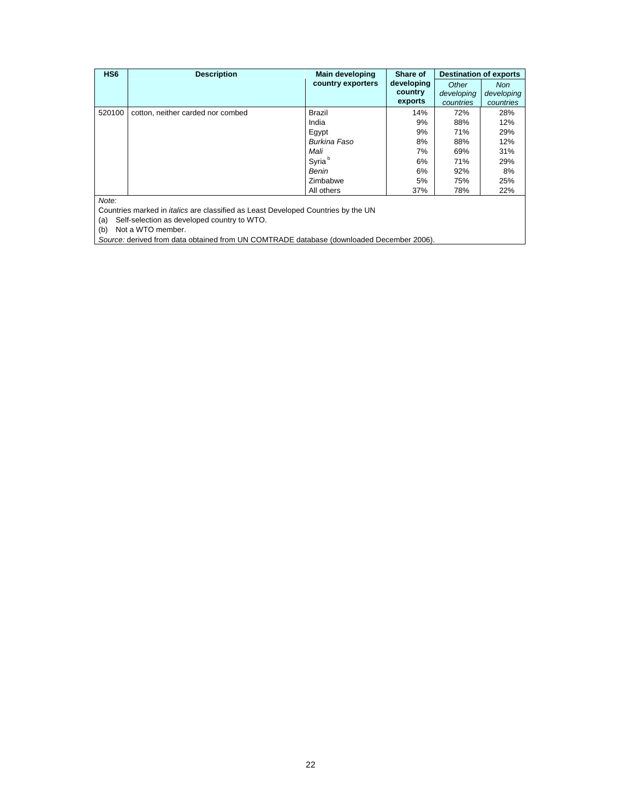| HS <sub>6</sub> | <b>Description</b>                                                                       | <b>Main developing</b> | Share of   | <b>Destination of exports</b> |            |
|-----------------|------------------------------------------------------------------------------------------|------------------------|------------|-------------------------------|------------|
|                 |                                                                                          | country exporters      | developing | Other                         | <b>Non</b> |
|                 |                                                                                          |                        | country    | developing                    | developing |
|                 |                                                                                          |                        | exports    | countries                     | countries  |
| 520100          | cotton, neither carded nor combed                                                        | Brazil                 | 14%        | 72%                           | 28%        |
|                 |                                                                                          | India                  | 9%         | 88%                           | 12%        |
|                 |                                                                                          | Egypt                  | 9%         | 71%                           | 29%        |
|                 |                                                                                          | Burkina Faso           | 8%         | 88%                           | 12%        |
|                 |                                                                                          | Mali                   | 7%         | 69%                           | 31%        |
|                 |                                                                                          | Syria <sup>b</sup>     | 6%         | 71%                           | 29%        |
|                 |                                                                                          | Benin                  | 6%         | 92%                           | 8%         |
|                 |                                                                                          | Zimbabwe               | 5%         | 75%                           | 25%        |
|                 |                                                                                          | All others             | 37%        | 78%                           | 22%        |
| Note:           |                                                                                          |                        |            |                               |            |
|                 | Countries marked in <i>italics</i> are classified as Least Developed Countries by the UN |                        |            |                               |            |

(a) Self-selection as developed country to WTO.

(b) Not a WTO member.

*Source:* derived from data obtained from UN COMTRADE database (downloaded December 2006).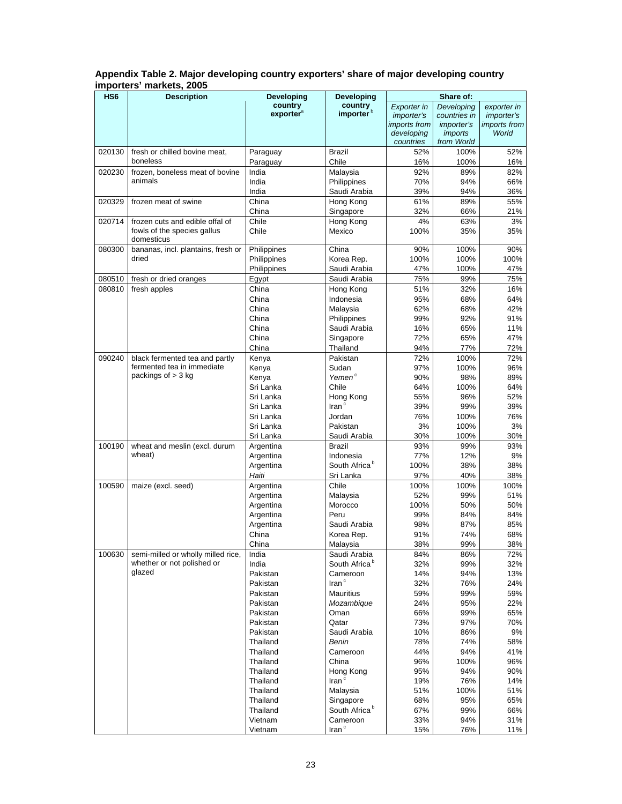|                          | Appendix Table 2. Major developing country exporters' share of major developing country |
|--------------------------|-----------------------------------------------------------------------------------------|
| importers' markets, 2005 |                                                                                         |

| HS <sub>6</sub> | <b>Description</b>                                 | Developing            | Developing                 | Share of:           |                   |                     |
|-----------------|----------------------------------------------------|-----------------------|----------------------------|---------------------|-------------------|---------------------|
|                 |                                                    | country               | country                    | Exporter in         | Developing        | exporter in         |
|                 |                                                    | exporter <sup>a</sup> | importer <sup>b</sup>      | <i>importer's</i>   | countries in      | <i>importer's</i>   |
|                 |                                                    |                       |                            | <i>imports</i> from | <i>importer's</i> | <i>imports from</i> |
|                 |                                                    |                       |                            | developing          | <i>imports</i>    | World               |
|                 |                                                    |                       |                            | countries           | from World        |                     |
| 020130          | fresh or chilled bovine meat,<br>boneless          | Paraguay              | Brazil                     | 52%                 | 100%              | 52%                 |
|                 |                                                    | Paraguay              | Chile                      | 16%                 | 100%              | 16%                 |
| 020230          | frozen, boneless meat of bovine                    | India                 | Malaysia                   | 92%                 | 89%               | 82%                 |
|                 | animals                                            | India                 | Philippines                | 70%                 | 94%               | 66%                 |
|                 |                                                    | India                 | Saudi Arabia               | 39%                 | 94%               | 36%                 |
| 020329          | frozen meat of swine                               | China                 | Hong Kong                  | 61%                 | 89%               | 55%                 |
|                 |                                                    | China                 | Singapore                  | 32%                 | 66%               | 21%                 |
| 020714          | frozen cuts and edible offal of                    | Chile                 | Hong Kong                  | 4%                  | 63%               | 3%                  |
|                 | fowls of the species gallus                        | Chile                 | Mexico                     | 100%                | 35%               | 35%                 |
|                 | domesticus                                         |                       |                            |                     |                   |                     |
| 080300          | bananas, incl. plantains, fresh or<br>dried        | Philippines           | China                      | 90%                 | 100%              | 90%                 |
|                 |                                                    | Philippines           | Korea Rep.                 | 100%                | 100%              | 100%                |
|                 |                                                    | Philippines           | Saudi Arabia               | 47%                 | 100%              | 47%                 |
| 080510          | fresh or dried oranges                             | Egypt                 | Saudi Arabia               | 75%                 | 99%               | 75%                 |
| 080810          | fresh apples                                       | China                 | Hong Kong                  | 51%                 | 32%               | 16%                 |
|                 |                                                    | China                 | Indonesia                  | 95%                 | 68%               | 64%                 |
|                 |                                                    | China                 | Malaysia                   | 62%                 | 68%               | 42%                 |
|                 |                                                    | China                 | Philippines                | 99%                 | 92%               | 91%                 |
|                 |                                                    | China                 | Saudi Arabia               | 16%                 | 65%               | 11%                 |
|                 |                                                    | China                 | Singapore                  | 72%                 | 65%               | 47%                 |
|                 |                                                    | China                 | Thailand                   | 94%                 | 77%               | 72%                 |
| 090240          | black fermented tea and partly                     | Kenya                 | Pakistan                   | 72%                 | 100%              | 72%                 |
|                 | fermented tea in immediate<br>packings of $>$ 3 kg | Kenya                 | Sudan                      | 97%                 | 100%              | 96%                 |
|                 |                                                    | Kenya                 | Yemen <sup>c</sup>         | 90%                 | 98%               | 89%                 |
|                 |                                                    | Sri Lanka             | Chile                      | 64%                 | 100%              | 64%                 |
|                 |                                                    | Sri Lanka             | Hong Kong                  | 55%                 | 96%               | 52%                 |
|                 |                                                    | Sri Lanka             | $\mathsf{Iran}^c$          | 39%                 | 99%               | 39%                 |
|                 |                                                    | Sri Lanka             | Jordan                     | 76%                 | 100%              | 76%                 |
|                 |                                                    | Sri Lanka             | Pakistan                   | 3%                  | 100%              | 3%                  |
|                 |                                                    | Sri Lanka             | Saudi Arabia               | 30%                 | 100%              | 30%                 |
| 100190          | wheat and meslin (excl. durum                      | Argentina             | <b>Brazil</b>              | 93%                 | 99%               | 93%                 |
|                 | wheat)                                             | Argentina             | Indonesia                  | 77%                 | 12%               | 9%                  |
|                 |                                                    | Argentina             | South Africa <sup>b</sup>  | 100%                | 38%               | 38%                 |
|                 |                                                    | Haiti                 | Sri Lanka                  | 97%                 | 40%               | 38%                 |
| 100590          | maize (excl. seed)                                 | Argentina             | Chile                      | 100%                | 100%              | 100%                |
|                 |                                                    | Argentina             | Malaysia                   | 52%                 | 99%               | 51%                 |
|                 |                                                    | Argentina             | Morocco                    | 100%                | 50%               | 50%                 |
|                 |                                                    | Argentina             | Peru                       | 99%                 | 84%               | 84%                 |
|                 |                                                    | Argentina             | Saudi Arabia               | 98%                 | 87%               | 85%                 |
|                 |                                                    | China                 | Korea Rep.                 | 91%                 | 74%               | 68%                 |
|                 |                                                    | China                 | Malaysia                   | 38%                 | 99%               | 38%                 |
| 100630          | semi-milled or wholly milled rice,                 | India                 | Saudi Arabia               | 84%                 | 86%               | 72%                 |
|                 | whether or not polished or<br>glazed               | India                 | South Africa <sup>b</sup>  | 32%                 | 99%               | 32%                 |
|                 |                                                    | Pakistan              | Cameroon                   | 14%                 | 94%               | 13%                 |
|                 |                                                    | Pakistan              | $\mathsf{Iran}^\mathsf{c}$ | 32%                 | 76%               | 24%                 |
|                 |                                                    | Pakistan              | Mauritius                  | 59%                 | 99%               | 59%                 |
|                 |                                                    | Pakistan              | Mozambique                 | 24%                 | 95%               | 22%                 |
|                 |                                                    | Pakistan              | Oman                       | 66%                 | 99%               | 65%                 |
|                 |                                                    | Pakistan              | Qatar                      | 73%                 | 97%               | 70%                 |
|                 |                                                    | Pakistan              | Saudi Arabia               | 10%                 | 86%               | 9%                  |
|                 |                                                    | Thailand              | Benin                      | 78%                 | 74%               | 58%                 |
|                 |                                                    | Thailand              | Cameroon                   | 44%                 | 94%               | 41%                 |
|                 |                                                    | Thailand              | China                      | 96%                 | 100%              | 96%                 |
|                 |                                                    | Thailand              | Hong Kong                  | 95%                 | 94%               | 90%                 |
|                 |                                                    | Thailand              | Iran <sup>c</sup>          | 19%                 | 76%               | 14%                 |
|                 |                                                    | Thailand              | Malaysia                   | 51%                 | 100%              | 51%                 |
|                 |                                                    | Thailand              | Singapore                  | 68%                 | 95%               | 65%                 |
|                 |                                                    | Thailand              | South Africa <sup>b</sup>  | 67%                 | 99%               | 66%                 |
|                 |                                                    | Vietnam               | Cameroon<br>Iran $\degree$ | 33%                 | 94%               | 31%                 |
|                 |                                                    | Vietnam               |                            | 15%                 | 76%               | 11%                 |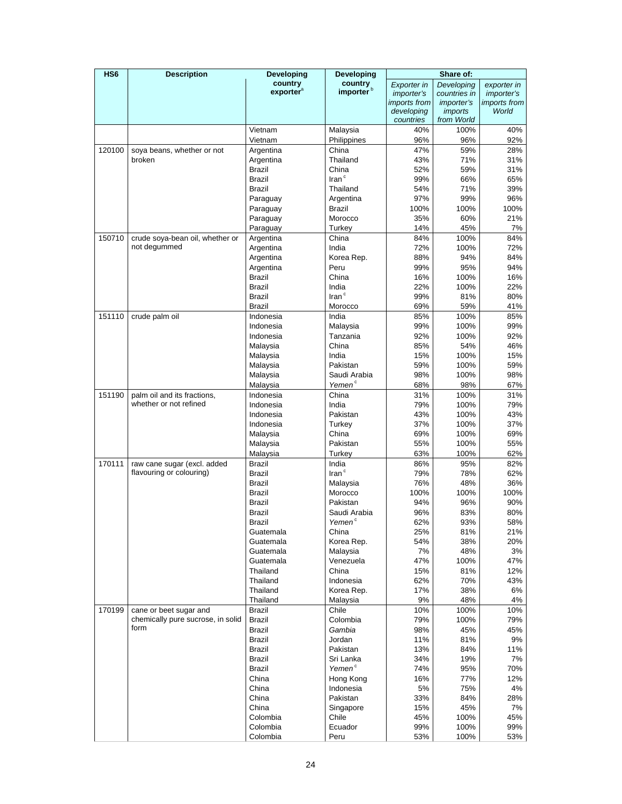| HS <sub>6</sub> | <b>Description</b>                                          | Developing                     | Developing                 |                         | Share of:                    |                   |
|-----------------|-------------------------------------------------------------|--------------------------------|----------------------------|-------------------------|------------------------------|-------------------|
|                 |                                                             | country                        | country                    | Exporter in             | Developing                   | exporter in       |
|                 |                                                             | exporter <sup>a</sup>          | importer <sup>b</sup>      | <i>importer's</i>       | countries in                 | <i>importer's</i> |
|                 |                                                             |                                |                            | <i>imports</i> from     | <i>importer's</i>            | imports from      |
|                 |                                                             |                                |                            | developing<br>countries | <i>imports</i><br>from World | World             |
|                 |                                                             | Vietnam                        | Malaysia                   | 40%                     | 100%                         | 40%               |
|                 |                                                             | Vietnam                        | Philippines                | 96%                     | 96%                          | 92%               |
| 120100          | soya beans, whether or not                                  | Argentina                      | China                      | 47%                     | 59%                          | 28%               |
|                 | broken                                                      | Argentina                      | Thailand                   | 43%                     | 71%                          | 31%               |
|                 |                                                             | <b>Brazil</b>                  | China                      | 52%                     | 59%                          | 31%               |
|                 |                                                             | <b>Brazil</b>                  | $\mathsf{Iran}^\mathsf{c}$ | 99%                     | 66%                          | 65%               |
|                 |                                                             | <b>Brazil</b>                  | Thailand                   | 54%                     | 71%                          | 39%               |
|                 |                                                             | Paraguay                       | Argentina                  | 97%                     | 99%                          | 96%               |
|                 |                                                             | Paraguay                       | <b>Brazil</b>              | 100%                    | 100%                         | 100%              |
|                 |                                                             | Paraguay                       | Morocco                    | 35%                     | 60%                          | 21%               |
|                 |                                                             | Paraguay                       | Turkey                     | 14%                     | 45%                          | 7%                |
| 150710          | crude soya-bean oil, whether or                             | Argentina                      | China                      | 84%                     | 100%                         | 84%               |
|                 | not degummed                                                | Argentina                      | India                      | 72%                     | 100%                         | 72%               |
|                 |                                                             | Argentina                      | Korea Rep.                 | 88%                     | 94%                          | 84%               |
|                 |                                                             | Argentina                      | Peru                       | 99%                     | 95%                          | 94%               |
|                 |                                                             | <b>Brazil</b>                  | China<br>India             | 16%                     | 100%                         | 16%               |
|                 |                                                             | <b>Brazil</b><br><b>Brazil</b> | Iran $c$                   | 22%<br>99%              | 100%<br>81%                  | 22%<br>80%        |
|                 |                                                             | <b>Brazil</b>                  | Morocco                    | 69%                     | 59%                          | 41%               |
| 151110          | crude palm oil                                              | Indonesia                      | India                      | 85%                     | 100%                         | 85%               |
|                 |                                                             | Indonesia                      | Malaysia                   | 99%                     | 100%                         | 99%               |
|                 |                                                             | Indonesia                      | Tanzania                   | 92%                     | 100%                         | 92%               |
|                 |                                                             | Malaysia                       | China                      | 85%                     | 54%                          | 46%               |
|                 |                                                             | Malaysia                       | India                      | 15%                     | 100%                         | 15%               |
|                 |                                                             | Malaysia                       | Pakistan                   | 59%                     | 100%                         | 59%               |
|                 |                                                             | Malaysia                       | Saudi Arabia               | 98%                     | 100%                         | 98%               |
|                 |                                                             | Malaysia                       | Yemen <sup>c</sup>         | 68%                     | 98%                          | 67%               |
| 151190          | palm oil and its fractions,                                 | Indonesia                      | China                      | 31%                     | 100%                         | 31%               |
|                 | whether or not refined                                      | Indonesia                      | India                      | 79%                     | 100%                         | 79%               |
|                 |                                                             | Indonesia                      | Pakistan                   | 43%                     | 100%                         | 43%               |
|                 |                                                             | Indonesia                      | Turkey                     | 37%                     | 100%                         | 37%               |
|                 |                                                             | Malaysia                       | China                      | 69%                     | 100%                         | 69%               |
|                 |                                                             | Malaysia                       | Pakistan                   | 55%                     | 100%                         | 55%               |
|                 |                                                             | Malaysia<br><b>Brazil</b>      | Turkey                     | 63%                     | 100%                         | 62%               |
| 170111          | raw cane sugar (excl. added<br>flavouring or colouring)     | <b>Brazil</b>                  | India<br>Iran $c$          | 86%<br>79%              | 95%<br>78%                   | 82%<br>62%        |
|                 |                                                             | Brazil                         | Malaysia                   | 76%                     | 48%                          | 36%               |
|                 |                                                             | Brazil                         | Morocco                    | 100%                    | 100%                         | 100%              |
|                 |                                                             | <b>Brazil</b>                  | Pakistan                   | 94%                     | 96%                          | 90%               |
|                 |                                                             | Brazil                         | Saudi Arabia               | 96%                     | 83%                          | 80%               |
|                 |                                                             | <b>Brazil</b>                  | Yemen <sup>c</sup>         | 62%                     | 93%                          | 58%               |
|                 |                                                             | Guatemala                      | China                      | 25%                     | 81%                          | 21%               |
|                 |                                                             | Guatemala                      | Korea Rep.                 | 54%                     | 38%                          | 20%               |
|                 |                                                             | Guatemala                      | Malaysia                   | 7%                      | 48%                          | 3%                |
|                 |                                                             | Guatemala                      | Venezuela                  | 47%                     | 100%                         | 47%               |
|                 |                                                             | Thailand                       | China                      | 15%                     | 81%                          | 12%               |
|                 |                                                             | Thailand                       | Indonesia                  | 62%                     | 70%                          | 43%               |
|                 |                                                             | Thailand                       | Korea Rep.                 | 17%                     | 38%                          | 6%                |
| 170199          |                                                             | Thailand<br><b>Brazil</b>      | Malaysia                   | 9%                      | 48%                          | 4%<br>10%         |
|                 | cane or beet sugar and<br>chemically pure sucrose, in solid | Brazil                         | Chile<br>Colombia          | 10%<br>79%              | 100%<br>100%                 | 79%               |
|                 | form                                                        | Brazil                         | Gambia                     | 98%                     | 45%                          | 45%               |
|                 |                                                             | Brazil                         | Jordan                     | 11%                     | 81%                          | 9%                |
|                 |                                                             | <b>Brazil</b>                  | Pakistan                   | 13%                     | 84%                          | 11%               |
|                 |                                                             | Brazil                         | Sri Lanka                  | 34%                     | 19%                          | 7%                |
|                 |                                                             | Brazil                         | Yemen <sup>c</sup>         | 74%                     | 95%                          | 70%               |
|                 |                                                             | China                          | Hong Kong                  | 16%                     | 77%                          | 12%               |
|                 |                                                             | China                          | Indonesia                  | 5%                      | 75%                          | 4%                |
|                 |                                                             | China                          | Pakistan                   | 33%                     | 84%                          | 28%               |
|                 |                                                             | China                          | Singapore                  | 15%                     | 45%                          | 7%                |
|                 |                                                             | Colombia                       | Chile                      | 45%                     | 100%                         | 45%               |
|                 |                                                             | Colombia                       | Ecuador                    | 99%                     | 100%                         | 99%               |
|                 |                                                             | Colombia                       | Peru                       | 53%                     | 100%                         | 53%               |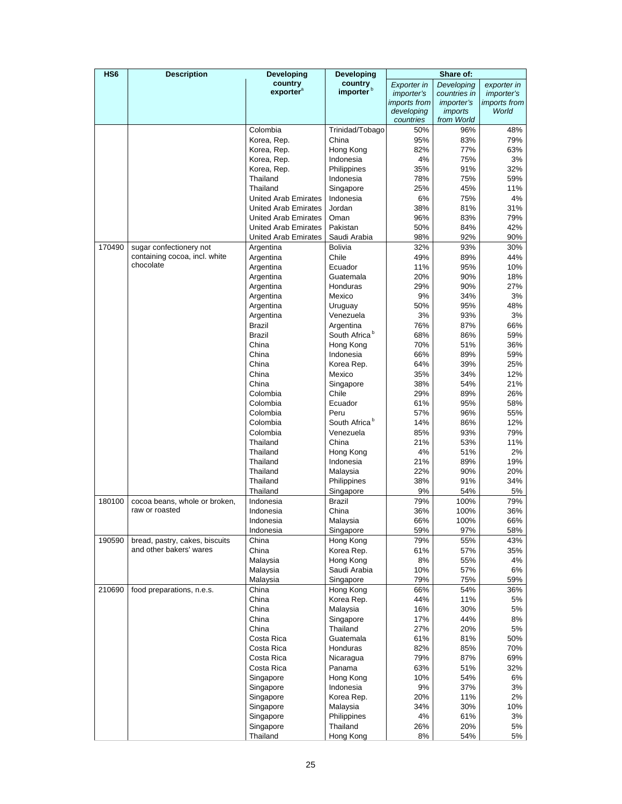| HS <sub>6</sub> | <b>Description</b>             | Developing                                                 | Developing                       | Share of:           |                   |                     |
|-----------------|--------------------------------|------------------------------------------------------------|----------------------------------|---------------------|-------------------|---------------------|
|                 |                                | country                                                    | country<br>importer <sup>b</sup> | <b>Exporter</b> in  | Developing        | exporter in         |
|                 |                                | exporter <sup>a</sup>                                      |                                  | <i>importer's</i>   | countries in      | <i>importer's</i>   |
|                 |                                |                                                            |                                  | <i>imports from</i> | <i>importer's</i> | <i>imports from</i> |
|                 |                                |                                                            |                                  | developing          | <i>imports</i>    | World               |
|                 |                                | Colombia                                                   | Trinidad/Tobago                  | countries<br>50%    | from World<br>96% | 48%                 |
|                 |                                | Korea, Rep.                                                | China                            | 95%                 | 83%               | 79%                 |
|                 |                                | Korea, Rep.                                                | Hong Kong                        | 82%                 | 77%               | 63%                 |
|                 |                                | Korea, Rep.                                                | Indonesia                        | 4%                  | 75%               | 3%                  |
|                 |                                | Korea, Rep.                                                | Philippines                      | 35%                 | 91%               | 32%                 |
|                 |                                | Thailand                                                   | Indonesia                        | 78%                 | 75%               | 59%                 |
|                 |                                | Thailand                                                   | Singapore                        | 25%                 | 45%               | 11%                 |
|                 |                                | <b>United Arab Emirates</b>                                | Indonesia                        | 6%                  | 75%               | 4%                  |
|                 |                                | <b>United Arab Emirates</b>                                | Jordan                           | 38%                 | 81%               | 31%                 |
|                 |                                | United Arab Emirates                                       | Oman                             | 96%                 | 83%               | 79%                 |
|                 |                                | <b>United Arab Emirates</b><br><b>United Arab Emirates</b> | Pakistan<br>Saudi Arabia         | 50%<br>98%          | 84%<br>92%        | 42%<br>90%          |
| 170490          | sugar confectionery not        | Argentina                                                  | <b>Bolivia</b>                   | 32%                 | 93%               | 30%                 |
|                 | containing cocoa, incl. white  | Argentina                                                  | Chile                            | 49%                 | 89%               | 44%                 |
|                 | chocolate                      | Argentina                                                  | Ecuador                          | 11%                 | 95%               | 10%                 |
|                 |                                | Argentina                                                  | Guatemala                        | 20%                 | 90%               | 18%                 |
|                 |                                | Argentina                                                  | Honduras                         | 29%                 | 90%               | 27%                 |
|                 |                                | Argentina                                                  | Mexico                           | 9%                  | 34%               | 3%                  |
|                 |                                | Argentina                                                  | Uruguay                          | 50%                 | 95%               | 48%                 |
|                 |                                | Argentina                                                  | Venezuela                        | 3%                  | 93%               | 3%                  |
|                 |                                | Brazil                                                     | Argentina                        | 76%                 | 87%               | 66%                 |
|                 |                                | <b>Brazil</b>                                              | South Africa <sup>b</sup>        | 68%                 | 86%               | 59%                 |
|                 |                                | China<br>China                                             | Hong Kong<br>Indonesia           | 70%                 | 51%               | 36%<br>59%          |
|                 |                                | China                                                      | Korea Rep.                       | 66%<br>64%          | 89%<br>39%        | 25%                 |
|                 |                                | China                                                      | Mexico                           | 35%                 | 34%               | 12%                 |
|                 |                                | China                                                      | Singapore                        | 38%                 | 54%               | 21%                 |
|                 |                                | Colombia                                                   | Chile                            | 29%                 | 89%               | 26%                 |
|                 |                                | Colombia                                                   | Ecuador                          | 61%                 | 95%               | 58%                 |
|                 |                                | Colombia                                                   | Peru                             | 57%                 | 96%               | 55%                 |
|                 |                                | Colombia                                                   | South Africa <sup>b</sup>        | 14%                 | 86%               | 12%                 |
|                 |                                | Colombia                                                   | Venezuela                        | 85%                 | 93%               | 79%                 |
|                 |                                | Thailand                                                   | China                            | 21%                 | 53%               | 11%                 |
|                 |                                | Thailand                                                   | Hong Kong                        | 4%                  | 51%               | 2%                  |
|                 |                                | Thailand<br>Thailand                                       | Indonesia<br>Malaysia            | 21%<br>22%          | 89%<br>90%        | 19%<br>20%          |
|                 |                                | Thailand                                                   | Philippines                      | 38%                 | 91%               | 34%                 |
|                 |                                | Thailand                                                   | Singapore                        | 9%                  | 54%               | 5%                  |
| 180100          | cocoa beans, whole or broken,  | Indonesia                                                  | Brazil                           | 79%                 | 100%              | 79%                 |
|                 | raw or roasted                 | Indonesia                                                  | China                            | 36%                 | 100%              | 36%                 |
|                 |                                | Indonesia                                                  | Malaysia                         | 66%                 | 100%              | 66%                 |
|                 |                                | Indonesia                                                  | Singapore                        | 59%                 | 97%               | 58%                 |
| 190590          | bread, pastry, cakes, biscuits | China                                                      | Hong Kong                        | 79%                 | 55%               | 43%                 |
|                 | and other bakers' wares        | China                                                      | Korea Rep.                       | 61%                 | 57%               | 35%                 |
|                 |                                | Malaysia                                                   | Hong Kong                        | 8%                  | 55%               | 4%                  |
|                 |                                | Malaysia                                                   | Saudi Arabia<br>Singapore        | 10%<br>79%          | 57%<br>75%        | 6%<br>59%           |
| 210690          | food preparations, n.e.s.      | Malaysia<br>China                                          | Hong Kong                        | 66%                 | 54%               | 36%                 |
|                 |                                | China                                                      | Korea Rep.                       | 44%                 | 11%               | 5%                  |
|                 |                                | China                                                      | Malaysia                         | 16%                 | 30%               | 5%                  |
|                 |                                | China                                                      | Singapore                        | 17%                 | 44%               | 8%                  |
|                 |                                | China                                                      | Thailand                         | 27%                 | 20%               | 5%                  |
|                 |                                | Costa Rica                                                 | Guatemala                        | 61%                 | 81%               | 50%                 |
|                 |                                | Costa Rica                                                 | Honduras                         | 82%                 | 85%               | 70%                 |
|                 |                                | Costa Rica                                                 | Nicaragua                        | 79%                 | 87%               | 69%                 |
|                 |                                | Costa Rica                                                 | Panama                           | 63%                 | 51%               | 32%                 |
|                 |                                | Singapore                                                  | Hong Kong                        | 10%                 | 54%               | 6%                  |
|                 |                                | Singapore                                                  | Indonesia<br>Korea Rep.          | 9%<br>20%           | 37%<br>11%        | 3%<br>2%            |
|                 |                                | Singapore<br>Singapore                                     | Malaysia                         | 34%                 | 30%               | 10%                 |
|                 |                                | Singapore                                                  | Philippines                      | 4%                  | 61%               | 3%                  |
|                 |                                | Singapore                                                  | Thailand                         | 26%                 | 20%               | 5%                  |
|                 |                                | Thailand                                                   | Hong Kong                        | 8%                  | 54%               | 5%                  |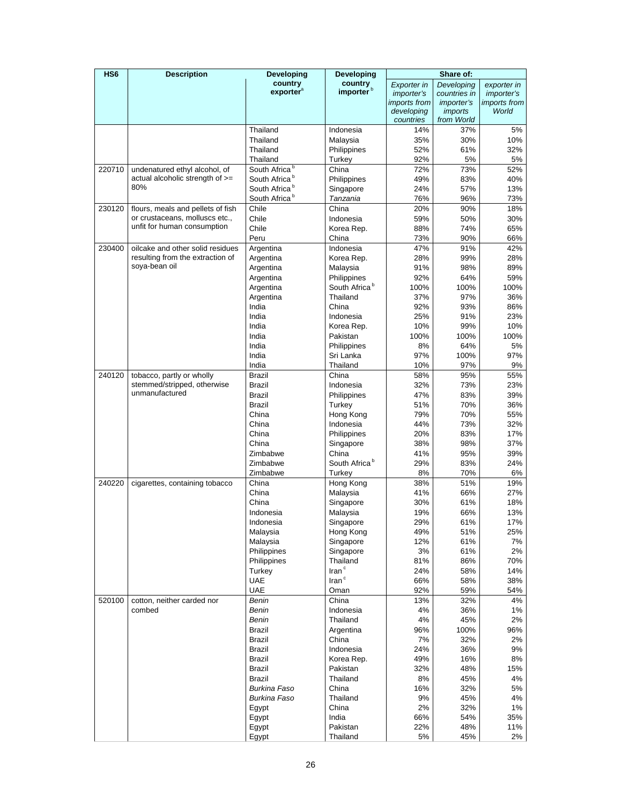| HS <sub>6</sub> | <b>Description</b>                | <b>Developing</b>         | <b>Developing</b>         | Share of:               |                              |                     |
|-----------------|-----------------------------------|---------------------------|---------------------------|-------------------------|------------------------------|---------------------|
|                 |                                   | country                   | country                   | Exporter in             | Developing                   | exporter in         |
|                 |                                   | exporter <sup>a</sup>     | importer <sup>b</sup>     | <i>importer's</i>       | countries in                 | <i>importer's</i>   |
|                 |                                   |                           |                           | <i>imports</i> from     | <i>importer's</i>            | <i>imports from</i> |
|                 |                                   |                           |                           | developing<br>countries | <i>imports</i><br>from World | World               |
|                 |                                   | Thailand                  | Indonesia                 | 14%                     | 37%                          | 5%                  |
|                 |                                   | Thailand                  | Malaysia                  | 35%                     | 30%                          | 10%                 |
|                 |                                   | Thailand                  | Philippines               | 52%                     | 61%                          | 32%                 |
|                 |                                   | Thailand                  | Turkey                    | 92%                     | 5%                           | 5%                  |
| 220710          | undenatured ethyl alcohol, of     | South Africa <sup>b</sup> | China                     | 72%                     | 73%                          | 52%                 |
|                 | actual alcoholic strength of >=   | South Africa <sup>b</sup> | Philippines               | 49%                     | 83%                          | 40%                 |
|                 | 80%                               | South Africa <sup>b</sup> | Singapore                 | 24%                     | 57%                          | 13%                 |
|                 |                                   | South Africa <sup>b</sup> | Tanzania                  | 76%                     | 96%                          | 73%                 |
| 230120          | flours, meals and pellets of fish | Chile                     | China                     | 20%                     | 90%                          | 18%                 |
|                 | or crustaceans, molluscs etc.,    | Chile                     | Indonesia                 | 59%                     | 50%                          | 30%                 |
|                 | unfit for human consumption       | Chile                     | Korea Rep.                | 88%                     | 74%                          | 65%                 |
|                 |                                   | Peru                      | China                     | 73%                     | 90%                          | 66%                 |
| 230400          | oilcake and other solid residues  | Argentina                 | Indonesia                 | 47%                     | 91%                          | 42%                 |
|                 | resulting from the extraction of  | Argentina                 | Korea Rep.                | 28%                     | 99%                          | 28%                 |
|                 | soya-bean oil                     | Argentina                 | Malaysia                  | 91%                     | 98%                          | 89%                 |
|                 |                                   | Argentina                 | Philippines               | 92%                     | 64%                          | 59%                 |
|                 |                                   | Argentina                 | South Africa <sup>b</sup> | 100%                    | 100%                         | 100%                |
|                 |                                   | Argentina                 | Thailand                  | 37%                     | 97%                          | 36%                 |
|                 |                                   | India                     | China                     | 92%                     | 93%                          | 86%                 |
|                 |                                   | India                     | Indonesia                 | 25%                     | 91%                          | 23%                 |
|                 |                                   | India                     | Korea Rep.                | 10%                     | 99%                          | 10%                 |
|                 |                                   | India                     | Pakistan                  | 100%                    | 100%                         | 100%                |
|                 |                                   | India                     | Philippines               | 8%                      | 64%                          | 5%                  |
|                 |                                   | India                     | Sri Lanka                 | 97%                     | 100%                         | 97%                 |
|                 |                                   | India                     | Thailand                  | 10%                     | 97%                          | 9%                  |
| 240120          | tobacco, partly or wholly         | Brazil                    | China                     | 58%                     | 95%                          | 55%                 |
|                 | stemmed/stripped, otherwise       | <b>Brazil</b>             | Indonesia                 | 32%                     | 73%                          | 23%                 |
|                 | unmanufactured                    | <b>Brazil</b>             | Philippines               | 47%                     | 83%                          | 39%                 |
|                 |                                   | Brazil                    | Turkey                    | 51%                     | 70%                          | 36%                 |
|                 |                                   | China                     | Hong Kong                 | 79%                     | 70%                          | 55%                 |
|                 |                                   | China                     | Indonesia                 | 44%                     | 73%                          | 32%                 |
|                 |                                   | China                     | Philippines               | 20%                     | 83%                          | 17%                 |
|                 |                                   | China                     | Singapore                 | 38%                     | 98%                          | 37%                 |
|                 |                                   | Zimbabwe                  | China                     | 41%                     | 95%                          | 39%                 |
|                 |                                   | Zimbabwe                  | South Africa <sup>b</sup> | 29%                     | 83%                          | 24%                 |
|                 |                                   | Zimbabwe                  | Turkey                    | 8%                      | 70%                          | 6%                  |
| 240220          | cigarettes, containing tobacco    | China                     | Hong Kong                 | 38%                     | 51%                          | 19%                 |
|                 |                                   | China                     | Malaysia                  | 41%                     | 66%                          | 27%                 |
|                 |                                   | China                     | Singapore                 | 30%                     | 61%                          | 18%                 |
|                 |                                   | Indonesia                 | Malaysia                  | 19%                     | 66%                          | 13%                 |
|                 |                                   | Indonesia                 | Singapore                 | 29%                     | 61%                          | 17%                 |
|                 |                                   | Malaysia                  | Hong Kong                 | 49%                     | 51%                          | 25%                 |
|                 |                                   | Malaysia                  | Singapore                 | 12%                     | 61%                          | 7%                  |
|                 |                                   | Philippines               | Singapore                 | 3%                      | 61%                          | 2%                  |
|                 |                                   | Philippines               | Thailand                  | 81%                     | 86%                          | 70%                 |
|                 |                                   | Turkey                    | Iran <sup>c</sup>         | 24%                     | 58%                          | 14%                 |
|                 |                                   | <b>UAE</b>                | Iran <sup>c</sup>         | 66%                     | 58%                          | 38%                 |
|                 |                                   | <b>UAE</b>                | Oman                      | 92%                     | 59%                          | 54%                 |
| 520100          | cotton, neither carded nor        | Benin                     | China                     | 13%                     | 32%                          | 4%                  |
|                 | combed                            | Benin                     | Indonesia                 | 4%                      | 36%                          | 1%                  |
|                 |                                   | Benin                     | Thailand                  | 4%                      | 45%                          | 2%                  |
|                 |                                   | <b>Brazil</b>             | Argentina                 | 96%                     | 100%                         | 96%                 |
|                 |                                   | Brazil                    | China                     | 7%                      | 32%                          | 2%                  |
|                 |                                   | Brazil                    | Indonesia                 | 24%                     | 36%                          | 9%                  |
|                 |                                   | Brazil                    | Korea Rep.                | 49%                     | 16%                          | 8%                  |
|                 |                                   | Brazil                    | Pakistan                  | 32%                     | 48%                          | 15%                 |
|                 |                                   | Brazil                    | Thailand                  | 8%                      | 45%                          | 4%                  |
|                 |                                   | Burkina Faso              | China                     | 16%                     | 32%                          | 5%                  |
|                 |                                   | Burkina Faso              | Thailand                  | 9%                      | 45%                          | 4%                  |
|                 |                                   | Egypt                     | China                     | 2%                      | 32%                          | 1%                  |
|                 |                                   | Egypt                     | India                     | 66%                     | 54%                          | 35%                 |
|                 |                                   | Egypt                     | Pakistan                  | 22%                     | 48%                          | 11%                 |
|                 |                                   | Egypt                     | Thailand                  | 5%                      | 45%                          | 2%                  |